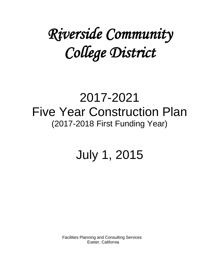# *Riverside Community College District*

## 2017-2021 Five Year Construction Plan (2017-2018 First Funding Year)

## July 1, 2015

Facilities Planning and Consulting Services Exeter, California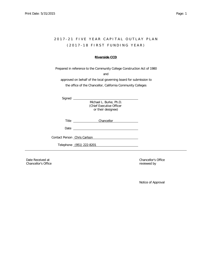### 2017-21 FIVE YEAR CAPITAL OUTLAY PLAN ( 2 0 1 7 - 1 8 F I R S T F U N D I N G Y E A R )

#### **Riverside CCD**

Prepared in reference to the Community College Construction Act of 1980

and

approved on behalf of the local governing board for submission to the office of the Chancellor, California Community Colleges

| iane |  |
|------|--|
|      |  |

Michael L. Burke, Ph.D. (Chief Executive Officer or their designee)

| Title | Chancellor |
|-------|------------|
|       |            |
|       |            |

*Date* 

*Contact Person* Chris Carlson

*Telephone* (951) 222-8201

Date Received at Chancellor's Office Chancellor's Office **reviewed** by **chancellor's Office**  $\mathbb{R}^n$ 

Notice of Approval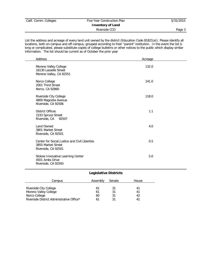|  |  | Calif. Comm. Colleges |
|--|--|-----------------------|
|--|--|-----------------------|

#### Five Year Construction Plan 5/31/2015 **Inventory of Land** Riverside CCD Page 3

List the address and acreage of every land unit owned by the district (Education Code 81821(e)). Please identify all locations, both on-campus and off-campus, grouped according to their "parent" institution. In the event the list is long or complicated, please substitute copies of college bulletins or other notices to the public which display similar information. The list should be current as of October the prior year

| Address                                                                                    | Acreage |  |
|--------------------------------------------------------------------------------------------|---------|--|
| Moreno Valley College<br>16130 Lasselle Street<br>Moreno Valley, CA 92551                  | 132.0   |  |
| Norco College<br>2001 Third Street<br>Norco, CA 92860                                      | 141.0   |  |
| Riverside City College<br>4800 Magnolia Avenue<br>Riverside, CA 92506                      | 118.0   |  |
| <b>District Offices</b><br>1533 Spruce Street<br>Riverside, CA<br>92507                    | 1.1     |  |
| Land Owned<br>3801 Market Street<br>Riverside, CA 92501                                    | 4.0     |  |
| Center for Social Justice and Civil Liberties<br>3855 Market Street<br>Riverside, CA 92501 | 0.5     |  |
| Stokoe Innovative Learning Center<br>4501 Ambs Drive<br>Riverside, CA 92593                | 5.0     |  |

#### **Legislative Districts**

| Campus                                    | Assembly | Senate | <b>House</b> |
|-------------------------------------------|----------|--------|--------------|
|                                           |          |        |              |
| Riverside City College                    |          |        |              |
| Moreno Valley College                     | 61       |        |              |
| Norco College                             | 60       | 31     |              |
| Riverside District Administrative Office* |          |        |              |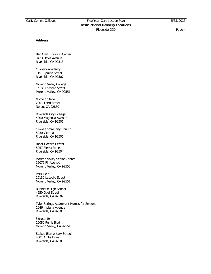#### **Address**

Ben Clark Training Center 3423 Davis Avenue Riverside, CA 92518

Culinary Academy 1151 Spruce Street Riverside, CA 92507

Moreno Valley College 16130 Lasselle Street Moreno Valley, CA 92551

Norco College 2001 Third Street Norco, CA 92860

Riverside City College 4800 Magnolia Avenue Riverside, CA 92506

Grove Community Church 5230 Victoria Riverside, CA 92506

Janet Goeske Center 5257 Sierra Street Riverside, CA 92504

Moreno Valley Senior Center 25075 Fir Avenue Moreno Valley, CA 92553

Park Field 16130 Lasselle Street Moreno Valley, CA 92551

Rubidoux High School 4250 Opal Street Riverside, CA 92509

Tyler Springs Apartment Homes for Seniors 1046 Indiana Avenue Riverside, CA 92503

Fitness 19 16080 Perris Blvd Moreno Valley, CA 92551

Stokoe Elementary School 4501 Ambs Drive Riverside, CA 92505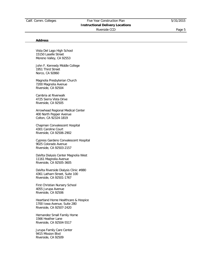#### **Address**

Vista Del Lago High School 15150 Laselle Street Moreno Valley, CA 92553

John F. Kennedy Middle College 1951 Third Street Norco, CA 92860

Magnolia Presbyterian Church 7200 Magnolia Avenue Riverside, CA 92504

Cambria at Riverwalk 4725 Sierra Vista Drive Riverside, CA 92505

Arrowhead Regional Medical Center 400 North Pepper Avenue Colton, CA 92324-1819

Chapman Convalescent Hospital 4301 Caroline Court Riverside, CA 92506-2902

Cypress Gardens Convalescent Hospital 9025 Colorado Avenue Riverside, CA 92503-2157

DaVita Dialysis Center Magnolia West 11161 Magnolia Avenue Riverside, CA 92505-3605

DaVita Riverside Dialysis Clinic #880 4361 Latham Street, Suite 100 Riverside, CA 92501-1767

First Christian Nursery School 4055 Jurupa Avenue Riverside, CA 92506

Heartland Home Healthcare & Hospice 1700 Iowa Avenue, Suite 280 Riverside, CA 92507-2420

Hernandez Small Family Home 1566 Heather Lane Riverside, CA 92504-5517

Jurupa Family Care Center 9415 Mission Blvd Riverside, CA 92509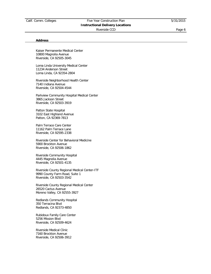#### **Address**

Kaiser Permanente Medical Center 10800 Magnolia Avenue Riverside, CA 92505-3045

Loma Linda University Medical Center 11234 Anderson Street Loma Linda, CA 92354-2804

Riverside Neighborhood Health Center 7140 Indiana Avenue Riverside, CA 92504-4544

Parkview Community Hospital Medical Center 3865 Jackson Street Riverside, CA 92503-3919

Patton State Hospital 3102 East Highland Avenue Patton, CA 92369-7813

Palm Terrace Care Center 11162 Palm Terrace Lane Riverside, CA 92595-2338

Riverside Center for Behavioral Medicine 5900 Brockton Avenue Riverside, CA 92506-1862

Riverside Community Hospital 4445 Magnolia Avenue Riverside, CA 92501-4135

Riverside County Regional Medical Center-ITF 9990 County Farm Road, Suite 1 Riverside, CA 92503-3542

Riverside County Regional Medical Center 26520 Cactus Avenue Moreno Valley, CA 92555-3927

Redlands Community Hospital 350 Terracina Blvd Redlands, CA 92373-4850

Rubidoux Family Care Center 5256 Mission Blvd Riverside, CA 92509-4624

Riverside Medical Clinic 7160 Brockton Avenue Riverside, CA 92506-3912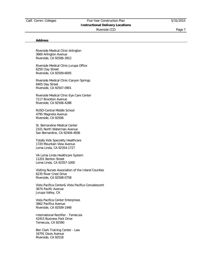#### **Address**

Riverside Medical Clinic-Arlington 3660 Arlington Avenue Riverside, CA 92506-3912

Riverside Medical Clinic-Jurupa Office 6250 Clay Street Riverside, CA 92509-6005

Riverside Medical Clinic-Canyon Springs 6405 Day Street Riverside, CA 92507-0901

Riverside Medical Clinic-Eye Care Center 7117 Brockton Avenue Riverside, CA 92506-4288

RUSD-Central Middle School 4795 Magnolia Avenue Riverside, CA 92506

St. Bernandine Medical Center 2101 North Waterman Avenue San Bernardino, CA 92404-4836

Totally Kids Speciality Healthcare 1720 Mountain View Avenue Loma Linda, CA 92354-1727

VA Loma Linda Healthcare System 11201 Benton Street Loma Linda, CA 92357-1000

Visiting Nurses Association of the Inland Counties 6235 River Crest Drive Riverside, CA 92508-0758

Vista Pacifica Center& Vista Pacifica Convalescent 3674 Pacific Avenue Jurupa Valley, CA

Vista Pacifica Center Enterprises 3662 Pacifica Avenue Riverside, CA 92509-1948

International Rectifier - Temecula 41915 Business Park Drive Temecula, CA 92590

Ben Clark Training Center - Law 16791 Davis Avenue Riverside, CA 92518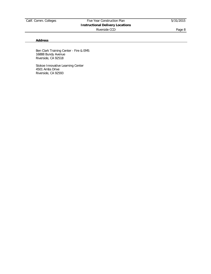#### **Address**

Ben Clark Training Center - Fire & EMS 16888 Bundy Avenue Riverside, CA 92518

Stokoe Innovative Learning Center 4501 Ambs Drive Riverside, CA 92593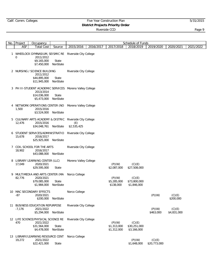#### Calif. Comm. Colleges Five Year Construction Plan 5/31/2015 **District Projects Priority Order**

| No. | Project    | Occupancy                                                                                            |                   |                                              |           |                                      | Schedule of Funds                     |                        |                       |           |
|-----|------------|------------------------------------------------------------------------------------------------------|-------------------|----------------------------------------------|-----------|--------------------------------------|---------------------------------------|------------------------|-----------------------|-----------|
|     | <b>ASF</b> | <b>Total Cost</b>                                                                                    | Source            | 2015/2016                                    | 2016/2017 | 2017/2018                            | 2018/2019                             | 2019/2020              | 2020/2021             | 2021/2022 |
|     | 0          | 1 WHEELOCK GYMNASIUM, SEISMIC RE Riverside City College<br>2011/2012<br>\$9,165,000<br>\$7,450,000   | State<br>NonState |                                              |           |                                      |                                       |                        |                       |           |
|     |            | 2 NURSING / SCIENCE BUILDING<br>2011/2012<br>\$44,895,000<br>\$11,945,000                            | State<br>NonState | Riverside City College                       |           |                                      |                                       |                        |                       |           |
|     |            | 3 PH III-STUDENT ACADEMIC SERVICES Moreno Valley College<br>2013/2014<br>\$14,036,000<br>\$5,473,000 | State<br>NonState |                                              |           |                                      |                                       |                        |                       |           |
| 4   | 1,500      | NETWORK OPERATIONS CENTER (NO<br>2015/2016<br>\$3,524,000                                            | NonState          | Moreno Valley College                        |           |                                      |                                       |                        |                       |           |
| 5.  | 12,476     | CULINARY ARTS ACADEMY & DISTRIC<br>2015/2016<br>\$34,048,761                                         | NonState          | Riverside City College<br>(E)<br>\$2,535,425 |           |                                      |                                       |                        |                       |           |
|     | 15,678     | 6 STUDENT SERVICES/ADMINISTRATIO<br>2016/2017<br>\$25,925,000                                        | NonState          | Riverside City College                       |           |                                      |                                       |                        |                       |           |
|     | 18,902     | 7 COIL SCHOOL FOR THE ARTS<br>2016/2017<br>\$43,088,000                                              | NonState          | Riverside City College                       |           |                                      |                                       |                        |                       |           |
| 8   | 17,049     | LIBRARY LEARNING CENTER (LLC)<br>2020/2021<br>\$29,595,000                                           | State             | Moreno Valley College                        |           | (P)(W)<br>\$2,087,000                | (C)(E)<br>\$27,508,000                |                        |                       |           |
| 9   | 82,776     | MULTIMEDIA AND ARTS CENTER (MA<br>2020/2021<br>\$79,085,000<br>\$1,984,000                           | State<br>NonState | Norco College                                |           | (P)(W)<br>\$5,285,000<br>\$138,000   | (C)(E)<br>\$73,800,000<br>\$1,846,000 |                        |                       |           |
|     | -87        | 10 MAC SECONDARY EFFECTS<br>2020/2021<br>\$200,000                                                   | NonState          | Norco College                                |           |                                      |                                       | (P)(W)                 | (C)(E)<br>\$200,000   |           |
|     | $-7,176$   | 11 BUSINESS EDUCATION REPURPOSE<br>2021/2022<br>\$5,294,000                                          | NonState          | Riverside City College                       |           |                                      |                                       | (P)(W)<br>\$463,000    | (C)(E)<br>\$4,831,000 |           |
|     | 470        | 12 LIFE SCIENCE/PHYSICAL SCIENCE RE<br>2021/2022<br>\$31,564,000<br>\$4,478,000                      | State<br>NonState | Riverside City College                       |           | (P)(W)<br>\$1,313,000<br>\$1,312,000 | (C)(E)<br>\$30,251,000<br>\$3,166,000 |                        |                       |           |
|     | 19,272     | 13 LIBRARY/LEARNING RESOURCE CENT<br>2021/2022<br>\$22,421,000                                       | State             | Norco College                                |           |                                      | (P)(W)<br>\$1,648,000                 | (C)(E)<br>\$20,773,000 |                       |           |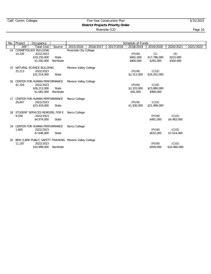#### Calif. Comm. Colleges Five Year Construction Plan 5/31/2015 **District Projects Priority Order**

| No. | Project    | Occupancy                                                                           |                   |                        |           |           | Schedule of Funds                 |                                     |                               |           |
|-----|------------|-------------------------------------------------------------------------------------|-------------------|------------------------|-----------|-----------|-----------------------------------|-------------------------------------|-------------------------------|-----------|
|     | <b>ASF</b> | Total Cost                                                                          | Source            | 2015/2016              | 2016/2017 | 2017/2018 | 2018/2019                         | 2019/2020                           | 2020/2021                     | 2021/2022 |
|     | 14,335     | 14 COSMETOLOGY BUILDING<br>2022/2023<br>\$19,150,000<br>\$1,592,000                 | State<br>NonState | Riverside City College |           |           | (P)(W)<br>\$841,000<br>\$800,000  | (C)<br>\$17,786,000<br>\$292,000    | (E)<br>\$523,000<br>\$500,000 |           |
| 15  | 25.213     | NATURAL SCIENCE BUILDING<br>2022/2023<br>\$31,514,000                               | State             | Moreno Valley College  |           |           | (P)(W)<br>\$2,312,000             | (C)(E)<br>\$29,202,000              |                               |           |
| 16  | 41,319     | CENTER FOR HUMAN PERFORMANCE<br>2022/2023<br>\$26,213,000<br>\$1,081,000            | State<br>NonState | Moreno Valley College  |           |           | (P)(W)<br>\$2,333,000<br>\$91,000 | (C)(E)<br>\$23,880,000<br>\$990,000 |                               |           |
| 17  | 29,847     | CENTER FOR HUMAN PERFORMANCE<br>2022/2023<br>\$23,419,000                           | State             | Norco College          |           |           | (P)(W)<br>\$1,930,000             | (C)(E)<br>\$21,489,000              |                               |           |
| 18  | 9,558      | STUDENT SERVICES REMODEL FOR E<br>2022/2023<br>\$4,974,000                          | State             | Norco College          |           |           |                                   | (P)(W)<br>\$491,000                 | (C)(E)<br>\$4,483,000         |           |
| 19  | 1,600      | CENTER FOR HUMAN PERFORMANCE<br>2022/2023<br>\$7,646,000                            | State             | Norco College          |           |           |                                   | (P)(W)<br>\$632,000                 | (C)(E)<br>\$7,014,000         |           |
| 20  | 11,187     | BEN CLARK PUBLIC SAFETY TRAINING Moreno Valley College<br>2022/2023<br>\$10,999,000 | NonState          |                        |           |           |                                   | (P)(W)<br>\$939,000                 | (C)(E)<br>\$10,060,000        |           |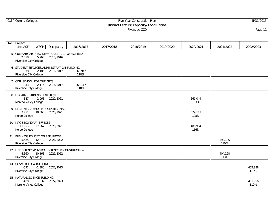## Calif. Comm. Colleges **Five Year Construction Plan** 5/31/2015

**District Lecture Capacity/Load Ratios**

| No. Project                                                                                  |           |                 |           |           |           |                 |                 |                 |
|----------------------------------------------------------------------------------------------|-----------|-----------------|-----------|-----------|-----------|-----------------|-----------------|-----------------|
| <b>WSCH</b><br>Lect ASF                                                                      | Occupancy | 2016/2017       | 2017/2018 | 2018/2019 | 2019/2020 | 2020/2021       | 2021/2022       | 2022/2023       |
| 5 CULINARY ARTS ACADEMY & DISTRICT OFFICE BLDG<br>5,963<br>2,558<br>Riverside City College   | 2015/2016 |                 |           |           |           |                 |                 |                 |
| 6 STUDENT SERVICES/ADMINISTRATION BUILDING<br>938<br>2,186<br>Riverside City College         | 2016/2017 | 360,942<br>118% |           |           |           |                 |                 |                 |
| 7 COIL SCHOOL FOR THE ARTS<br>933<br>2,175<br>Riverside City College                         | 2016/2017 | 363,117<br>118% |           |           |           |                 |                 |                 |
| 8 LIBRARY LEARNING CENTER (LLC)<br>$-887$<br>$-2,068$<br>Moreno Valley College               | 2020/2021 |                 |           |           |           | 361,049<br>103% |                 |                 |
| 9 MULTIMEDIA AND ARTS CENTER (MAC)<br>7,751<br>18,068<br>Norco College                       | 2020/2021 |                 |           |           |           | 379,117<br>108% |                 |                 |
| 10 MAC SECONDARY EFFECTS<br>11,955<br>27,867<br>Norco College                                | 2020/2021 |                 |           |           |           | 406,984<br>116% |                 |                 |
| 11 BUSINESS EDUCATION REPURPOSE<br>$-5,525$<br>$-12,879$<br>Riverside City College           | 2021/2022 |                 |           |           |           |                 | 394,105<br>110% |                 |
| 12 LIFE SCIENCE/PHYSICAL SCIENCE RECONSTRUCTION<br>4,360<br>10,163<br>Riverside City College | 2021/2022 |                 |           |           |           |                 | 404,268<br>113% |                 |
| 14 COSMETOLOGY BUILDING<br>$-592$<br>$-1,380$<br>Riverside City College                      | 2022/2023 |                 |           |           |           |                 |                 | 402,888<br>110% |
| 15 NATURAL SCIENCE BUILDING<br>$-400$<br>$-932$<br>Moreno Valley College                     | 2022/2023 |                 |           |           |           |                 |                 | 401,956<br>110% |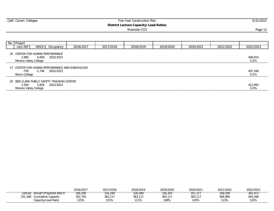| Calif. Comm. Colleges                                                                 | Five Year Construction Plan<br><b>District Lecture Capacity/Load Ratios</b><br>Riverside CCD<br>WSCH Occupancy<br>2016/2017<br>2017/2018<br>2018/2019<br>2019/2020<br>6,958<br>2022/2023 |  |  |  |  |           |           |                 |  | 5/31/2015 |
|---------------------------------------------------------------------------------------|------------------------------------------------------------------------------------------------------------------------------------------------------------------------------------------|--|--|--|--|-----------|-----------|-----------------|--|-----------|
|                                                                                       |                                                                                                                                                                                          |  |  |  |  |           |           | Page 12         |  |           |
|                                                                                       |                                                                                                                                                                                          |  |  |  |  |           |           |                 |  |           |
| No. Project                                                                           |                                                                                                                                                                                          |  |  |  |  |           |           |                 |  |           |
| Lect ASF                                                                              |                                                                                                                                                                                          |  |  |  |  | 2020/2021 | 2021/2022 | 2022/2023       |  |           |
| 16 CENTER FOR HUMAN PERFORMANCE<br>2,985<br>Moreno Valley College                     |                                                                                                                                                                                          |  |  |  |  |           |           | 408,914<br>112% |  |           |
| 17 CENTER FOR HUMAN PERFORMANCE AND KINESIOLOGY<br>-750<br>-1.748<br>Norco College    | 2022/2023                                                                                                                                                                                |  |  |  |  |           |           | 407,166<br>111% |  |           |
| 20 BEN CLARK PUBLIC SAFETY TRAINING CENTER<br>2,500<br>5,828<br>Moreno Valley College | 2022/2023                                                                                                                                                                                |  |  |  |  |           |           | 412,993<br>113% |  |           |

|                                   | 2016/2017 | 2017/2018       | 2018/2019 | 2019/2020 | 2020/2021      | 2021/2022 | 2022/2023 |
|-----------------------------------|-----------|-----------------|-----------|-----------|----------------|-----------|-----------|
| Actual*/Projected WSCH<br>.ecture | 306,508   | <u> २16,284</u> | 326,589   | 336.303   | 351.377        | 358,599   | 365,973   |
| 151,348<br>Cumulative Capacity    | 352,793   | 363,117         | 363,117   | 363,117   | 363<br>$-11 -$ | 406.984   | 404,268   |
| Capacity/Load Ratio               | 115%      | 115%            | 111%      | 108%      | 103%           | 113%      | 110%      |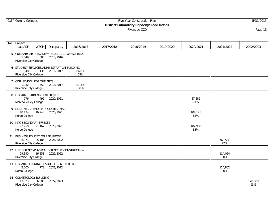## Calif. Comm. Colleges **Five Year Construction Plan** 5/31/2015

**District Laboratory Capacity/Load Ratios**

| No. Project                                                                                   |           |               |           |           |           |                |                |                |
|-----------------------------------------------------------------------------------------------|-----------|---------------|-----------|-----------|-----------|----------------|----------------|----------------|
| Lab ASF<br><b>WSCH</b>                                                                        | Occupancy | 2016/2017     | 2017/2018 | 2018/2019 | 2019/2020 | 2020/2021      | 2021/2022      | 2022/2023      |
| 5 CULINARY ARTS ACADEMY & DISTRICT OFFICE BLDG<br>603<br>1,549<br>Riverside City College      | 2015/2016 |               |           |           |           |                |                |                |
| 6 STUDENT SERVICES/ADMINISTRATION BUILDING<br>348<br>135<br>Riverside City College            | 2016/2017 | 86,639<br>79% |           |           |           |                |                |                |
| 7 COIL SCHOOL FOR THE ARTS<br>752<br>1,932<br>Riverside City College                          | 2016/2017 | 87,390<br>80% |           |           |           |                |                |                |
| 8 LIBRARY LEARNING CENTER (LLC)<br>276<br>495<br>Moreno Valley College                        | 2020/2021 |               |           |           |           | 87,885<br>71%  |                |                |
| 9 MULTIMEDIA AND ARTS CENTER (MAC)<br>40,174<br>16,240<br>Norco College                       | 2020/2021 |               |           |           |           | 104,125<br>84% |                |                |
| 10 MAC SECONDARY EFFECTS<br>$-2,750$<br>$-1,167$<br>Norco College                             | 2020/2021 |               |           |           |           | 102,958<br>83% |                |                |
| 11 BUSINESS EDUCATION REPURPOSE<br>$-6.971$<br>$-5,186$<br>Riverside City College             | 2021/2022 |               |           |           |           |                | 97,771<br>77%  |                |
| 12 LIFE SCIENCE/PHYSICAL SCIENCE RECONSTRUCTION<br>29,390<br>16,253<br>Riverside City College | 2021/2022 |               |           |           |           |                | 114,024<br>90% |                |
| 13 LIBRARY/LEARNING RESOURCE CENTER (LLRC)<br>2,000<br>778<br>Norco College                   | 2021/2022 |               |           |           |           |                | 114,802<br>90% |                |
| 14 COSMETOLOGY BUILDING<br>13,025<br>6,086<br>Riverside City College                          | 2022/2023 |               |           |           |           |                |                | 120,889<br>93% |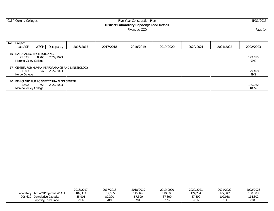|                                                                |                                                                      |           |           | Page 14   |           |           |           |                |
|----------------------------------------------------------------|----------------------------------------------------------------------|-----------|-----------|-----------|-----------|-----------|-----------|----------------|
|                                                                |                                                                      |           |           |           |           |           |           |                |
| No. Project<br>Lab ASF                                         | WSCH Occupancy                                                       | 2016/2017 | 2017/2018 | 2018/2019 | 2019/2020 | 2020/2021 | 2021/2022 | 2022/2023      |
| 15 NATURAL SCIENCE BUILDING<br>21,373<br>Moreno Valley College | 2022/2023<br>8.766                                                   |           |           |           |           |           |           | 129,655<br>99% |
| -1.909<br>Norco College                                        | 17 CENTER FOR HUMAN PERFORMANCE AND KINESIOLOGY<br>-247<br>2022/2023 |           |           |           |           |           |           | 129,408<br>99% |

20 BEN CLARK PUBLIC SAFETY TRAINING CENTER<br>1,400 654 2022/2023 1,400 654 2022/2023 130,062 Moreno Valley College

|            |                        | 2016/2017 | 2017/2018 | 2018/2019 | 2019/2020 | 2020/2021 | 2021/2022 | 2022/2023 |
|------------|------------------------|-----------|-----------|-----------|-----------|-----------|-----------|-----------|
| Laboratory | Actual*/Projected WSCH | 109,383   | 12,505    | 15,467    | 119.390   | 24,254    | 127,342   | 130,508   |
| 206,610    | Cumulative Capacity    | 85,901    | 87,390    | 87,390    | 87.390    | 87,390    | 102,958   | 114,802   |
|            | Capacity/Load Ratio    | 79%       | 78%       | 76%       | 73%       | 70%       | 81%       | 88%       |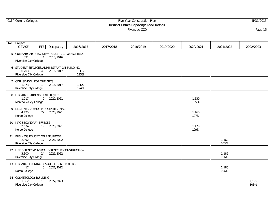#### Calif. Comm. Colleges **Five Year Construction Plan** 5/31/2015 **District Office Capacity/Load Ratios**

| No. Project                                                           |     |                                                                 |               |           |           |           |               |               |               |
|-----------------------------------------------------------------------|-----|-----------------------------------------------------------------|---------------|-----------|-----------|-----------|---------------|---------------|---------------|
| Off ASF                                                               | FTE | Occupancy                                                       | 2016/2017     | 2017/2018 | 2018/2019 | 2019/2020 | 2020/2021     | 2021/2022     | 2022/2023     |
| 591<br>Riverside City College                                         |     | 5 CULINARY ARTS ACADEMY & DISTRICT OFFICE BLDG<br>4 2015/2016   |               |           |           |           |               |               |               |
| 6,703<br>Riverside City College                                       |     | 6 STUDENT SERVICES/ADMINISTRATION BUILDING<br>48 2016/2017      | 1,112<br>123% |           |           |           |               |               |               |
| 7 COIL SCHOOL FOR THE ARTS<br>1,373<br>Riverside City College         | 10  | 2016/2017                                                       | 1,122<br>124% |           |           |           |               |               |               |
| 8 LIBRARY LEARNING CENTER (LLC)<br>1,217<br>Moreno Valley College     |     | 9 2020/2021                                                     |               |           |           |           | 1,130<br>105% |               |               |
| 4,125<br>Norco College                                                |     | 9 MULTIMEDIA AND ARTS CENTER (MAC)<br>29 2020/2021              |               |           |           |           | 1,160<br>107% |               |               |
| 10 MAC SECONDARY EFFECTS<br>2,674<br>Norco College                    |     | 19 2020/2021                                                    |               |           |           |           | 1,179<br>109% |               |               |
| 11 BUSINESS EDUCATION REPURPOSE<br>$-2.392$<br>Riverside City College |     | $-17$ 2021/2022                                                 |               |           |           |           |               | 1,162<br>103% |               |
| 3,300<br>Riverside City College                                       |     | 12 LIFE SCIENCE/PHYSICAL SCIENCE RECONSTRUCTION<br>24 2021/2022 |               |           |           |           |               | 1,185<br>106% |               |
| 17<br>Norco College                                                   |     | 13 LIBRARY/LEARNING RESOURCE CENTER (LLRC)<br>0 2021/2022       |               |           |           |           |               | 1,186<br>106% |               |
| 14 COSMETOLOGY BUILDING<br>1,362<br>Riverside City College            | 10  | 2022/2023                                                       |               |           |           |           |               |               | 1,195<br>103% |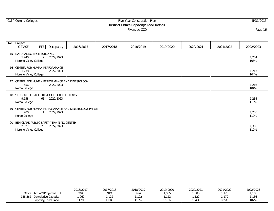|    |                                                                                    |                             |           |           | $5.5011303$ $5.0001$<br>Riverside CCD |           |           |           | Page 16       |
|----|------------------------------------------------------------------------------------|-----------------------------|-----------|-----------|---------------------------------------|-----------|-----------|-----------|---------------|
|    |                                                                                    |                             |           |           |                                       |           |           |           |               |
|    | No. Project                                                                        |                             |           |           |                                       |           |           |           |               |
|    | Off ASF<br>FTE                                                                     | Occupancy                   | 2016/2017 | 2017/2018 | 2018/2019                             | 2019/2020 | 2020/2021 | 2021/2022 | 2022/2023     |
|    | 15 NATURAL SCIENCE BUILDING<br>1.240<br>Moreno Valley College                      | 9<br>2022/2023              |           |           |                                       |           |           |           | 1,204<br>103% |
|    | 16 CENTER FOR HUMAN PERFORMANCE<br>1.238<br>Moreno Valley College                  | 2022/2023<br>9              |           |           |                                       |           |           |           | 1,213<br>104% |
| 17 | CENTER FOR HUMAN PERFORMANCE AND KINESIOLOGY<br>456<br>Norco College               | $\mathbf{3}$<br>2022/2023   |           |           |                                       |           |           |           | 1,216<br>104% |
|    | 18 STUDENT SERVICES REMODEL FOR EFFICIENCY<br>9.558<br>Norco College               | 68 2022/2023                |           |           |                                       |           |           |           | 1,284<br>110% |
|    | 19 CENTER FOR HUMAN PERFORMANCE AND KINESIOLOGY PHASE II<br>200<br>Norco College   | 2022/2023<br>$\overline{1}$ |           |           |                                       |           |           |           | 1,286<br>110% |
|    | 20 BEN CLARK PUBLIC SAFETY TRAINING CENTER<br>2,827<br>20<br>Moreno Valley College | 2022/2023                   |           |           |                                       |           |           |           | 1,306<br>112% |

|                               | 2016/2017   | 2017/2018  | 2018/2019 | 2019/2020       | 2020/2021  | 2021/2022 | 2022/2023 |
|-------------------------------|-------------|------------|-----------|-----------------|------------|-----------|-----------|
| Office<br>Actual*/Projected F | 904         | 949        | 994       | ,U35            | ,080       | ں ے ا     | , 166     |
| 48,362<br>Cumulative Capacity | ,060        | 122<br>12Z | .122      | $\sim$<br>, 122 | 100<br>122 | ,179      | .186      |
| Capacity/Load Ratio           | 1170<br>1/0 | 118%       | 113%      | 108%            | 104%       | 105%      | 102%      |

 $\mathbb{R}^2$ 

#### Calif. Comm. Colleges **Five Year Construction Plan** 5/31/2015 **District Office Capacity/Load Ratios**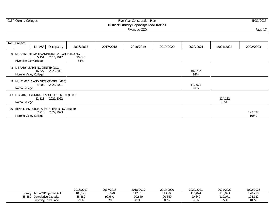#### Experiment Commercial Commercial Commercial Commercial Commercial Commercial Commercial Commercial Commercial Commercial Commercial Commercial Commercial Commercial Commercial Commercial Commercial Commercial Commercial Co **District Library Capacity/Load Ratios**

| No. | Project                                                                       |                  |               |           |           |           |                |                 |                 |
|-----|-------------------------------------------------------------------------------|------------------|---------------|-----------|-----------|-----------|----------------|-----------------|-----------------|
|     | Lib ASF                                                                       | Occupancy        | 2016/2017     | 2017/2018 | 2018/2019 | 2019/2020 | 2020/2021      | 2021/2022       | 2022/2023       |
|     | 6 STUDENT SERVICES/ADMINISTRATION BUILDING<br>5,151<br>Riverside City College | 2016/2017        | 90,640<br>84% |           |           |           |                |                 |                 |
|     | 8 LIBRARY LEARNING CENTER (LLC)<br>16,627<br>Moreno Valley College            | 2020/2021        |               |           |           |           | 107,267<br>92% |                 |                 |
|     | 9 MULTIMEDIA AND ARTS CENTER (MAC)<br>Norco College                           | 4,804 2020/2021  |               |           |           |           | 112,071<br>97% |                 |                 |
|     | 13 LIBRARY/LEARNING RESOURCE CENTER (LLRC)<br>Norco College                   | 12,111 2021/2022 |               |           |           |           |                | 124,182<br>105% |                 |
|     | 20 BEN CLARK PUBLIC SAFETY TRAINING CENTER<br>Moreno Valley College           | 2,910 2022/2023  |               |           |           |           |                |                 | 127,092<br>106% |

|                                                      | 2016/2017     | 2017/2018     | 2018/2019             | 2019/2020     | 2020/2021     | 2021/2022      | 2022/2023       |
|------------------------------------------------------|---------------|---------------|-----------------------|---------------|---------------|----------------|-----------------|
| Actual*/Projected ASF<br>Library                     | 108,171       | 110,070       | 12.013                | 113,995       | 16,024        | 118.093        | 120,210         |
| 85,489<br>Cumulative Capacity<br>Capacity/Load Ratio | 85,489<br>79% | 90,640<br>82% | 90,640<br>010<br>' 70 | 90,640<br>80% | 90,640<br>78% | 112.071<br>95% | 124,182<br>103% |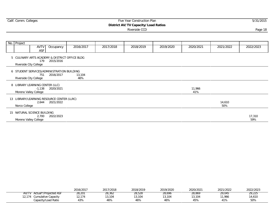#### Experiment Commercial Commercial Commercial Commercial Commercial Commercial Commercial Commercial Commercial Commercial Commercial Commercial Commercial Commercial Commercial Commercial Commercial Commercial Commercial Co **District AV/TV Capacity/Load Ratios**

| No. Project   |                                                               |                                                             |               |           |           |           |               |               |               |
|---------------|---------------------------------------------------------------|-------------------------------------------------------------|---------------|-----------|-----------|-----------|---------------|---------------|---------------|
|               | <b>AVTV</b><br><b>ASF</b>                                     | Occupancy                                                   | 2016/2017     | 2017/2018 | 2018/2019 | 2019/2020 | 2020/2021     | 2021/2022     | 2022/2023     |
|               | 179<br>Riverside City College                                 | 5 CULINARY ARTS ACADEMY & DISTRICT OFFICE BLDG<br>2015/2016 |               |           |           |           |               |               |               |
|               | 751<br>Riverside City College                                 | 6 STUDENT SERVICES/ADMINISTRATION BUILDING<br>2016/2017     | 13,104<br>46% |           |           |           |               |               |               |
|               | 8 LIBRARY LEARNING CENTER (LLC)<br>Moreno Valley College      | $-1,138$ 2020/2021                                          |               |           |           |           | 11,966<br>41% |               |               |
| Norco College | 2,644                                                         | 13 LIBRARY/LEARNING RESOURCE CENTER (LLRC)<br>2021/2022     |               |           |           |           |               | 14,610<br>50% |               |
|               | 15 NATURAL SCIENCE BUILDING<br>2,700<br>Moreno Valley College | 2022/2023                                                   |               |           |           |           |               |               | 17,310<br>59% |

|                                | 2016/2017 | 2017/2018 | 2018/2019 | 2019/2020 | 2020/2021 | 2021/2022 | 2022/2023 |
|--------------------------------|-----------|-----------|-----------|-----------|-----------|-----------|-----------|
| Actual*/Projected ASF<br>AV/TV | 28,201    | 28,362    | 28,528    | 28,696    | 28,869    | 29,045    | 29,225    |
| 2.174<br>Cumulative Capacity   | 12,174    | 13,104    | 13,104    | 13,104    | 3,104     | 1,966     | 14,610    |
| Capacity/Load Ratio            | 43%       | 46%       | 46%       | 46%       | 45%       | 41%       | 50%       |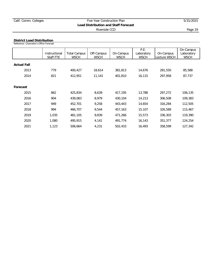#### **District Load Distribution**

Reference: Chancellor's Office Forecast

|                    | Instructional<br>Staff FTE | <b>Total Campus</b><br><b>WSCH</b> | Off-Campus<br><b>WSCH</b> | On-Campus<br><b>WSCH</b> | P.E.<br>Laboratory<br><b>WSCH</b> | On-Campus<br>Lecture WSCH | On-Campus<br>Laboratory<br><b>WSCH</b> |
|--------------------|----------------------------|------------------------------------|---------------------------|--------------------------|-----------------------------------|---------------------------|----------------------------------------|
| <b>Actual Fall</b> |                            |                                    |                           |                          |                                   |                           |                                        |
| 2013               | 779                        | 400,427                            | 18,614                    | 381,813                  | 14,676                            | 281,550                   | 85,588                                 |
| 2014               | 821                        | 412,951                            | 11,141                    | 401,810                  | 16,115                            | 297,958                   | 87,737                                 |
|                    |                            |                                    |                           |                          |                                   |                           |                                        |
| Forecast           |                            |                                    |                           |                          |                                   |                           |                                        |
| 2015               | 862                        | 425,834                            | 8,639                     | 417,195                  | 13,788                            | 297,272                   | 106,135                                |
| 2016               | 904                        | 439,083                            | 8,979                     | 430,104                  | 14,213                            | 306,508                   | 109,383                                |
| 2017               | 949                        | 452,701                            | 9,258                     | 443,443                  | 14,654                            | 316,284                   | 112,505                                |
| 2018               | 994                        | 466,707                            | 9,544                     | 457,163                  | 15,107                            | 326,589                   | 115,467                                |
| 2019               | 1,035                      | 481,105                            | 9,839                     | 471,266                  | 15,573                            | 336,303                   | 119,390                                |
| 2020               | 1,080                      | 495,915                            | 4,141                     | 491,774                  | 16,143                            | 351,377                   | 124,254                                |
| 2021               | 1,123                      | 506,664                            | 4,231                     | 502,433                  | 16,493                            | 358,599                   | 127,342                                |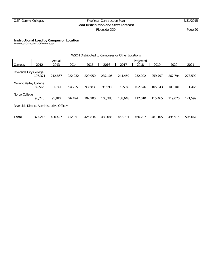**Instructional Load by Campus or Location**

Reference: Chancellor's Office Forecast

|                        |                                           |         |         | WSCH Distributed to Campuses or Other Locations |           |         |         |         |         |         |  |  |  |
|------------------------|-------------------------------------------|---------|---------|-------------------------------------------------|-----------|---------|---------|---------|---------|---------|--|--|--|
|                        |                                           | Actual  |         |                                                 | Projected |         |         |         |         |         |  |  |  |
| Campus                 | 2012                                      | 2013    | 2014    | 2015                                            | 2016      | 2017    | 2018    | 2019    | 2020    | 2021    |  |  |  |
| Riverside City College | 197.371                                   | 212,867 | 222,232 | 229,950                                         | 237,105   | 244,459 | 252.022 | 259.797 | 267.794 | 273.599 |  |  |  |
| Moreno Valley College  | 82,566                                    | 91,741  | 94.225  | 93,683                                          | 96.598    | 99,594  | 102,676 | 105,843 | 109,101 | 111,466 |  |  |  |
| Norco College          | 95,275                                    | 95,819  | 96.494  | 102,200                                         | 105,380   | 108,648 | 112,010 | 115,465 | 119,020 | 121,599 |  |  |  |
|                        | Riverside District Administrative Office* |         |         |                                                 |           |         |         |         |         |         |  |  |  |
| Total                  | 375,213                                   | 400.427 | 412,951 | 425,834                                         | 439,083   | 452,701 | 466,707 | 481,105 | 495,915 | 506.664 |  |  |  |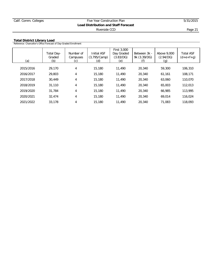#### **Total District Library Load**

Reference: Chancellor's Office Forecast of Day-Graded Enrollment

| (a)       | Total Day-<br>Graded<br>(b) | Number of<br>Campuses<br>(c) | <b>Initial ASF</b><br>(3,795/Camp)<br>(d) | First 3,000<br>Day Graded<br>(3.83/DG)<br>(e) | Between 3k -<br>9k (3.39/DG) | Above 9,000<br>(2.94/DG)<br>(g) | <b>Total ASF</b><br>$(d+e+f+g)$ |
|-----------|-----------------------------|------------------------------|-------------------------------------------|-----------------------------------------------|------------------------------|---------------------------------|---------------------------------|
| 2015/2016 | 29,170                      | 4                            | 15,180                                    | 11,490                                        | 20,340                       | 59,300                          | 106,310                         |
| 2016/2017 | 29,803                      | 4                            | 15,180                                    | 11,490                                        | 20,340                       | 61,161                          | 108,171                         |
| 2017/2018 | 30.449                      | 4                            | 15,180                                    | 11,490                                        | 20,340                       | 63,060                          | 110,070                         |
| 2018/2019 | 31,110                      | 4                            | 15,180                                    | 11,490                                        | 20,340                       | 65,003                          | 112,013                         |
| 2019/2020 | 31,784                      | 4                            | 15,180                                    | 11,490                                        | 20,340                       | 66,985                          | 113,995                         |
| 2020/2021 | 32,474                      | 4                            | 15,180                                    | 11,490                                        | 20,340                       | 69.014                          | 116,024                         |
| 2021/2022 | 33,178                      | 4                            | 15,180                                    | 11,490                                        | 20,340                       | 71.083                          | 118,093                         |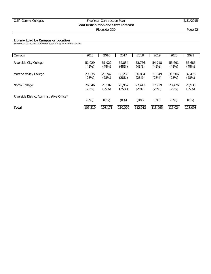#### **Library Load by Campus or Location**

Reference: Chancellor's Office Forecast of Day-Graded Enrollment

| Campus                                    | 2015    | 2016    | 2017    | 2018    | 2019    | 2020    | 2021    |
|-------------------------------------------|---------|---------|---------|---------|---------|---------|---------|
| Riverside City College                    | 51,029  | 51,922  | 52,834  | 53.766  | 54,718  | 55,691  | 56,685  |
|                                           | (48%)   | (48%)   | (48%)   | (48%)   | (48%)   | (48%)   | (48%)   |
| Moreno Valley College                     | 29,235  | 29.747  | 30.269  | 30,804  | 31,349  | 31,906  | 32,476  |
|                                           | (28%)   | (28%)   | (28%)   | (28%)   | (28%)   | (28%)   | (28%)   |
| Norco College                             | 26.046  | 26,502  | 26.967  | 27,443  | 27.929  | 28,426  | 28,933  |
|                                           | (25%)   | (25%)   | (25%)   | (25%)   | (25%)   | (25%)   | (25%)   |
| Riverside District Administrative Office* | (0%)    | (0%)    | (0%)    | (0%)    | (0%)    | (0%)    | (0%)    |
| Total                                     | 106,310 | 108,171 | 110,070 | 112,013 | 113,995 | 116,024 | 118,093 |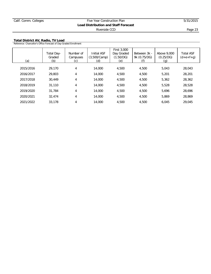**Total District AV, Radio, TV Load**

| Reference: Chancellor's Office Forecast of Day-Graded Enrollment |                             |                                                     |                                           |                                               |                              |                                 |                                 |  |
|------------------------------------------------------------------|-----------------------------|-----------------------------------------------------|-------------------------------------------|-----------------------------------------------|------------------------------|---------------------------------|---------------------------------|--|
| (a)                                                              | Total Day-<br>Graded<br>(b) | Number of<br>Campuses<br>$\left[ \mathsf{C}\right]$ | <b>Initial ASF</b><br>(3,500/Camp)<br>(d) | First 3,000<br>Day Graded<br>(1.50/DG)<br>(e) | Between 3k -<br>9k (0.75/DG) | Above 9,000<br>(0.25/DG)<br>(q) | <b>Total ASF</b><br>$(d+e+f+q)$ |  |
| 2015/2016                                                        | 29,170                      | 4                                                   | 14,000                                    | 4,500                                         | 4,500                        | 5,043                           | 28,043                          |  |
| 2016/2017                                                        | 29,803                      | 4                                                   | 14,000                                    | 4,500                                         | 4,500                        | 5,201                           | 28,201                          |  |
| 2017/2018                                                        | 30,449                      | 4                                                   | 14,000                                    | 4,500                                         | 4,500                        | 5,362                           | 28,362                          |  |
| 2018/2019                                                        | 31,110                      | 4                                                   | 14,000                                    | 4,500                                         | 4,500                        | 5,528                           | 28,528                          |  |
| 2019/2020                                                        | 31,784                      | 4                                                   | 14,000                                    | 4,500                                         | 4,500                        | 5,696                           | 28.696                          |  |
| 2020/2021                                                        | 32,474                      | 4                                                   | 14,000                                    | 4,500                                         | 4,500                        | 5,869                           | 28,869                          |  |
| 2021/2022                                                        | 33,178                      | 4                                                   | 14,000                                    | 4,500                                         | 4,500                        | 6.045                           | 29,045                          |  |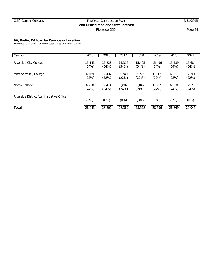#### **AV, Radio, TV Load by Campus or Location**

Reference: Chancellor's Office Forecast of Day-Graded Enrollment

| Campus                                    | 2015   | 2016   | 2017   | 2018   | 2019   | 2020   | 2021   |
|-------------------------------------------|--------|--------|--------|--------|--------|--------|--------|
| Riverside City College                    | 15,143 | 15,228 | 15,316 | 15,405 | 15,496 | 15,589 | 15,684 |
|                                           | (54%)  | (54%)  | (54%)  | (54%)  | (54%)  | (54%)  | (54%)  |
| Moreno Valley College                     | 6.169  | 6.204  | 6,240  | 6.276  | 6.313  | 6,351  | 6,390  |
|                                           | (22%)  | (22%)  | (22%)  | (22%)  | (22%)  | (22%)  | (22%)  |
| Norco College                             | 6.730  | 6.768  | 6.807  | 6.847  | 6.887  | 6.928  | 6.971  |
|                                           | (24%)  | (24%)  | (24%)  | (24%)  | (24%)  | (24%)  | (24%)  |
| Riverside District Administrative Office* | (0%)   | (0%)   | (0%)   | (0%)   | (0%)   | (0%)   | (0%)   |
| Total                                     | 28,043 | 28,201 | 28,362 | 28,528 | 28.696 | 28.869 | 29.045 |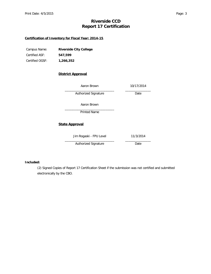### **Riverside CCD Report 17 Certification**

#### **Certification of Inventory for Fiscal Year: 2014-15**

| Campus Name:    | Riverside City College |
|-----------------|------------------------|
| Certified ASF:  | 547.599                |
| Certified OGSF: | 1,266,352              |

#### **District Approval**

|                       | Aaron Brown             | 10/17/2014 |
|-----------------------|-------------------------|------------|
|                       | Authorized Signature    | Date       |
|                       | Aaron Brown             |            |
|                       | Printed Name            |            |
| <b>State Approval</b> |                         |            |
|                       | Jim Rogaski - FPU Level | 11/3/2014  |
|                       | Authorized Signature    | Date       |

#### **Included:**

(2) Signed Copies of Report 17 Certification Sheet if the submission was not certified and submitted electronically by the CBO.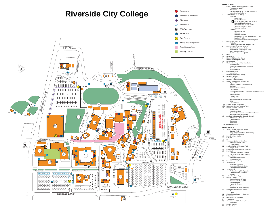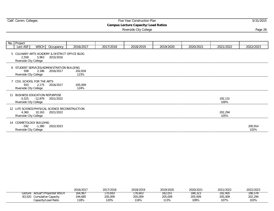## Experiment Commercial Commercial Commercial Commercial Commercial Commercial Commercial Commercial Commercial Commercial Commercial Commercial Commercial Commercial Commercial Commercial Commercial Commercial Commercial Co

#### **Campus Lecture Capacity/Load Ratios**

Riverside City College Page 26 (1999) and the City College Page 26 (1999) and the Page 26 (1999) and the Page 26 (1999) and the Page 26 (1999) and the Page 26 (1999) and the Page 26 (1999) and the Page 26 (1999) and the Pa

|    | No. Project                                                                                  |                |                 |           |           |           |           |                 |                 |
|----|----------------------------------------------------------------------------------------------|----------------|-----------------|-----------|-----------|-----------|-----------|-----------------|-----------------|
|    | Lect ASF                                                                                     | WSCH Occupancy | 2016/2017       | 2017/2018 | 2018/2019 | 2019/2020 | 2020/2021 | 2021/2022       | 2022/2023       |
|    | 5 CULINARY ARTS ACADEMY & DISTRICT OFFICE BLDG<br>5,963<br>2,558<br>Riverside City College   | 2015/2016      |                 |           |           |           |           |                 |                 |
|    | 6 STUDENT SERVICES/ADMINISTRATION BUILDING<br>938<br>2,186<br>Riverside City College         | 2016/2017      | 202,834<br>123% |           |           |           |           |                 |                 |
|    | 7 COIL SCHOOL FOR THE ARTS<br>933<br>2,175<br>Riverside City College                         | 2016/2017      | 205,009<br>124% |           |           |           |           |                 |                 |
|    | <b>BUSINESS EDUCATION REPURPOSE</b><br>-5,525 -12,879<br>Riverside City College              | 2021/2022      |                 |           |           |           |           | 192,131<br>100% |                 |
|    | 12 LIFE SCIENCE/PHYSICAL SCIENCE RECONSTRUCTION<br>4,360<br>10,163<br>Riverside City College | 2021/2022      |                 |           |           |           |           | 202,294<br>105% |                 |
| 14 | COSMETOLOGY BUILDING<br>-592<br>$-1,380$<br>Riverside City College                           | 2022/2023      |                 |           |           |           |           |                 | 200,914<br>102% |

|                                      | 2016/2017 | 2017/2018 | 2018/2019 | 2019/2020 | 2020/2021 | 2021/2022 | 2022/2023 |
|--------------------------------------|-----------|-----------|-----------|-----------|-----------|-----------|-----------|
| Actual*/Projected WSCH<br>∟ecture    | 164,967   | 170,693   | 76.603    | 182,051   | 188,323   | 192,405   | 196,578   |
| <b>Cumulative Capacity</b><br>83,520 | 194,685   | 205,009   | 205,009   | 205,009   | 205,009   | 205,009   | 202,294   |
| Capacity/Load Ratio                  | '18%      | 120%      | 116%      | 113%      | 109%      | 107%      | 103%      |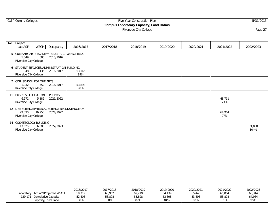| Calif. Comm. Colleges |  |  |  |
|-----------------------|--|--|--|
|-----------------------|--|--|--|

## Experiment Commercial Commercial Commercial Commercial Commercial Commercial Commercial Commercial Commercial Commercial Commercial Commercial Commercial Commercial Commercial Commercial Commercial Commercial Commercial Co

**Campus Laboratory Capacity/Load Ratios**

Riverside City College Page 27 (1999) and the Second Second Second Second Second Second Second Second Second S

|    | No. Project                                                      |             |                                                                 |               |           |           |           |           |               |                |
|----|------------------------------------------------------------------|-------------|-----------------------------------------------------------------|---------------|-----------|-----------|-----------|-----------|---------------|----------------|
|    | Lab $ASF$                                                        | <b>WSCH</b> | Occupancy                                                       | 2016/2017     | 2017/2018 | 2018/2019 | 2019/2020 | 2020/2021 | 2021/2022     | 2022/2023      |
|    | 1,549<br>Riverside City College                                  |             | 5 CULINARY ARTS ACADEMY & DISTRICT OFFICE BLDG<br>603 2015/2016 |               |           |           |           |           |               |                |
|    | 348<br>Riverside City College                                    | 135         | 6 STUDENT SERVICES/ADMINISTRATION BUILDING<br>2016/2017         | 53,146<br>89% |           |           |           |           |               |                |
|    | 7 COIL SCHOOL FOR THE ARTS<br>1,932<br>Riverside City College    |             | 752 2016/2017                                                   | 53,898<br>90% |           |           |           |           |               |                |
| 11 | BUSINESS EDUCATION REPURPOSE<br>-6,971<br>Riverside City College | -5,186      | 2021/2022                                                       |               |           |           |           |           | 48,711<br>73% |                |
|    | 29,390<br>Riverside City College                                 | 16,253      | 12 LIFE SCIENCE/PHYSICAL SCIENCE RECONSTRUCTION<br>2021/2022    |               |           |           |           |           | 64,964<br>97% |                |
|    | 14 COSMETOLOGY BUILDING<br>13,025<br>Riverside City College      | 6,086       | 2022/2023                                                       |               |           |           |           |           |               | 71,050<br>104% |

|                                      | 2016/2017 | 2017/2018 | 2018/2019 | 2019/2020 | 2020/2021 | 2021/2022 | 2022/2023 |
|--------------------------------------|-----------|-----------|-----------|-----------|-----------|-----------|-----------|
| Actual*/Projected WSCH<br>Laboratorv | 59,719    | 0,962     | 02,21     | 04,139    | 05,440    | 66,864    | 68,314    |
| Cumulative Capacity<br>129,17        | 52,408    | 53,898    | 53,898    | 53,898    | 53,898    | 53,898    | 64,964    |
| Capacity/Load Ratio                  | 88%       | 88%       | 87%       | 84%       | 82%       | 81%       | 95%       |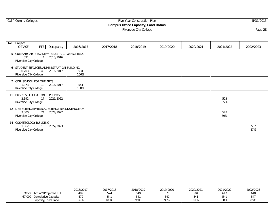$\mathbb{R}^2$ 

## Calif. Comm. Colleges **Five Year Construction Plan** 5/31/2015

**Campus Office Capacity/Load Ratios**

Riverside City College Page 28 (1996) and the City College Page 28 (1997) and the Page 28 (1997) and the Page 28

| No. Project                                                        |     |                                                                 |             |           |           |           |           |            |            |
|--------------------------------------------------------------------|-----|-----------------------------------------------------------------|-------------|-----------|-----------|-----------|-----------|------------|------------|
| Off ASF                                                            | FTE | Occupancy                                                       | 2016/2017   | 2017/2018 | 2018/2019 | 2019/2020 | 2020/2021 | 2021/2022  | 2022/2023  |
| 591<br>Riverside City College                                      |     | 5 CULINARY ARTS ACADEMY & DISTRICT OFFICE BLDG<br>4 2015/2016   |             |           |           |           |           |            |            |
| 6,703<br>Riverside City College                                    |     | 6 STUDENT SERVICES/ADMINISTRATION BUILDING<br>48 2016/2017      | 531<br>106% |           |           |           |           |            |            |
| 7 COIL SCHOOL FOR THE ARTS<br>1.373<br>Riverside City College      | 10  | 2016/2017                                                       | 541<br>108% |           |           |           |           |            |            |
| BUSINESS EDUCATION REPURPOSE<br>$-2,392$<br>Riverside City College |     | $-17$ 2021/2022                                                 |             |           |           |           |           | 523<br>85% |            |
| 3,300<br>Riverside City College                                    |     | 12 LIFE SCIENCE/PHYSICAL SCIENCE RECONSTRUCTION<br>24 2021/2022 |             |           |           |           |           | 547<br>89% |            |
| 14 COSMETOLOGY BUILDING<br>1,362<br>Riverside City College         | 10  | 2022/2023                                                       |             |           |           |           |           |            | 557<br>87% |

|                                 | 2016/2017 | 2017<br>/2018 | 2018/2019 | 2019/2020 | 2020/2021                       | 2021/2022    | 2022/2023 |
|---------------------------------|-----------|---------------|-----------|-----------|---------------------------------|--------------|-----------|
| Office<br>Actual*/Projected FTE | 499       | $-$<br>- ے ب  | 549       | ——        | $\overline{\phantom{a}}$<br>594 |              | 64C       |
| 67,009<br>Cumulative Capacity   | 170       |               |           |           | 541                             | 5.11<br>54 I | 547       |
| Capacity/Load Ratio             | 96%       | 103%          | 98%       | 95%       | 91%                             | 88%          | 85%       |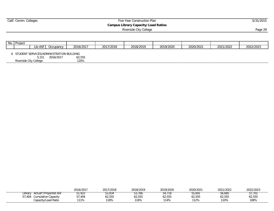## Experiment Commercial Commercial Commercial Commercial Commercial Commercial Commercial Commercial Commercial Commercial Commercial Commercial Commercial Commercial Commercial Commercial Commercial Commercial Commercial Co

**Campus Library Capacity/Load Ratios**

Riverside City College Page 29

| No. | Project                                    |         |           |           |           |           |           |           |           |           |
|-----|--------------------------------------------|---------|-----------|-----------|-----------|-----------|-----------|-----------|-----------|-----------|
|     |                                            | Lib ASF | Occupancy | 2016/2017 | 2017/2018 | 2018/2019 | 2019/2020 | 2020/2021 | 2021/2022 | 2022/2023 |
|     | 6 STUDENT SERVICES/ADMINISTRATION BUILDING |         |           |           |           |           |           |           |           |           |
|     |                                            | 5.151   | 2016/2017 | 62,555    |           |           |           |           |           |           |
|     | Riverside City College                     |         |           | 120%      |           |           |           |           |           |           |

|                                  | 2016/2017 | 2017/2018 | 2018/2019 | 2019/2020 | 2020/2021 | 2021/2022 | 2022/2023 |
|----------------------------------|-----------|-----------|-----------|-----------|-----------|-----------|-----------|
| Actual*/Projected ASF<br>Library | 51,922    | ა2,834    | 53,766    | 54.718    | 55,691    | 56,685    | 57.701    |
| 57,404<br>Cumulative Capacity    | 404, ار   | 62,555    | 62,555    | 62,555    | 62,555    | 62,555    | 62,555    |
| Capacity/Load Ratio              | $11\%$    | 118%      | 116%      | 114%      | 112%      | 110%      | 108%      |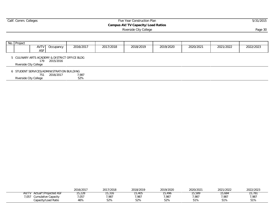## Experiment Commercial Commercial Commercial Commercial Commercial Commercial Commercial Commercial Commercial Commercial Commercial Commercial Commercial Commercial Commercial Commercial Commercial Commercial Commercial Co

**Campus AV/TV Capacity/Load Ratios**

Riverside City College **Page 30** 

| No. Project            |                   |                                                            |           |           |           |           |           |           |
|------------------------|-------------------|------------------------------------------------------------|-----------|-----------|-----------|-----------|-----------|-----------|
|                        | AVTV<br>Occupancy | 2016/2017                                                  | 2017/2018 | 2018/2019 | 2019/2020 | 2020/2021 | 2021/2022 | 2022/2023 |
|                        | <b>ASF</b>        |                                                            |           |           |           |           |           |           |
| Riverside City College | 2015/2016<br>179  | 5 CULINARY ARTS ACADEMY & DISTRICT OFFICE BLDG             |           |           |           |           |           |           |
| Riverside City College | 2016/2017<br>751  | 6 STUDENT SERVICES/ADMINISTRATION BUILDING<br>7,987<br>52% |           |           |           |           |           |           |

|                                    | 2016/2017 | 2017/2018 | 2018/2019 | 2019/2020 | 2020/2021 | 202 <sub>1</sub><br>/2022 | 2022/2023 |
|------------------------------------|-----------|-----------|-----------|-----------|-----------|---------------------------|-----------|
| AV/T<br>்″Proiected கூ<br>ted ASF. | 5,228     | 15,316    | I J,4UJ   | .490      | 5,589ء    | – 684، د،                 | 5,78      |
| .057<br>Cumulative Capacity        | ,057      | '.987     | 7,987     | 7.987     | 7.987     | ,987                      | 7,981     |
| Capacity/Load Ratio                | 46%       | 52%       | 52%       | 52%       | 51%       | E10                       | 51%       |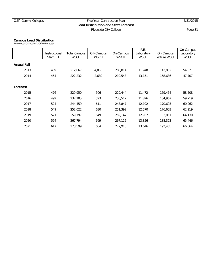#### **Campus Load Distribution**

Reference: Chancellor's Office Forecast

|                    | Instructional<br>Staff FTE | <b>Total Campus</b><br><b>WSCH</b> | Off-Campus<br><b>WSCH</b> | On-Campus<br><b>WSCH</b> | P.E.<br>Laboratory<br><b>WSCH</b> | On-Campus<br>Lecture WSCH | On-Campus<br>Laboratory<br><b>WSCH</b> |
|--------------------|----------------------------|------------------------------------|---------------------------|--------------------------|-----------------------------------|---------------------------|----------------------------------------|
| <b>Actual Fall</b> |                            |                                    |                           |                          |                                   |                           |                                        |
| 2013               | 439                        | 212,867                            | 4,853                     | 208,014                  | 11,940                            | 142,052                   | 54,021                                 |
| 2014               | 454                        | 222,232                            | 2,689                     | 219,543                  | 13,151                            | 158,686                   | 47,707                                 |
|                    |                            |                                    |                           |                          |                                   |                           |                                        |
| Forecast           |                            |                                    |                           |                          |                                   |                           |                                        |
| 2015               | 476                        | 229,950                            | 506                       | 229,444                  | 11,472                            | 159,464                   | 58,508                                 |
| 2016               | 499                        | 237,105                            | 593                       | 236,512                  | 11,826                            | 164,967                   | 59,719                                 |
| 2017               | 524                        | 244,459                            | 611                       | 243,847                  | 12,192                            | 170,693                   | 60,962                                 |
| 2018               | 549                        | 252,022                            | 630                       | 251,392                  | 12,570                            | 176,603                   | 62,219                                 |
| 2019               | 571                        | 259.797                            | 649                       | 259,147                  | 12,957                            | 182,051                   | 64,139                                 |
| 2020               | 594                        | 267,794                            | 669                       | 267,125                  | 13,356                            | 188,323                   | 65,446                                 |
| 2021               | 617                        | 273,599                            | 684                       | 272,915                  | 13,646                            | 192,405                   | 66,864                                 |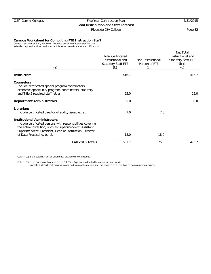Riverside City College **Page 32** 

#### **Campus Worksheet for Computing FTE Instruction Staff**

College Instructional Staff, Fall Term. Included are all certificated staff for day, extended day, and adult education except those whose office is located off-campus.

| (a)                                                                                                                                                                                                                         | <b>Total Certificated</b><br>Instructional and<br>Statutory Staff FTE<br>(b) | Non-Instructional<br>Portion of FTE<br>(c) | Net Total<br>Instructional and<br><b>Statutory Staff FTE</b><br>$(b-c)$<br>(d) |
|-----------------------------------------------------------------------------------------------------------------------------------------------------------------------------------------------------------------------------|------------------------------------------------------------------------------|--------------------------------------------|--------------------------------------------------------------------------------|
| <b>Instructors</b>                                                                                                                                                                                                          | 416.7                                                                        |                                            | 416.7                                                                          |
| <b>Counselors</b><br>Include certificated special program coordinators,<br>economic opportunity program, coordinators, statutory                                                                                            |                                                                              |                                            |                                                                                |
| and Title 5 required staff, et. al.                                                                                                                                                                                         | 25.0                                                                         |                                            | 25.0                                                                           |
| <b>Department Administrators</b>                                                                                                                                                                                            | 35.0                                                                         |                                            | 35.0                                                                           |
| Librarians<br>Include certificated director of audio/visual, et. al.                                                                                                                                                        | 7.0                                                                          | 7.0                                        |                                                                                |
| <b>Institutional Administrators</b><br>Include certificated persons with responsibilities covering<br>the entire institution, such as Superintendent, Assistant<br>Superintendent, President, Dean of Instruction, Director | 18.0                                                                         | 18.0                                       |                                                                                |
| of Data Processing, et. al.                                                                                                                                                                                                 |                                                                              |                                            |                                                                                |
| Fall 2015 Totals                                                                                                                                                                                                            | 501.7                                                                        | 25.0                                       | 476.7                                                                          |

Column (b) is the total number of Column (a) distributed to categories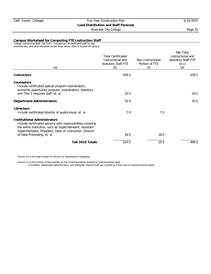Riverside City College **Page 33** 

#### **Campus Worksheet for Computing FTE Instruction Staff**

College Instructional Staff, Fall Term. Included are all certificated staff for day, extended day, and adult education except those whose office is located off-campus.

| (a)                                                                                                                                                                                                                         | <b>Total Certificated</b><br>Instructional and<br>Statutory Staff FTE<br>(b) | Non-Instructional<br>Portion of FTE<br>(c) | Net Total<br>Instructional and<br><b>Statutory Staff FTE</b><br>$(b-c)$<br>(d) |
|-----------------------------------------------------------------------------------------------------------------------------------------------------------------------------------------------------------------------------|------------------------------------------------------------------------------|--------------------------------------------|--------------------------------------------------------------------------------|
| <b>Instructors</b>                                                                                                                                                                                                          | 439.5                                                                        |                                            | 439.5                                                                          |
| Counselors<br>Include certificated special program coordinators,<br>economic opportunity program, coordinators, statutory                                                                                                   |                                                                              |                                            |                                                                                |
| and Title 5 required staff, et. al.                                                                                                                                                                                         | 25.0                                                                         |                                            | 25.0                                                                           |
| <b>Department Administrators</b>                                                                                                                                                                                            | 35.0                                                                         |                                            | 35.0                                                                           |
| Librarians<br>Include certificated director of audio/visual, et. al.                                                                                                                                                        | 7.0                                                                          | 7.0                                        |                                                                                |
| <b>Institutional Administrators</b><br>Include certificated persons with responsibilities covering<br>the entire institution, such as Superintendent, Assistant<br>Superintendent, President, Dean of Instruction, Director |                                                                              |                                            |                                                                                |
| of Data Processing, et. al.                                                                                                                                                                                                 | 18.0                                                                         | 18.0                                       |                                                                                |
| Fall 2016 Totals                                                                                                                                                                                                            | 524.5                                                                        | 25.0                                       | 499.5                                                                          |

Column (b) is the total number of Column (a) distributed to categories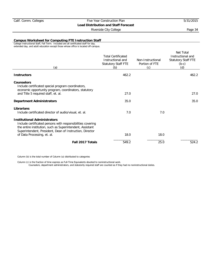Riverside City College **Page 34** 

**Campus Worksheet for Computing FTE Instruction Staff**

College Instructional Staff, Fall Term. Included are all certificated staff for day, extended day, and adult education except those whose office is located off-campus.

| (a)                                                                                                                                                                                                                                                        | <b>Total Certificated</b><br>Instructional and<br><b>Statutory Staff FTE</b><br>(b) | Non-Instructional<br>Portion of FTE<br>(c) | Net Total<br>Instructional and<br><b>Statutory Staff FTE</b><br>$(b-c)$<br>(d) |
|------------------------------------------------------------------------------------------------------------------------------------------------------------------------------------------------------------------------------------------------------------|-------------------------------------------------------------------------------------|--------------------------------------------|--------------------------------------------------------------------------------|
| <b>Instructors</b>                                                                                                                                                                                                                                         | 462.2                                                                               |                                            | 462.2                                                                          |
| <b>Counselors</b><br>Include certificated special program coordinators,<br>economic opportunity program, coordinators, statutory                                                                                                                           |                                                                                     |                                            |                                                                                |
| and Title 5 required staff, et. al.                                                                                                                                                                                                                        | 27.0                                                                                |                                            | 27.0                                                                           |
| <b>Department Administrators</b>                                                                                                                                                                                                                           | 35.0                                                                                |                                            | 35.0                                                                           |
| Librarians<br>Include certificated director of audio/visual, et. al.                                                                                                                                                                                       | 7.0                                                                                 | 7.0                                        |                                                                                |
| <b>Institutional Administrators</b><br>Include certificated persons with responsibilities covering<br>the entire institution, such as Superintendent, Assistant<br>Superintendent, President, Dean of Instruction, Director<br>of Data Processing, et. al. | 18.0                                                                                | 18.0                                       |                                                                                |
| Fall 2017 Totals                                                                                                                                                                                                                                           | 549.2                                                                               | 25.0                                       | 524.2                                                                          |
|                                                                                                                                                                                                                                                            |                                                                                     |                                            |                                                                                |

Column (b) is the total number of Column (a) distributed to categories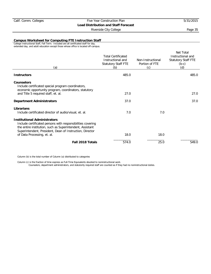Riverside City College **Page 35** 

#### **Campus Worksheet for Computing FTE Instruction Staff**

College Instructional Staff, Fall Term. Included are all certificated staff for day, extended day, and adult education except those whose office is located off-campus.

| (a)                                                                                                                                                                                                                         | <b>Total Certificated</b><br>Instructional and<br>Statutory Staff FTE<br>(b) | Non-Instructional<br>Portion of FTE<br>(c) | Net Total<br>Instructional and<br><b>Statutory Staff FTE</b><br>$(b-c)$<br>(d) |
|-----------------------------------------------------------------------------------------------------------------------------------------------------------------------------------------------------------------------------|------------------------------------------------------------------------------|--------------------------------------------|--------------------------------------------------------------------------------|
| <b>Instructors</b>                                                                                                                                                                                                          | 485.0                                                                        |                                            | 485.0                                                                          |
| <b>Counselors</b><br>Include certificated special program coordinators,<br>economic opportunity program, coordinators, statutory                                                                                            |                                                                              |                                            |                                                                                |
| and Title 5 required staff, et. al.                                                                                                                                                                                         | 27.0                                                                         |                                            | 27.0                                                                           |
| <b>Department Administrators</b>                                                                                                                                                                                            | 37.0                                                                         |                                            | 37.0                                                                           |
| Librarians<br>Include certificated director of audio/visual, et. al.                                                                                                                                                        | 7.0                                                                          | 7.0                                        |                                                                                |
| <b>Institutional Administrators</b><br>Include certificated persons with responsibilities covering<br>the entire institution, such as Superintendent, Assistant<br>Superintendent, President, Dean of Instruction, Director |                                                                              | 18.0                                       |                                                                                |
| of Data Processing, et. al.                                                                                                                                                                                                 | 18.0                                                                         |                                            |                                                                                |
| Fall 2018 Totals                                                                                                                                                                                                            | 574.0                                                                        | 25.0                                       | 549.0                                                                          |

Column (b) is the total number of Column (a) distributed to categories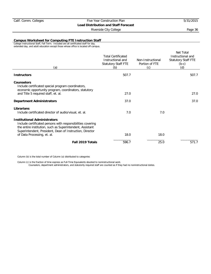Riverside City College **Page 36** 

#### **Campus Worksheet for Computing FTE Instruction Staff**

College Instructional Staff, Fall Term. Included are all certificated staff for day, extended day, and adult education except those whose office is located off-campus.

| (a)                                                                                                                                                                                                                                                        | <b>Total Certificated</b><br>Instructional and<br>Statutory Staff FTE<br>(b) | Non-Instructional<br>Portion of FTE<br>(c) | Net Total<br>Instructional and<br><b>Statutory Staff FTE</b><br>$(b-c)$<br>(d) |
|------------------------------------------------------------------------------------------------------------------------------------------------------------------------------------------------------------------------------------------------------------|------------------------------------------------------------------------------|--------------------------------------------|--------------------------------------------------------------------------------|
| <b>Instructors</b>                                                                                                                                                                                                                                         | 507.7                                                                        |                                            | 507.7                                                                          |
| <b>Counselors</b><br>Include certificated special program coordinators,<br>economic opportunity program, coordinators, statutory                                                                                                                           |                                                                              |                                            |                                                                                |
| and Title 5 required staff, et. al.                                                                                                                                                                                                                        | 27.0                                                                         |                                            | 27.0                                                                           |
| <b>Department Administrators</b>                                                                                                                                                                                                                           | 37.0                                                                         |                                            | 37.0                                                                           |
| Librarians<br>Include certificated director of audio/visual, et. al.                                                                                                                                                                                       | 7.0                                                                          | 7.0                                        |                                                                                |
| <b>Institutional Administrators</b><br>Include certificated persons with responsibilities covering<br>the entire institution, such as Superintendent, Assistant<br>Superintendent, President, Dean of Instruction, Director<br>of Data Processing, et. al. | 18.0                                                                         | 18.0                                       |                                                                                |
|                                                                                                                                                                                                                                                            |                                                                              |                                            |                                                                                |
| Fall 2019 Totals                                                                                                                                                                                                                                           | 596.7                                                                        | 25.0                                       | 571.7                                                                          |

Column (b) is the total number of Column (a) distributed to categories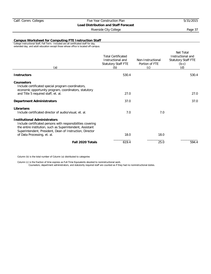Riverside City College **Page 37** 

**Campus Worksheet for Computing FTE Instruction Staff**

College Instructional Staff, Fall Term. Included are all certificated staff for day, extended day, and adult education except those whose office is located off-campus.

| (a)                                                                                                                                                                                                                                                        | <b>Total Certificated</b><br>Instructional and<br><b>Statutory Staff FTE</b><br>(b) | Non-Instructional<br>Portion of FTE<br>(c) | Net Total<br>Instructional and<br><b>Statutory Staff FTE</b><br>$(b-c)$<br>(d) |
|------------------------------------------------------------------------------------------------------------------------------------------------------------------------------------------------------------------------------------------------------------|-------------------------------------------------------------------------------------|--------------------------------------------|--------------------------------------------------------------------------------|
| <b>Instructors</b>                                                                                                                                                                                                                                         | 530.4                                                                               |                                            | 530.4                                                                          |
| <b>Counselors</b><br>Include certificated special program coordinators,<br>economic opportunity program, coordinators, statutory                                                                                                                           |                                                                                     |                                            |                                                                                |
| and Title 5 required staff, et. al.                                                                                                                                                                                                                        | 27.0                                                                                |                                            | 27.0                                                                           |
| <b>Department Administrators</b>                                                                                                                                                                                                                           | 37.0                                                                                |                                            | 37.0                                                                           |
| Librarians<br>Include certificated director of audio/visual, et. al.                                                                                                                                                                                       | 7.0                                                                                 | 7.0                                        |                                                                                |
| <b>Institutional Administrators</b><br>Include certificated persons with responsibilities covering<br>the entire institution, such as Superintendent, Assistant<br>Superintendent, President, Dean of Instruction, Director<br>of Data Processing, et. al. | 18.0                                                                                | 18.0                                       |                                                                                |
| Fall 2020 Totals                                                                                                                                                                                                                                           | 619.4                                                                               | 25.0                                       | 594.4                                                                          |
|                                                                                                                                                                                                                                                            |                                                                                     |                                            |                                                                                |

Column (b) is the total number of Column (a) distributed to categories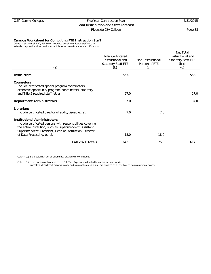Riverside City College **Page 38** 

**Campus Worksheet for Computing FTE Instruction Staff**

College Instructional Staff, Fall Term. Included are all certificated staff for day, extended day, and adult education except those whose office is located off-campus.

| (a)                                                                                                                                                                                                                                                        | <b>Total Certificated</b><br>Instructional and<br>Statutory Staff FTE<br>(b) | Non-Instructional<br>Portion of FTE<br>(c) | Net Total<br>Instructional and<br><b>Statutory Staff FTE</b><br>$(b-c)$<br>(d) |
|------------------------------------------------------------------------------------------------------------------------------------------------------------------------------------------------------------------------------------------------------------|------------------------------------------------------------------------------|--------------------------------------------|--------------------------------------------------------------------------------|
| <b>Instructors</b>                                                                                                                                                                                                                                         | 553.1                                                                        |                                            | 553.1                                                                          |
| <b>Counselors</b><br>Include certificated special program coordinators,<br>economic opportunity program, coordinators, statutory                                                                                                                           |                                                                              |                                            |                                                                                |
| and Title 5 required staff, et. al.                                                                                                                                                                                                                        | 27.0                                                                         |                                            | 27.0                                                                           |
| <b>Department Administrators</b>                                                                                                                                                                                                                           | 37.0                                                                         |                                            | 37.0                                                                           |
| Librarians<br>Include certificated director of audio/visual, et. al.                                                                                                                                                                                       | 7.0                                                                          | 7.0                                        |                                                                                |
| <b>Institutional Administrators</b><br>Include certificated persons with responsibilities covering<br>the entire institution, such as Superintendent, Assistant<br>Superintendent, President, Dean of Instruction, Director<br>of Data Processing, et. al. | 18.0                                                                         | 18.0                                       |                                                                                |
| Fall 2021 Totals                                                                                                                                                                                                                                           | 642.1                                                                        | 25.0                                       | 617.1                                                                          |
|                                                                                                                                                                                                                                                            |                                                                              |                                            |                                                                                |

Column (b) is the total number of Column (a) distributed to categories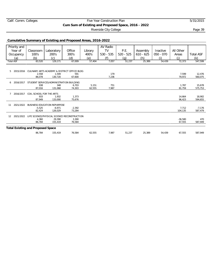## Calif. Comm. Colleges Five Year Construction Plan 5/31/2015 **Cum Sum of Existing and Proposed Space, 2016 - 2022**

Riverside City College **Page 39** 

## **Cumulative Summary of Existing and Proposed Areas, 2016-2022**

|    | Priority and     |                                          |                                          |                                                        |         | AV Radio    |                   |             |             |           |                  |
|----|------------------|------------------------------------------|------------------------------------------|--------------------------------------------------------|---------|-------------|-------------------|-------------|-------------|-----------|------------------|
|    | Year of          | Classroom                                | Laboratory                               | Office                                                 | Library | <b>TV</b>   | P.E.              | Assembly    | Inactive    | All Other |                  |
|    | Occupancy        | 100's                                    | 200's                                    | 300's                                                  | 400's   | $530 - 535$ | $520 - 525$       | $610 - 625$ | $050 - 070$ | Areas     | <b>Total ASF</b> |
|    |                  |                                          |                                          |                                                        |         | (f)         |                   |             | (i)         |           |                  |
|    | (a)              | (b)                                      | (c)                                      | (d)                                                    | (e)     |             | $\left( q\right)$ | (h)         |             | (i)       | (k)              |
|    | <b>Total ASF</b> | 83,520                                   | 129,171                                  | 67,009                                                 | 57,404  | 7,057       | 51,237            | 25,389      | 54,439      | 72,373    | 547,599          |
|    |                  |                                          |                                          |                                                        |         |             |                   |             |             |           |                  |
|    |                  |                                          |                                          |                                                        |         |             |                   |             |             |           |                  |
| 5  |                  |                                          |                                          | 2015/2016 CULINARY ARTS ACADEMY & DISTRICT OFFICE BLDG |         |             |                   |             |             |           |                  |
|    |                  | 2,558                                    | 1,549                                    | 591                                                    |         | 179         |                   |             |             | 7.599     | 12,476           |
|    |                  | 86,078                                   | 130,720                                  | 67,600                                                 |         | 7,236       |                   |             |             | 79,972    | 560,075          |
| 6  | 2016/2017        |                                          | STUDENT SERVICES/ADMINISTRATION BUILDING |                                                        |         |             |                   |             |             |           |                  |
|    |                  | 938                                      | 348                                      | 6.703                                                  | 5,151   | 751         |                   |             |             | 1.787     | 15,678           |
|    |                  | 87,016                                   | 131,068                                  | 74,303                                                 | 62,555  | 7,987       |                   |             |             | 81,759    | 575,753          |
|    |                  |                                          |                                          |                                                        |         |             |                   |             |             |           |                  |
|    | 2016/2017        | COIL SCHOOL FOR THE ARTS                 |                                          |                                                        |         |             |                   |             |             |           |                  |
|    |                  | 933                                      | 1,932                                    | 1,373                                                  |         |             |                   |             |             | 14,664    | 18,902           |
|    |                  | 87,949                                   | 133,000                                  | 75,676                                                 |         |             |                   |             |             | 96,423    | 594,655          |
|    |                  |                                          |                                          |                                                        |         |             |                   |             |             |           |                  |
| 11 | 2021/2022        |                                          | BUSINESS EDUCATION REPURPOSE             |                                                        |         |             |                   |             |             |           |                  |
|    |                  | $-5,525$                                 | $-6,971$                                 | $-2,392$                                               |         |             |                   |             |             | 7,712     | $-7,176$         |
|    |                  | 82,424                                   | 126,029                                  | 73,284                                                 |         |             |                   |             |             | 104,135   | 587,479          |
| 12 | 2021/2022        |                                          |                                          | LIFE SCIENCE/PHYSICAL SCIENCE RECONSTRUCTION           |         |             |                   |             |             |           |                  |
|    |                  | 4,360                                    | 29,390                                   | 3,300                                                  |         |             |                   |             |             | $-36,580$ | 470              |
|    |                  | 86,784                                   | 155,419                                  | 76,584                                                 |         |             |                   |             |             | 67,555    | 587,949          |
|    |                  |                                          |                                          |                                                        |         |             |                   |             |             |           |                  |
|    |                  | <b>Total Existing and Proposed Space</b> |                                          |                                                        |         |             |                   |             |             |           |                  |
|    |                  |                                          |                                          |                                                        |         |             |                   |             |             |           |                  |
|    |                  | 86,784                                   | 155,419                                  | 76,584                                                 | 62,555  | 7,987       | 51,237            | 25,389      | 54,439      | 67,555    | 587,949          |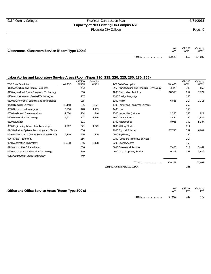## Calif. Comm. Colleges Five Year Construction Plan 5/31/2015 **Capacity of Net Existing On-Campus ASF** Riverside City College **Page 40**

| Classrooms, Classroom Service (Room Type 100's) |        | Net    | ASF/100<br><b>WSCH</b> | Capacity<br>WSCH |
|-------------------------------------------------|--------|--------|------------------------|------------------|
|                                                 | Totals | 83.520 | 42.9                   | 194,685          |

| <b>TOP Code/Description</b>                   | Net ASF | ASF/100<br><b>WSCH</b> | Capacity<br><b>WSCH</b> | <b>TOP Code/Description</b>                  | Net ASF | ASF/100<br><b>WSCH</b> | Capacity<br><b>WSCH</b> |
|-----------------------------------------------|---------|------------------------|-------------------------|----------------------------------------------|---------|------------------------|-------------------------|
| 0100 Agriculture and Natural Resources        |         | 492                    |                         | 0956 Manufacturing and Industrial Technology | 3,329   | 385                    | 865                     |
| 0116 Agricultural Power Equipment Technology  |         | 856                    |                         | 1000 Fine and Applied Arts                   | 18,960  | 257                    | 7,377                   |
| 0200 Architecture and Related Technologies    |         | 257                    |                         | 1100 Foreign Language                        |         | 150                    |                         |
| 0300 Environmental Sciences and Technologies  |         | 235                    |                         | 1200 Health                                  | 6,881   | 214                    | 3,215                   |
| 0400 Biological Sciences                      | 16.148  | 235                    | 6,871                   | 1300 Family and Consumer Sciences            |         | 257                    |                         |
| 0500 Business and Management                  | 5,290   | 128                    | 4,133                   | 1400 Law                                     |         | 150                    |                         |
| 0600 Media and Communications                 | 2,024   | 214                    | 946                     | 1500 Humanities (Letters)                    | 1,236   | 150                    | 824                     |
| 0700 Information Technology                   | 5,671   | 171                    | 3,316                   | 1600 Library Science                         | 2,444   | 150                    | 1,629                   |
| 0800 Education                                |         | 321                    |                         | 1700 Mathematics                             | 8,081   | 150                    | 5,387                   |
| 0900 Engineering & Industrial Technologies    | 4,307   | 321                    | 1,342                   | 1800 Military Studies                        |         | 214                    |                         |
| 0945 Industrial Systems Technology and Mainte |         | 556                    |                         | 1900 Physical Sciences                       | 17,735  | 257                    | 6,901                   |
| 0946 Environmental Control Technology (HVAC)  | 2,109   | 556                    | 379                     | 2000 Psychology                              |         | 150                    |                         |
| 0947 Diesel Technology                        |         | 856                    |                         | 2100 Public and Protective Services          |         | 214                    |                         |
| 0948 Automotive Technology                    | 18,218  | 856                    | 2,128                   | 2200 Social Sciences                         |         | 150                    |                         |
| 0949 Automotive Collison Repair               |         | 856                    |                         | 3000 Commercial Services                     | 7,420   | 214                    | 3,467                   |
| 0950 Aeronautical and Aviation Technology     |         | 749                    |                         | 4900 Interdisciplinary Studies               | 9,318   | 257                    | 3,626                   |
| 0952 Construction Crafts Technology           |         | 749                    |                         |                                              |         |                        |                         |
|                                               |         |                        |                         | Totals                                       | 129,171 |                        | 52,408                  |
|                                               |         |                        |                         | Campus Avg Lab ASF/100 WSCH                  |         | 246                    |                         |

| Office and Office Service Areas (Room Type 300's) |               | Net    | ASF per | Capacity<br><b>FTE</b> |
|---------------------------------------------------|---------------|--------|---------|------------------------|
|                                                   | <b>Totals</b> | 67.009 | 140     | 479                    |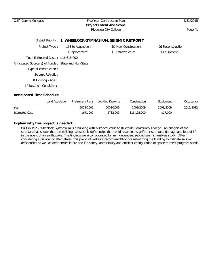| Calif. Comm. Colleges                               | Five Year Construction Plan<br><b>Project Intent And Scope</b> | 5/31/2015                                                 |                            |
|-----------------------------------------------------|----------------------------------------------------------------|-----------------------------------------------------------|----------------------------|
|                                                     |                                                                | Riverside City College                                    | Page 41                    |
|                                                     |                                                                | District Priority: 1 WHEELOCK GYMNASIUM, SEISMIC RETROFIT |                            |
| Project Type:                                       | $\Box$ Site Acquisition                                        | $\boxtimes$ New Construction                              | $\boxtimes$ Reconstruction |
|                                                     | Replacement                                                    | Infrastructure<br>$\perp$                                 | $\Box$ Equipment           |
| Total Estimated Costs: \$16,615,000                 |                                                                |                                                           |                            |
| Anticipated Source(s) of Funds: State and Non-State |                                                                |                                                           |                            |
| Type of construction:                               |                                                                |                                                           |                            |
| Seismic Retrofit:                                   |                                                                |                                                           |                            |
| If Existing - Age :                                 |                                                                |                                                           |                            |
| If Existing - Condition :                           |                                                                |                                                           |                            |

|                       | Land Acquisition Preliminary Plans | Working Drawing | Construction | Equipment | Occupancy |
|-----------------------|------------------------------------|-----------------|--------------|-----------|-----------|
| Year                  | 2008/2009                          | 2008/2009       | 2008/2009    | 2008/2009 | 2011/2012 |
| <b>Estimated Cost</b> | \$671,000                          | \$732,000       | \$15,195,000 | \$17,000  |           |

## **Explain why this project is needed:**

Built in 1928, Wheelock Gymnasium is a building with historical value to Riverside Community College. An analysis of the structure has shown that the building has seismic deficiencies that could result in a significant structural damage and loss of life in the event of an earthquake. The findings were corroborated by an independent second seismic analysis study. After considering a number of alternatives, this proposal makes a recommendation for retrofitting the building to mitigate seismic deficiencies as well as deficiencies in fire and life safety, accessibility and efficient configuration of space to meet program needs.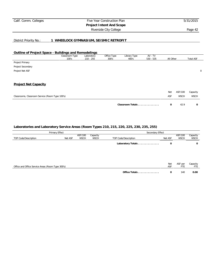## Calif. Comm. Colleges Five Year Construction Plan 5/31/2015 **Project Intent And Scope** Riverside City College **Page 42**

District Priority No.: **1 WHEELOCK GYMNASIUM, SEISMIC RETROFIT**

## **Outline of Project Space - Buildings and Remodelings**

|                                                 | Classroom Type<br>100's | Laboratory<br>$210 - 255$ | Office Type<br>300's | Library Type<br>400's | AV - TV<br>$530 - 535$ | All Other |             | <b>Total ASF</b> |   |
|-------------------------------------------------|-------------------------|---------------------------|----------------------|-----------------------|------------------------|-----------|-------------|------------------|---|
| Project Primary                                 |                         |                           |                      |                       |                        |           |             |                  |   |
| Project Secondary                               |                         |                           |                      |                       |                        |           |             |                  |   |
| Project Net ASF                                 |                         |                           |                      |                       |                        |           |             |                  | 0 |
| <b>Project Net Capacity</b>                     |                         |                           |                      |                       |                        |           |             |                  |   |
|                                                 |                         |                           |                      |                       |                        |           |             |                  |   |
|                                                 |                         |                           |                      |                       |                        | Net       | ASF/100     | Capacity         |   |
| Classrooms, Classroom Service (Room Type 100's) |                         |                           |                      |                       |                        | ASF       | <b>WSCH</b> | <b>WSCH</b>      |   |
|                                                 |                         |                           |                      | Classroom Totals      |                        | 0         | 42.9        | 0                |   |

|                                                   | Primary Effect |                        |                         | Secondary Effect     |            |                        |                  |
|---------------------------------------------------|----------------|------------------------|-------------------------|----------------------|------------|------------------------|------------------|
| TOP Code/Description                              | Net ASF        | ASF/100<br><b>WSCH</b> | Capacity<br><b>WSCH</b> | TOP Code/Description | Net ASF    | ASF/100<br><b>WSCH</b> | Capacity<br>WSCH |
|                                                   |                |                        |                         | Laboratory Totals    | 0          |                        | 0                |
|                                                   |                |                        |                         |                      |            |                        |                  |
|                                                   |                |                        |                         |                      |            |                        |                  |
| Office and Office Service Areas (Room Type 300's) |                |                        |                         |                      | Net<br>ASF | ASF per<br><b>FTE</b>  | Capacity<br>FTE  |
|                                                   |                |                        |                         | Office Totals        | 0          | 140                    | 0.00             |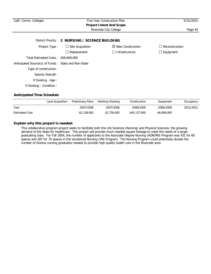| Calif. Comm. Colleges                               | Five Year Construction Plan<br><b>Project Intent And Scope</b> |                              |                       |  |
|-----------------------------------------------------|----------------------------------------------------------------|------------------------------|-----------------------|--|
|                                                     |                                                                | Riverside City College       | Page 43               |  |
|                                                     | District Priority: 2 NURSING / SCIENCE BUILDING                |                              |                       |  |
| Project Type:                                       | $\Box$ Site Acquisition                                        | $\boxtimes$ New Construction | $\Box$ Reconstruction |  |
|                                                     | $\Box$ Replacement                                             | Infrastructure<br>$\perp$    | $\Box$ Equipment      |  |
| Total Estimated Costs: \$56,840,000                 |                                                                |                              |                       |  |
| Anticipated Source(s) of Funds: State and Non-State |                                                                |                              |                       |  |
| Type of construction:                               |                                                                |                              |                       |  |
| Seismic Retrofit:                                   |                                                                |                              |                       |  |
| If Existing - Age:                                  |                                                                |                              |                       |  |
| If Existing - Condition:                            |                                                                |                              |                       |  |

|                       | Land Acquisition | Preliminary Plans | Working Drawing | Construction | Equipment   | Occupancy |
|-----------------------|------------------|-------------------|-----------------|--------------|-------------|-----------|
| Year                  |                  | 2007/2008         | 2007/2008       | 2008/2009    | 2008/2009   | 2011/2012 |
| <b>Estimated Cost</b> |                  | \$2,138,000       | \$2,759,000     | \$45,137,000 | \$6,806,000 |           |

## **Explain why this project is needed:**

This collaborative program project seeks to facilitate both the Life Sciences (Nursing) and Physical Sciences, the growing demand of the State for healthcare. This project will provide much-needed square footage to meet the needs of a larger graduating class. For Fall 2004, the number of applicants to the Associate Degree Nursing (ADN/RN) Program was 431 for 60 spaces and 287 for 70 spaces in the Vocational Nursing (VN) Program. The Nursing Program could potentially double the number of diverse nursing graduates needed to provide high quality health care in the Riverside area.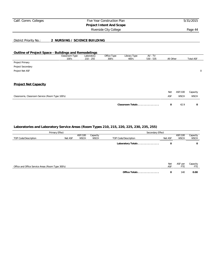## Calif. Comm. Colleges Five Year Construction Plan 5/31/2015 **Project Intent And Scope**

Riverside City College **Page 44** 

District Priority No.: **2 NURSING / SCIENCE BUILDING**

#### **Outline of Project Space - Buildings and Remodelings**

|                                                 | Classroom Type<br>100's | Laboratory<br>$210 - 255$ | Office Type<br>300's | Library Type<br>400's | AV - TV<br>$530 - 535$ | All Other |             | <b>Total ASF</b> |             |
|-------------------------------------------------|-------------------------|---------------------------|----------------------|-----------------------|------------------------|-----------|-------------|------------------|-------------|
| Project Primary                                 |                         |                           |                      |                       |                        |           |             |                  |             |
| Project Secondary                               |                         |                           |                      |                       |                        |           |             |                  |             |
| Project Net ASF                                 |                         |                           |                      |                       |                        |           |             |                  | $\mathbf 0$ |
|                                                 |                         |                           |                      |                       |                        |           |             |                  |             |
| <b>Project Net Capacity</b>                     |                         |                           |                      |                       |                        |           |             |                  |             |
|                                                 |                         |                           |                      |                       |                        | Net       | ASF/100     | Capacity         |             |
| Classrooms, Classroom Service (Room Type 100's) |                         |                           |                      |                       |                        | ASF       | <b>WSCH</b> | <b>WSCH</b>      |             |
|                                                 |                         |                           |                      | Classroom Totals      |                        | 0         | 42.9        | 0                |             |
|                                                 |                         |                           |                      |                       |                        |           |             |                  |             |

|                                                   | Primary Effect |                        | Secondary Effect        |                      |                   |                        |                         |
|---------------------------------------------------|----------------|------------------------|-------------------------|----------------------|-------------------|------------------------|-------------------------|
| TOP Code/Description                              | Net ASF        | ASF/100<br><b>WSCH</b> | Capacity<br><b>WSCH</b> | TOP Code/Description | Net ASF           | ASF/100<br><b>WSCH</b> | Capacity<br><b>WSCH</b> |
|                                                   |                |                        |                         | Laboratory Totals    | 0                 |                        | 0                       |
|                                                   |                |                        |                         |                      |                   |                        |                         |
|                                                   |                |                        |                         |                      |                   |                        |                         |
| Office and Office Service Areas (Room Type 300's) |                |                        |                         |                      | <b>Net</b><br>ASF | ASF per<br><b>FTE</b>  | Capacity<br>FTE         |
|                                                   |                |                        |                         | Office Totals        | 0                 | 140                    | 0.00                    |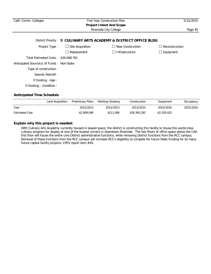| Calif. Comm. Colleges                     |                                 | Five Year Construction Plan                                       | 5/31/2015             |
|-------------------------------------------|---------------------------------|-------------------------------------------------------------------|-----------------------|
|                                           | <b>Project Intent And Scope</b> |                                                                   |                       |
|                                           |                                 | Riverside City College                                            | Page 45               |
|                                           |                                 | District Priority: 5 CULINARY ARTS ACADEMY & DISTRICT OFFICE BLDG |                       |
| Project Type:                             | $\Box$ Site Acquisition         | $\Box$ New Construction                                           | $\Box$ Reconstruction |
|                                           | $\Box$ Replacement              | Infrastructure                                                    | $\Box$ Equipment      |
| Total Estimated Costs: \$34,048,761       |                                 |                                                                   |                       |
| Anticipated Source(s) of Funds: Non-State |                                 |                                                                   |                       |
| Type of construction:                     |                                 |                                                                   |                       |
| Seismic Retrofit:                         |                                 |                                                                   |                       |
| If Existing - Age:                        |                                 |                                                                   |                       |
| If Existing - Condition :                 |                                 |                                                                   |                       |
|                                           |                                 |                                                                   |                       |

|                       | Land Acquisition | Preliminary Plans | Working Drawing | Construction | Equipment   | Occupancy |
|-----------------------|------------------|-------------------|-----------------|--------------|-------------|-----------|
| Year                  |                  | 2012/2013         | 2012/2013       | 2013/2014    | 2015/2016   | 2015/2016 |
| <b>Estimated Cost</b> |                  | \$2,909,048       | \$211,006       | \$28,393,282 | \$2,535,425 |           |

## **Explain why this project is needed:**

With Culinary Arts Academy currently housed in leased space, the district is constructing this facility to house this world-class culinary program for display at one of the busiest corners in downtown Riverside. The two floors of office space above the CAA first floor will house the entire core District administrative functions, while removing District functions from the RCC campus. Removal of these functions from the RCC campus will increase RCC's eligibility to compete for future State funding for its many future capital facility projects. CPES report item #45.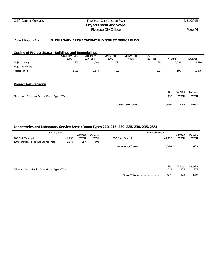#### District Priority No.: **5 CULINARY ARTS ACADEMY & DISTRICT OFFICE BLDG**

#### **Outline of Project Space - Buildings and Remodelings**

|                                                 | Classroom Type<br>100's | Laboratory<br>$210 - 255$ | Office Type<br>300's | Library Type<br>400's | $AV - TV$<br>$530 - 535$ | All Other |             | <b>Total ASF</b> |
|-------------------------------------------------|-------------------------|---------------------------|----------------------|-----------------------|--------------------------|-----------|-------------|------------------|
| Project Primary                                 | 2,558                   | 1,549                     | 591                  |                       | 179                      |           | 7,599       | 12,476           |
| Project Secondary                               |                         |                           |                      |                       |                          |           |             |                  |
| Project Net ASF                                 | 2,558                   | 1,549                     | 591                  |                       | 179                      |           | 7,599       | 12,476           |
| <b>Project Net Capacity</b>                     |                         |                           |                      |                       |                          |           |             |                  |
|                                                 |                         |                           |                      |                       |                          | Net       | ASF/100     | Capacity         |
| Classrooms, Classroom Service (Room Type 100's) |                         |                           |                      |                       |                          | ASF       | <b>WSCH</b> | <b>WSCH</b>      |
|                                                 |                         |                           |                      | Classroom Totals      |                          | 2,558     | 42.9        | 5,963            |

| Primary Effect                                    |         |                        |                         | Secondary Effect     |         |                        |                         |  |  |
|---------------------------------------------------|---------|------------------------|-------------------------|----------------------|---------|------------------------|-------------------------|--|--|
| TOP Code/Description                              | Net ASF | ASF/100<br><b>WSCH</b> | Capacity<br><b>WSCH</b> | TOP Code/Description | Net ASF | ASF/100<br><b>WSCH</b> | Capacity<br><b>WSCH</b> |  |  |
| 1300 Nutrition, Foods, and Culinary Arts          | 1,549   | 257                    | 603                     |                      |         |                        |                         |  |  |
|                                                   |         |                        |                         | Laboratory Totals    | 1,549   |                        | 603                     |  |  |
|                                                   |         |                        |                         |                      |         |                        |                         |  |  |
|                                                   |         |                        |                         |                      |         |                        |                         |  |  |
|                                                   |         |                        |                         |                      | Net     | ASF per                | Capacity                |  |  |
| Office and Office Service Areas (Room Type 300's) |         |                        |                         |                      | ASF     | <b>FTE</b>             | FTE                     |  |  |
|                                                   |         |                        |                         | Office Totals        | 591     | 140                    | 4.22                    |  |  |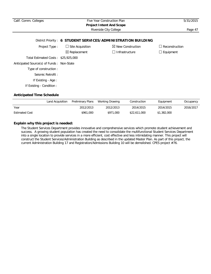| Calif. Comm. Colleges                     | Five Year Construction Plan | 5/31/2015                                                     |                  |  |  |  |  |
|-------------------------------------------|-----------------------------|---------------------------------------------------------------|------------------|--|--|--|--|
|                                           |                             | <b>Project Intent And Scope</b><br>Riverside City College     | Page 47          |  |  |  |  |
|                                           |                             |                                                               |                  |  |  |  |  |
|                                           |                             | District Priority: 6 STUDENT SERVICES/ADMINISTRATION BUILDING |                  |  |  |  |  |
| Project Type:                             | $\Box$ Site Acquisition     | $\boxtimes$ New Construction                                  | Reconstruction   |  |  |  |  |
|                                           | $\boxtimes$ Replacement     | Infrastructure<br>$\mathsf{L}$                                | $\Box$ Equipment |  |  |  |  |
| Total Estimated Costs: \$25,925,000       |                             |                                                               |                  |  |  |  |  |
| Anticipated Source(s) of Funds: Non-State |                             |                                                               |                  |  |  |  |  |
| Type of construction:                     |                             |                                                               |                  |  |  |  |  |
| Seismic Retrofit:                         |                             |                                                               |                  |  |  |  |  |
| If Existing - Age:                        |                             |                                                               |                  |  |  |  |  |
| If Existing - Condition:                  |                             |                                                               |                  |  |  |  |  |

|                       | Land Acquisition | Preliminary Plans | Working Drawing | Construction | Equipment   | Occupancy |
|-----------------------|------------------|-------------------|-----------------|--------------|-------------|-----------|
| Year                  |                  | 2012/2013         | 2012/2013       | 2014/2015    | 2014/2015   | 2016/2017 |
| <b>Estimated Cost</b> |                  | \$961,000         | \$971,000       | \$22,611,000 | \$1,382,000 |           |

## **Explain why this project is needed:**

The Student Services Department provides innovative and comprehensive services which promote student achievement and success. A growing student population has created the need to consolidate the multifunctional Student Services Department into a single location to provide services in a more efficient, cost effective and less intimidating manner. This project will construct the Student Services/Administration Building as described in the updated Master Plan. As part of this project, the current Administration Building 17 and Registration/Admissions Building 10 will be demolished. CPES project #76.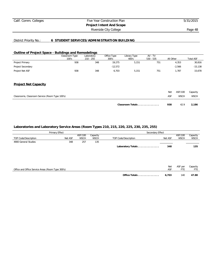## Calif. Comm. Colleges Five Year Construction Plan 5/31/2015 **Project Intent And Scope** Riverside City College **Page 48**

## District Priority No.: **6 STUDENT SERVICES/ADMINISTRATION BUILDING**

#### **Outline of Project Space - Buildings and Remodelings**

| Classroom Type<br>100's | Laboratory<br>$210 - 255$ | Office Type<br>300's | Library Type<br>400's | $AV - TV$<br>$530 - 535$ | All Other | <b>Total ASF</b> |
|-------------------------|---------------------------|----------------------|-----------------------|--------------------------|-----------|------------------|
| 938                     | 348                       | 19,275               | 5,151                 | 751                      | 4,353     | 30,816           |
|                         |                           | $-12,572$            |                       |                          | $-2,566$  | $-15,138$        |
| 938                     | 348                       | 6.703                | 5.151                 | 751                      | 1.787     | 15,678           |
|                         |                           |                      |                       |                          |           |                  |

#### **Project Net Capacity**

|                                                 | 938<br>Classroom Totals | 42.9        | 2,186       |
|-------------------------------------------------|-------------------------|-------------|-------------|
| Classrooms, Classroom Service (Room Type 100's) | ASF                     | <b>WSCH</b> | <b>WSCH</b> |
|                                                 | Net                     | ASF/100     | Capacity    |

|                                                   | Primary Effect |                        |                         | Secondary Effect     |            |                        |                         |  |  |
|---------------------------------------------------|----------------|------------------------|-------------------------|----------------------|------------|------------------------|-------------------------|--|--|
| TOP Code/Description                              | Net ASF        | ASF/100<br><b>WSCH</b> | Capacity<br><b>WSCH</b> | TOP Code/Description | Net ASF    | ASF/100<br><b>WSCH</b> | Capacity<br><b>WSCH</b> |  |  |
| 4900 General Studies                              | 348            | 257                    | 135                     |                      |            |                        |                         |  |  |
|                                                   |                |                        |                         | Laboratory Totals    | 348        |                        | 135                     |  |  |
|                                                   |                |                        |                         |                      |            |                        |                         |  |  |
| Office and Office Service Areas (Room Type 300's) |                |                        |                         |                      | Net<br>ASF | ASF per<br><b>FTE</b>  | Capacity<br>FTE         |  |  |
|                                                   |                |                        |                         | Office Totals        | 6,703      | 140                    | 47.88                   |  |  |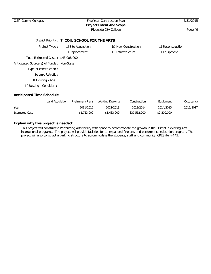| Calif. Comm. Colleges                     | Five Year Construction Plan<br><b>Project Intent And Scope</b> | 5/31/2015                    |                  |
|-------------------------------------------|----------------------------------------------------------------|------------------------------|------------------|
|                                           | Riverside City College                                         | Page 49                      |                  |
|                                           | District Priority: 7 COIL SCHOOL FOR THE ARTS                  |                              |                  |
| Project Type:                             | $\Box$ Site Acquisition                                        | $\boxtimes$ New Construction | Reconstruction   |
|                                           | Replacement                                                    | Infrastructure               | $\Box$ Equipment |
| Total Estimated Costs: \$43,088,000       |                                                                |                              |                  |
| Anticipated Source(s) of Funds: Non-State |                                                                |                              |                  |
| Type of construction :                    |                                                                |                              |                  |
| Seismic Retrofit:                         |                                                                |                              |                  |
| If Existing - Age:                        |                                                                |                              |                  |
| If Existing - Condition:                  |                                                                |                              |                  |
|                                           |                                                                |                              |                  |

|                       | Land Acquisition | Preliminary Plans | Working Drawing | Construction | Equipment   | Occupancy |
|-----------------------|------------------|-------------------|-----------------|--------------|-------------|-----------|
| Year                  |                  | 2011/2012         | 2012/2013       | 2013/2014    | 2014/2015   | 2016/2017 |
| <b>Estimated Cost</b> |                  | \$1,753,000       | \$1,483,000     | \$37,552,000 | \$2,300,000 |           |

## **Explain why this project is needed:**

This project will construct a Performing Arts facility with space to accommodate the growth in the District`s existing Arts instructional programs. The project will provide facilities for an expanded fine arts and performance education program. The project will also construct a parking structure to accommodate the students, staff and community. CPES item #43.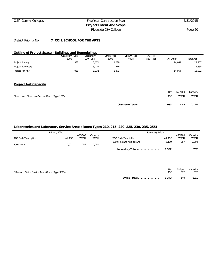## Calif. Comm. Colleges Five Year Construction Plan 5/31/2015 **Project Intent And Scope**

Riverside City College **Page 50** 

## District Priority No.: **7 COIL SCHOOL FOR THE ARTS**

## **Outline of Project Space - Buildings and Remodelings**

|                                                 | Classroom Type | Laboratory<br>$210 - 255$ | Office Type | Library Type     | AV - TV<br>$530 - 535$ | All Other |             | <b>Total ASF</b> |
|-------------------------------------------------|----------------|---------------------------|-------------|------------------|------------------------|-----------|-------------|------------------|
|                                                 | 100's          |                           | 300's       | 400's            |                        |           |             |                  |
| Project Primary                                 | 933            | 7,071                     | 2,089       |                  |                        |           | 14,664      | 24,757           |
| Project Secondary                               |                | $-5,139$                  | $-716$      |                  |                        |           |             | $-5,855$         |
| Project Net ASF                                 | 933            | 1,932                     | 1,373       |                  |                        |           | 14,664      | 18,902           |
| <b>Project Net Capacity</b>                     |                |                           |             |                  |                        |           |             |                  |
|                                                 |                |                           |             |                  |                        | Net       | ASF/100     | Capacity         |
| Classrooms, Classroom Service (Room Type 100's) |                |                           |             |                  |                        | ASF       | <b>WSCH</b> | <b>WSCH</b>      |
|                                                 |                |                           |             | Classroom Totals |                        | 933       | 42.9        | 2,175            |

| Primary Effect |                        |                         | Secondary Effect           |          |                        |                         |
|----------------|------------------------|-------------------------|----------------------------|----------|------------------------|-------------------------|
| Net ASF        | ASF/100<br><b>WSCH</b> | Capacity<br><b>WSCH</b> | TOP Code/Description       | Net ASF  | ASF/100<br><b>WSCH</b> | Capacity<br><b>WSCH</b> |
| 7.071          | 257                    | 2.751                   | 1000 Fine and Applied Arts | $-5.139$ | 257                    | $-2,000$                |
|                |                        |                         | Laboratory Totals          | 1.932    |                        | 752                     |
|                |                        |                         |                            |          |                        |                         |

| Office and Office Service Areas (Room Type 300's) |               | Net<br>ASF | ASF per | Capacity |
|---------------------------------------------------|---------------|------------|---------|----------|
|                                                   | Office Totals | 1.373      | 140     | 9.81     |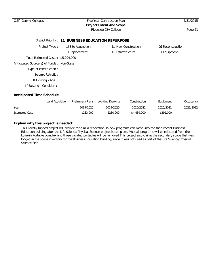| Calif. Comm. Colleges                      | Five Year Construction Plan<br><b>Project Intent And Scope</b> | 5/31/2015                  |                            |
|--------------------------------------------|----------------------------------------------------------------|----------------------------|----------------------------|
|                                            | Riverside City College                                         | Page 51                    |                            |
|                                            | District Priority: 11 BUSINESS EDUCATION REPURPOSE             |                            |                            |
| Project Type:                              | $\Box$ Site Acquisition                                        | New Construction<br>$\Box$ | $\boxtimes$ Reconstruction |
|                                            | $\Box$ Replacement                                             | Infrastructure<br>$\Box$   | $\Box$ Equipment           |
| Total Estimated Costs: \$5,294,000         |                                                                |                            |                            |
| Anticipated Source(s) of Funds : Non-State |                                                                |                            |                            |
| Type of construction :                     |                                                                |                            |                            |
| Seismic Retrofit:                          |                                                                |                            |                            |
| If Existing - Age :                        |                                                                |                            |                            |
| If Existing - Condition:                   |                                                                |                            |                            |
| <b>Anticipated Time Schedule</b>           |                                                                |                            |                            |

|                       | Land Acquisition | Preliminary Plans | Working Drawing | Construction | Equipment | Occupancy |
|-----------------------|------------------|-------------------|-----------------|--------------|-----------|-----------|
| Year                  |                  | 2019/2020         | 2019/2020       | 2020/2021    | 2020/2021 | 2021/2022 |
| <b>Estimated Cost</b> |                  | \$233,000         | \$230,000       | \$4,439,000  | \$392,000 |           |

## **Explain why this project is needed:**

This Locally funded project will provide for a mild renovation so new programs can move into the then vacant Business Education building after the Life Science/Physical Science project is complete. Most all programs will be relocated from the Lovekin Portable complex and those vacated portables will be removed. This project also claims the secondary space that was logged in the space inventory for the Business Education building, since it was not used as part of the Life Science/Physical Science FPP.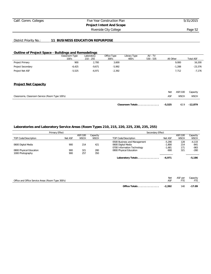## Calif. Comm. Colleges Five Year Construction Plan 5/31/2015 **Project Intent And Scope**

Riverside City College **Page 52** 

## District Priority No.: **11 BUSINESS EDUCATION REPURPOSE**

## **Outline of Project Space - Buildings and Remodelings**

|                   | Classroom Type<br>100's | $\cdot$<br>Laboratory<br>$210 - 255$ | Office Type<br>300's | Library Type<br>400's | AV - TV<br>$530 - 535$ | All Other | <b>Total ASF</b> |
|-------------------|-------------------------|--------------------------------------|----------------------|-----------------------|------------------------|-----------|------------------|
| Project Primary   | 900                     | 2,700                                | 3,600                |                       |                        | 9,000     | 16,200           |
| Project Secondary | $-6,425$                | $-9.671$                             | $-5,992$             |                       |                        | $-1,288$  | $-23,376$        |
| Project Net ASF   | $-5,525$                | $-6.971$                             | $-2,392$             |                       |                        | 7.712     | $-7,176$         |
|                   |                         |                                      |                      |                       |                        |           |                  |
|                   |                         |                                      |                      |                       |                        |           |                  |

## **Project Net Capacity**

|                                                 | Classroom Totals | -5,525 |             | 42.9 - 12.879 |
|-------------------------------------------------|------------------|--------|-------------|---------------|
| Classrooms, Classroom Service (Room Type 100's) |                  | ASF    | <b>WSCH</b> | WSCH          |
|                                                 |                  | Net    | ASF/100     | Capacity      |

| Primary Effect          |         |             | Secondary Effect |                              |          |             |             |
|-------------------------|---------|-------------|------------------|------------------------------|----------|-------------|-------------|
|                         |         | ASF/100     | Capacity         |                              |          | ASF/100     | Capacity    |
| TOP Code/Description    | Net ASF | <b>WSCH</b> | <b>WSCH</b>      | TOP Code/Description         | Net ASF  | <b>WSCH</b> | <b>WSCH</b> |
|                         |         |             |                  | 0500 Business and Management | $-5.290$ | 128         | $-4,133$    |
| 0600 Digital Media      | 900     | 214         | 421              | 0600 Digital Media           | $-1,800$ | 214         | $-841$      |
|                         |         |             |                  | 0700 Information Technology  | $-1,681$ | 171         | $-983$      |
| 0800 Physical Education | 900     | 321         | 280              | 0800 Physical Education      | $-900$   | 321         | $-280$      |
| 1000 Photography        | 900     | 257         | 350              |                              |          |             |             |
|                         |         |             |                  | Laboratory Totals            | $-6.971$ |             | $-5.186$    |

|                                                   | Net                       | ASF per | Capacity |
|---------------------------------------------------|---------------------------|---------|----------|
| Office and Office Service Areas (Room Type 300's) |                           |         |          |
|                                                   |                           |         |          |
|                                                   | $-2.392$<br>Office Totals | 140     | $-17.09$ |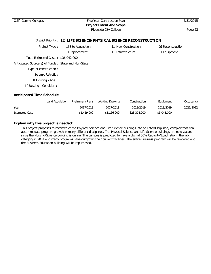| Calif. Comm. Colleges                                              | Five Year Construction Plan<br><b>Project Intent And Scope</b> | 5/31/2015                |                            |  |  |  |  |  |
|--------------------------------------------------------------------|----------------------------------------------------------------|--------------------------|----------------------------|--|--|--|--|--|
|                                                                    | Riverside City College                                         |                          |                            |  |  |  |  |  |
| District Priority: 12 LIFE SCIENCE/PHYSICAL SCIENCE RECONSTRUCTION |                                                                |                          |                            |  |  |  |  |  |
| Project Type:                                                      | $\Box$ Site Acquisition                                        | New Construction         | $\boxtimes$ Reconstruction |  |  |  |  |  |
|                                                                    | $\Box$ Replacement                                             | Infrastructure<br>$\Box$ | $\Box$ Equipment           |  |  |  |  |  |
| Total Estimated Costs: \$36,042,000                                |                                                                |                          |                            |  |  |  |  |  |
| Anticipated Source(s) of Funds: State and Non-State                |                                                                |                          |                            |  |  |  |  |  |
| Type of construction :                                             |                                                                |                          |                            |  |  |  |  |  |
| Seismic Retrofit:                                                  |                                                                |                          |                            |  |  |  |  |  |
| If Existing - Age:                                                 |                                                                |                          |                            |  |  |  |  |  |
| If Existing - Condition:                                           |                                                                |                          |                            |  |  |  |  |  |

|                       | Land Acquisition | Preliminary Plans | Working Drawing | Construction | Equipment   | Occupancy |
|-----------------------|------------------|-------------------|-----------------|--------------|-------------|-----------|
| Year                  |                  | 2017/2018         | 2017/2018       | 2018/2019    | 2018/2019   | 2021/2022 |
| <b>Estimated Cost</b> |                  | \$1,459,000       | \$1,166,000     | \$28,374,000 | \$5,043,000 |           |

## **Explain why this project is needed:**

This project proposes to reconstruct the Physical Science and Life Science buildings into an Interdisciplinary complex that can accommodate program growth in many different disciplines. The Physical Science and Life Science buildings are now vacant since the Nursing/Science building is online. The campus is predicted to have a dismal 50% Capacity/Load ratio in the lab category in 2014 and many programs have outgrown their current facilities. The entire Business program will be relocated and the Business Education building will be repurposed.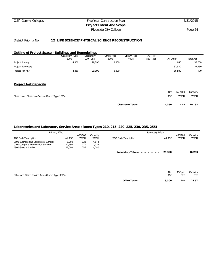## Calif. Comm. Colleges Five Year Construction Plan 5/31/2015 **Project Intent And Scope** Riverside City College **Page 54**

#### District Priority No.: **12 LIFE SCIENCE/PHYSICAL SCIENCE RECONSTRUCTION**

#### **Outline of Project Space - Buildings and Remodelings**

|                                                 | Classroom Type | Laboratory  | Office Type | Library Type     | $AV - TV$   |           |             |                  |
|-------------------------------------------------|----------------|-------------|-------------|------------------|-------------|-----------|-------------|------------------|
|                                                 | 100's          | $210 - 255$ | 300's       | 400's            | $530 - 535$ | All Other |             | <b>Total ASF</b> |
| Project Primary                                 | 4,360          | 29,390      | 3,300       |                  |             |           | 950         | 38,000           |
| Project Secondary                               |                |             |             |                  |             |           | $-37,530$   | $-37,530$        |
| Project Net ASF                                 | 4,360          | 29,390      | 3,300       |                  |             |           | $-36,580$   | 470              |
| <b>Project Net Capacity</b>                     |                |             |             |                  |             |           |             |                  |
|                                                 |                |             |             |                  |             | Net       | ASF/100     | Capacity         |
| Classrooms, Classroom Service (Room Type 100's) |                |             |             |                  |             | ASF       | <b>WSCH</b> | <b>WSCH</b>      |
|                                                 |                |             |             | Classroom Totals |             | 4,360     | 42.9        | 10,163           |

| Primary Effect                      |         |             |             | Secondary Effect     |         |             |             |  |  |
|-------------------------------------|---------|-------------|-------------|----------------------|---------|-------------|-------------|--|--|
|                                     |         | ASF/100     | Capacity    |                      |         | ASF/100     | Capacity    |  |  |
| TOP Code/Description                | Net ASF | <b>WSCH</b> | <b>WSCH</b> | TOP Code/Description | Net ASF | <b>WSCH</b> | <b>WSCH</b> |  |  |
| 0500 Business and Commerce, General | 6.200   | 128         | 4.844       |                      |         |             |             |  |  |
| 0700 Computer Information Systems   | 12.190  | 171         | .129        |                      |         |             |             |  |  |
| 4900 General Studies                | 11.000  | 257         | 4.280       |                      |         |             |             |  |  |
|                                     |         |             |             | Laboratory Totals    | 29,390  |             | 16,253      |  |  |

|                                                   | Net                    | ASF per | Capacity |
|---------------------------------------------------|------------------------|---------|----------|
| Office and Office Service Areas (Room Type 300's) | ASF                    |         |          |
|                                                   |                        |         |          |
|                                                   | 3,300<br>Office Totals | 140     | 23.57    |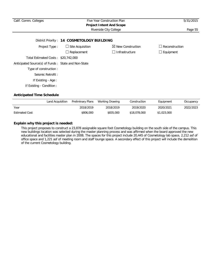| Calif. Comm. Colleges                               | 5/31/2015                                  |                              |                       |
|-----------------------------------------------------|--------------------------------------------|------------------------------|-----------------------|
|                                                     |                                            |                              |                       |
|                                                     |                                            | Riverside City College       | Page 55               |
|                                                     | District Priority: 14 COSMETOLOGY BUILDING |                              |                       |
| Project Type:                                       | $\Box$ Site Acquisition                    | $\boxtimes$ New Construction | $\Box$ Reconstruction |
|                                                     | $\Box$ Replacement                         | $\Box$ Infrastructure        | $\Box$ Equipment      |
| Total Estimated Costs: \$20,742,000                 |                                            |                              |                       |
| Anticipated Source(s) of Funds: State and Non-State |                                            |                              |                       |
| Type of construction:                               |                                            |                              |                       |
| Seismic Retrofit:                                   |                                            |                              |                       |
| If Existing - Age :                                 |                                            |                              |                       |
| If Existing - Condition :                           |                                            |                              |                       |
|                                                     |                                            |                              |                       |

|                       | Land Acquisition Preliminary Plans | Working Drawing | Construction | Equipment   | Occupancy |
|-----------------------|------------------------------------|-----------------|--------------|-------------|-----------|
| Year                  | 2018/2019                          | 2018/2019       | 2019/2020    | 2020/2021   | 2022/2023 |
| <b>Estimated Cost</b> | \$806,000                          | \$835,000       | \$18,078,000 | \$1,023,000 |           |

## **Explain why this project is needed:**

This project proposes to construct a 23,878 assignable square foot Cosmetology building on the south side of the campus. This new buildings location was selected during the master planning process and was affirmed when the board approved the new educational and facilities master plan in 2008. The spaces for this project include 20,445 of Cosmetology lab space, 2,212 asf of office space and 1,221 asf of meeting room and staff lounge space. A secondary effect of this project will include the demolition of the current Cosmetology building.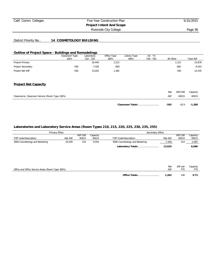## Calif. Comm. Colleges Five Year Construction Plan 5/31/2015 **Project Intent And Scope**

Riverside City College **Page 56** 

## District Priority No.: **14 COSMETOLOGY BUILDING**

## **Outline of Project Space - Buildings and Remodelings**

|                                                 | Classroom Type<br>100's | Laboratory<br>$210 - 255$ | Office Type<br>300's | Library Type<br>400's | AV - TV<br>$530 - 535$ | All Other |             | <b>Total ASF</b> |
|-------------------------------------------------|-------------------------|---------------------------|----------------------|-----------------------|------------------------|-----------|-------------|------------------|
| Project Primary                                 |                         | 20,445                    | 2,212                |                       |                        |           | 1,221       | 23,878           |
| Project Secondary                               | $-592$                  | $-7,420$                  | $-850$               |                       |                        |           | $-681$      | $-9,543$         |
| Project Net ASF                                 | $-592$                  | 13,025                    | 1,362                |                       |                        |           | 540         | 14,335           |
| <b>Project Net Capacity</b>                     |                         |                           |                      |                       |                        |           |             |                  |
|                                                 |                         |                           |                      |                       |                        | Net       | ASF/100     | Capacity         |
| Classrooms, Classroom Service (Room Type 100's) |                         |                           |                      |                       |                        | ASF       | <b>WSCH</b> | <b>WSCH</b>      |
|                                                 |                         |                           |                      | Classroom Totals      |                        | $-592$    | 42.9        | $-1,380$         |

|                                | Primary Effect |             |             | Secondary Effect               |          |             |             |
|--------------------------------|----------------|-------------|-------------|--------------------------------|----------|-------------|-------------|
|                                |                | ASF/100     | Capacity    |                                |          | ASF/100     | Capacity    |
| TOP Code/Description           | Net ASF        | <b>WSCH</b> | <b>WSCH</b> | TOP Code/Description           | Net ASF  | <b>WSCH</b> | <b>WSCH</b> |
| 3000 Cosmetology and Barbering | 20.445         | 214         | 9.554       | 3000 Cosmetology and Barbering | $-7,420$ | 214         | $-3,467$    |
|                                |                |             |             | Laboratory Totals              | 13.025   |             | 6,086       |

| Office and Office Service Areas (Room Type 300's) |               | <b>Net</b><br>ASF | ASF per | Capacity |
|---------------------------------------------------|---------------|-------------------|---------|----------|
|                                                   | Office Totals | 1,362             | 140     | 9.73     |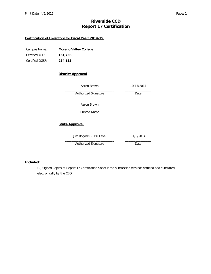# **Riverside CCD Report 17 Certification**

## **Certification of Inventory for Fiscal Year: 2014-15**

| Campus Name:    | <b>Moreno Valley College</b> |
|-----------------|------------------------------|
| Certified ASF:  | 151,756                      |
| Certified OGSF: | 234,133                      |

## **District Approval**

| Aaron Brown             | 10/17/2014 |
|-------------------------|------------|
| Authorized Signature    | Date       |
| Aaron Brown             |            |
| Printed Name            |            |
| <b>State Approval</b>   |            |
| Jim Rogaski - FPU Level | 11/3/2014  |
| Authorized Signature    | Date       |

## **Included:**

(2) Signed Copies of Report 17 Certification Sheet if the submission was not certified and submitted electronically by the CBO.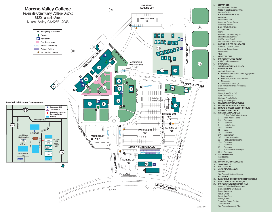

#### 1. **LIBRARY (LIB)** Disabled Student Services Middle College High School Office Veterans Services 2. **STUDENT SERVICES (STU)** Admissions Assessment Center Career and Transfer Center Counseling Services Dean of Student Services E.O.P.S./CARE Puente Renaissance Scholars Program Student Financial Services UBMS (Upward Bound) Vice President, Student Services<br>3 SCIENCE AND TECHNOLOGY **SCIENCE AND TECHNOLOGY (SCI)**  Computer Lab/STEM Center Grants and College Support Science Labs TRiO 4. **LIONS' DEN CAFE** 5. **STUDENT ACTIVITIES CENTER** ASMVC Student Government 6. **BOOKSTORE** 7. **JOHN M. COUDURES, JR. PLAZA** 8. **HUMANITIES (HM)** Academic Departments: • Business and Information Technology Systems • Communications

- • Humanities, Arts and Social Sciences
	- Mathematics
- • Science and Kinesiology Dean of Student Services (Counseling)

**Evaluations** 

- Math Lab
- Meeting Room (HUM 234) Open Computer Lab
	- Workforce Prep/CalWorks
- Writing and Reading Lab<br>PHASE I MECHANICAL
- 9. **PHASE I MECHANICAL BUILDING**
- 10. **PHASE II MECHANICAL BUILDING**
- 11. **EDMUND C. JAEGER DESERT INSTITUTE**
- 12. **CROSS COUNTRY TRACK**
- 13. **PARKSIDE COMPLEX (PSC)**
	- College Police/Parking Services Music Practice Rooms
	- 3-4 Classrooms
	- 5 Restrooms
- 6 Health Services
	- 7-10 Classrooms
	- 11 Music
- 12 Classroom
- 14A Meeting Room
	- 14B Human Services Lab
- 15 Health Science Programs
	- 16-18 Classrooms19 Restrooms
- 20 Classroom
- 21 Physician Assistant Program
- 22-23 Classrooms
- 13A. **PSC WAREHOUSE**
- Facilities OfficeMailroom
- 13B. **PSC MULTIPURPOSE BUILDING**
- 14. **SPORTS FIELDS**
- 15. **COLLEGE PARK**
- 16. **ADMINISTRATION ANNEX President**
- Vice President, Business Services<br>17. **HEADSTART** 17. **HEADSTART**
- 18. **EARLY CHILDHOOD EDUCATION CENTER (ECEM)**
- 19. **DENTAL EDUCATION CENTER (DEC)**
- 20. **STUDENT ACADEMIC SERVICES (SAS)** Center for Professional Development Dean, Institutional Effectiveness
- **Dean of Instruction** 
	- Faculty Offices
	- Faculty Work Room
	- Meeting Rooms
	- Technology Support Services
	- Tutorial Services
- Vice President, Academic Affairs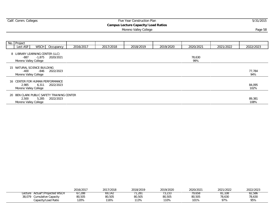| Calif. Comm. Colleges           |                                                                  |           |           | Five Year Construction Plan                                         |           |               |           | 5/31/2015      |
|---------------------------------|------------------------------------------------------------------|-----------|-----------|---------------------------------------------------------------------|-----------|---------------|-----------|----------------|
|                                 |                                                                  |           |           | <b>Campus Lecture Capacity/Load Ratios</b><br>Moreno Valley College |           |               |           | Page 58        |
|                                 |                                                                  |           |           |                                                                     |           |               |           |                |
| No. Project<br>Lect ASF         | <b>WSCH</b><br>Occupancy                                         | 2016/2017 | 2017/2018 | 2018/2019                                                           | 2019/2020 | 2020/2021     | 2021/2022 | 2022/2023      |
| $-887$<br>Moreno Valley College | 8 LIBRARY LEARNING CENTER (LLC)<br>-1,875<br>2020/2021           |           |           |                                                                     |           | 78,630<br>99% |           |                |
| -400<br>Moreno Valley College   | 15 NATURAL SCIENCE BUILDING<br>2022/2023<br>-846                 |           |           |                                                                     |           |               |           | 77,784<br>94%  |
| 2,985<br>Moreno Valley College  | 16 CENTER FOR HUMAN PERFORMANCE<br>6,311<br>2022/2023            |           |           |                                                                     |           |               |           | 84,095<br>102% |
| 2,500<br>Moreno Valley College  | 20 BEN CLARK PUBLIC SAFETY TRAINING CENTER<br>5,285<br>2022/2023 |           |           |                                                                     |           |               |           | 89,381<br>108% |

|                                    | 2016/2017 | 2017/2018 | 2018/2019     | 2019/2020 | 2020/2021 | 2021/2022 | 2022/2023 |
|------------------------------------|-----------|-----------|---------------|-----------|-----------|-----------|-----------|
| Actual*/Proiected WSCH<br>'_ecture | 67,288    | 69.142    | $.28^{\circ}$ | دد∠,د ∨   | 79,658    | 81.108    | 82,586    |
| 38,079<br>Cumulative Capacity      | 80,505    | 80,505    | 80,505        | 80,505    | 80,505    | 78,630    | 78,630    |
| Capacity/Load Ratio                | 120%      | 116%      | 113%          | 110%      | 101%      | 97%       | 95%       |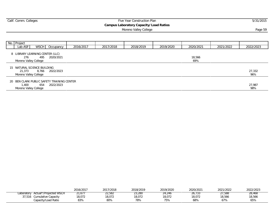| Calif. Comm. Colleges |                                            |           |           |                                                                                                       |           | 5/31/2015 |  |
|-----------------------|--------------------------------------------|-----------|-----------|-------------------------------------------------------------------------------------------------------|-----------|-----------|--|
|                       |                                            |           |           |                                                                                                       |           |           |  |
|                       |                                            |           |           |                                                                                                       |           | Page 59   |  |
|                       |                                            |           |           |                                                                                                       |           |           |  |
|                       |                                            |           |           |                                                                                                       |           |           |  |
|                       |                                            |           |           |                                                                                                       |           |           |  |
| 2016/2017             | 2017/2018                                  | 2018/2019 | 2019/2020 | 2020/2021                                                                                             | 2021/2022 | 2022/2023 |  |
|                       |                                            |           |           |                                                                                                       |           |           |  |
|                       |                                            |           |           |                                                                                                       |           |           |  |
|                       |                                            |           |           | 69%                                                                                                   |           |           |  |
|                       |                                            |           |           |                                                                                                       |           |           |  |
|                       |                                            |           |           |                                                                                                       |           | 27,332    |  |
|                       |                                            |           |           |                                                                                                       |           | 96%       |  |
|                       |                                            |           |           |                                                                                                       |           |           |  |
|                       |                                            |           |           |                                                                                                       |           | 27,987    |  |
|                       |                                            |           |           |                                                                                                       |           | 98%       |  |
|                       | 20 BEN CLARK PUBLIC SAFETY TRAINING CENTER |           |           | Five Year Construction Plan<br><b>Campus Laboratory Capacity/Load Ratios</b><br>Moreno Valley College | 18,566    |           |  |

|                                      | 2016/2017 | 2017/2018<br>ົດລາ: | 2018/2019 | 2019/2020     | 2020/2021 | 2021/2022 | 2022/2023 |
|--------------------------------------|-----------|--------------------|-----------|---------------|-----------|-----------|-----------|
| Actual*/Projected WSCH<br>Laboratory | 21,677    | 22,582             | 23.280    | <b>24,246</b> | 20,733    | 27,588    | 28,468    |
| 37,516<br>Cumulative Capacity        | 18,072    | 8,072              | 18.072    | 18.072        | 18.072    | 18,566    | 18,566    |
| Capacity/Load Ratio                  | 83%       | 80%                | 78%       | 75%           | 68%       | 67%       | 65%       |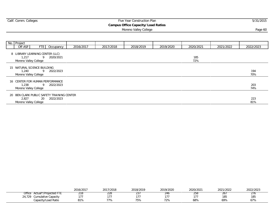| Calif. Comm. Colleges                            |           |           | Five Year Construction Plan               |           |           |           | 5/31/2015  |
|--------------------------------------------------|-----------|-----------|-------------------------------------------|-----------|-----------|-----------|------------|
|                                                  |           |           | <b>Campus Office Capacity/Load Ratios</b> |           |           |           |            |
|                                                  |           |           | Page 60                                   |           |           |           |            |
|                                                  |           |           |                                           |           |           |           |            |
|                                                  |           |           |                                           |           |           |           |            |
| No. Project                                      |           |           |                                           |           |           |           |            |
| FTE  <br>Off ASF<br>Occupancy                    | 2016/2017 | 2017/2018 | 2018/2019                                 | 2019/2020 | 2020/2021 | 2021/2022 | 2022/2023  |
| 8 LIBRARY LEARNING CENTER (LLC)                  |           |           |                                           |           |           |           |            |
| 1,217<br>9<br>2020/2021                          |           |           |                                           |           | 185       |           |            |
| Moreno Valley College                            |           |           |                                           |           | 72%       |           |            |
| 15 NATURAL SCIENCE BUILDING                      |           |           |                                           |           |           |           |            |
| 9<br>2022/2023<br>1,240                          |           |           |                                           |           |           |           | 194        |
| Moreno Valley College                            |           |           |                                           |           |           |           | 70%        |
|                                                  |           |           |                                           |           |           |           |            |
| 16 CENTER FOR HUMAN PERFORMANCE                  |           |           |                                           |           |           |           |            |
| 1,238<br>9<br>2022/2023<br>Moreno Valley College |           |           |                                           |           |           |           | 203<br>74% |
|                                                  |           |           |                                           |           |           |           |            |
| BEN CLARK PUBLIC SAFETY TRAINING CENTER<br>20    |           |           |                                           |           |           |           |            |
| 2,827<br>2022/2023<br>20                         |           |           |                                           |           |           |           | 223        |

Moreno Valley College 81%

|                                  | 2016/2017   | 2017/2018   | 2018/2019   | 2019/2020                        | 2020/2021 | 2021/2022         | 2022/2023                       |
|----------------------------------|-------------|-------------|-------------|----------------------------------|-----------|-------------------|---------------------------------|
| Actual*/Projected FTE<br>Office  | 777<br>21 O | 228         | ----<br>∶د∠ | $\overline{\phantom{a}}$<br>24 C | 200       | ZO.               | $\overline{\phantom{a}}$<br>2/6 |
| Jumulative Capacity<br>າ4<br>729 | . – -       |             | $-1$        | $-7 -$                           |           | $\sim$ $-$<br>185 | 185                             |
| Capacity/Load Ratio              | 010/        | 770<br>- 70 | 75%         | 72%                              | 68%       | 69%               | 67%                             |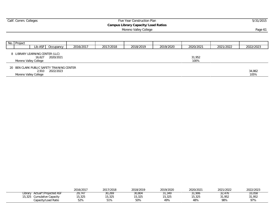| Calif. Comm. Colleges                      |           |           | 5/31/2015<br>Page 61 |                       |           |                |           |                |
|--------------------------------------------|-----------|-----------|----------------------|-----------------------|-----------|----------------|-----------|----------------|
|                                            |           |           |                      | Moreno Valley College |           |                |           |                |
| No. Project                                |           |           |                      |                       |           |                |           |                |
| Lib ASF                                    | Occupancy | 2016/2017 | 2017/2018            | 2018/2019             | 2019/2020 | 2020/2021      | 2021/2022 | 2022/2023      |
| 8 LIBRARY LEARNING CENTER (LLC)            |           |           |                      |                       |           |                |           |                |
| 16.627<br>Moreno Valley College            | 2020/2021 |           |                      |                       |           | 31,952<br>100% |           |                |
| 20 BEN CLARK PUBLIC SAFETY TRAINING CENTER |           |           |                      |                       |           |                |           |                |
| 2,910<br>Moreno Valley College             | 2022/2023 |           |                      |                       |           |                |           | 34,862<br>105% |

|                                     | 2016/2017 | 2017/2018 | 2018/2019 | 2019/2020       | 2020/2021 | 2021/2022 | 2022/2023 |
|-------------------------------------|-----------|-----------|-----------|-----------------|-----------|-----------|-----------|
| 7Projected ASF<br>∟ibrary<br>Acti ' | 29,141    | 30,269    | 30,804    | 31,349          | 31,906    | 476,∠ت    | 33,058    |
| 5,325<br>Cumulative Capacity        | 15,325    | 5,325     | 5.325     | 15.22<br>15.325 | 15,325    | 31.952    | 31,952    |
| Capacity/Load Ratio                 | 52%       | 51%       | 50%       | 49%             | 48%       | 98%       | 97%       |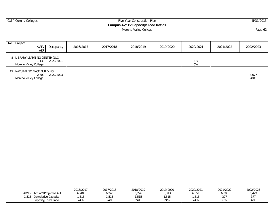| Calif. Comm. Colleges<br>Five Year Construction Plan |                       |                                             |           |           |           |                                   |           |           | 5/31/2015 |              |
|------------------------------------------------------|-----------------------|---------------------------------------------|-----------|-----------|-----------|-----------------------------------|-----------|-----------|-----------|--------------|
|                                                      |                       |                                             |           |           |           | Campus AV/TV Capacity/Load Ratios |           |           |           |              |
|                                                      |                       |                                             |           |           |           | Moreno Valley College             |           |           |           | Page 62      |
|                                                      |                       |                                             |           |           |           |                                   |           |           |           |              |
|                                                      | No. Project           |                                             |           |           |           |                                   |           |           |           |              |
|                                                      |                       | AVTV<br><b>ASF</b>                          | Occupancy | 2016/2017 | 2017/2018 | 2018/2019                         | 2019/2020 | 2020/2021 | 2021/2022 | 2022/2023    |
|                                                      |                       | 8 LIBRARY LEARNING CENTER (LLC)<br>$-1.138$ | 2020/2021 |           |           |                                   |           | 377       |           |              |
|                                                      | Moreno Valley College |                                             |           |           |           |                                   |           | 6%        |           |              |
|                                                      |                       | 15 NATURAL SCIENCE BUILDING                 |           |           |           |                                   |           |           |           |              |
|                                                      | Moreno Valley College | 2,700                                       | 2022/2023 |           |           |                                   |           |           |           | 3,077<br>48% |
|                                                      |                       |                                             |           |           |           |                                   |           |           |           |              |

|                                    | 2016/2017 | 2017/2018 | 2018/2019 | 2019/2020 | 2020/2021 | 2021/2022                                | 2022/2023 |
|------------------------------------|-----------|-----------|-----------|-----------|-----------|------------------------------------------|-----------|
| AV/T<br>Actual*/Proiected ASF      | 204,د     | 240،      | 6,276     | U , J I J | ວ, ວວ     | 0,3YU                                    | 0,429     |
| ,515<br><b>Cumulative Capacity</b> | ,515      | ,515      | ,515      | ,515      | .515      | $\sim$ $\rightarrow$ $\sim$<br><u>JI</u> | 377       |
| Capacity/Load Ratio                | 24%       | 24%       | 24%       | 24%       | 24%       | 6%                                       | 6%        |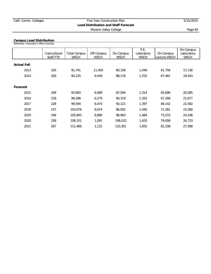## Calif. Comm. Colleges Five Year Construction Plan 5/31/2015 **Load Distribution and Staff Forecast** Moreno Valley College **Page 63**

#### **Campus Load Distribution**

Reference: Chancellor's Office Forecast

|                    | Instructional<br>Staff FTE | <b>Total Campus</b><br><b>WSCH</b> | Off-Campus<br><b>WSCH</b> | On-Campus<br><b>WSCH</b> | P.E.<br>Laboratory<br><b>WSCH</b> | On-Campus<br>Lecture WSCH | On-Campus<br>Laboratory<br><b>WSCH</b> |
|--------------------|----------------------------|------------------------------------|---------------------------|--------------------------|-----------------------------------|---------------------------|----------------------------------------|
| <b>Actual Fall</b> |                            |                                    |                           |                          |                                   |                           |                                        |
| 2013               | 183                        | 91,741                             | 11,403                    | 80,338                   | 1,446                             | 61,756                    | 17,136                                 |
| 2014               | 200                        | 94,225                             | 6,049                     | 88,176                   | 1,252                             | 67,481                    | 19,443                                 |
|                    |                            |                                    |                           |                          |                                   |                           |                                        |
| Forecast           |                            |                                    |                           |                          |                                   |                           |                                        |
| 2015               | 209                        | 93.683                             | 6,089                     | 87,594                   | 1,314                             | 65,696                    | 20,585                                 |
| 2016               | 218                        | 96,598                             | 6,279                     | 90,319                   | 1,355                             | 67,288                    | 21,677                                 |
| 2017               | 228                        | 99,594                             | 6,474                     | 93,121                   | 1,397                             | 69,142                    | 22,582                                 |
| 2018               | 237                        | 102,676                            | 6,674                     | 96,002                   | 1,440                             | 71,281                    | 23,280                                 |
| 2019               | 246                        | 105,843                            | 6,880                     | 98,963                   | 1,484                             | 73,233                    | 24,246                                 |
| 2020               | 258                        | 109,101                            | 1,091                     | 108,010                  | 1,620                             | 79,658                    | 26,733                                 |
| 2021               | 267                        | 111,466                            | 1,115                     | 110,351                  | 1,655                             | 81,108                    | 27,588                                 |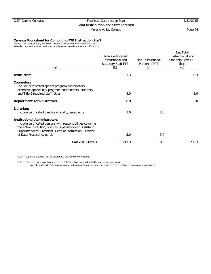#### Moreno Valley College **Page 64**

#### **Campus Worksheet for Computing FTE Instruction Staff**

College Instructional Staff, Fall Term. Included are all certificated staff for day, extended day, and adult education except those whose office is located off-campus.

| (a)                                                                                                                                                                                                                         | <b>Total Certificated</b><br>Instructional and<br>Statutory Staff FTE<br>(b) | Non-Instructional<br>Portion of FTE<br>(c) | Net Total<br>Instructional and<br><b>Statutory Staff FTE</b><br>$(b-c)$<br>(d) |
|-----------------------------------------------------------------------------------------------------------------------------------------------------------------------------------------------------------------------------|------------------------------------------------------------------------------|--------------------------------------------|--------------------------------------------------------------------------------|
| <b>Instructors</b>                                                                                                                                                                                                          | 193.3                                                                        |                                            | 193.3                                                                          |
| <b>Counselors</b><br>Include certificated special program coordinators,<br>economic opportunity program, coordinators, statutory                                                                                            |                                                                              |                                            |                                                                                |
| and Title 5 required staff, et. al.                                                                                                                                                                                         | 8.0                                                                          |                                            | 8.0                                                                            |
| <b>Department Administrators</b>                                                                                                                                                                                            | 8.0                                                                          |                                            | 8.0                                                                            |
| Librarians<br>Include certificated director of audio/visual, et. al.                                                                                                                                                        | 3.0                                                                          | 3.0                                        |                                                                                |
| <b>Institutional Administrators</b><br>Include certificated persons with responsibilities covering<br>the entire institution, such as Superintendent, Assistant<br>Superintendent, President, Dean of Instruction, Director |                                                                              |                                            |                                                                                |
| of Data Processing, et. al.                                                                                                                                                                                                 | 5.0                                                                          | 5.0                                        |                                                                                |
| Fall 2015 Totals                                                                                                                                                                                                            | 217.3                                                                        | 8.0                                        | 209.3                                                                          |

Column (b) is the total number of Column (a) distributed to categories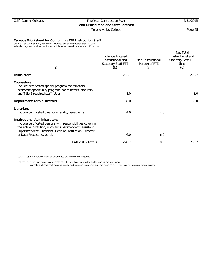#### Moreno Valley College **Page 65**

#### **Campus Worksheet for Computing FTE Instruction Staff**

College Instructional Staff, Fall Term. Included are all certificated staff for day, extended day, and adult education except those whose office is located off-campus.

| (a)                                                                                                                                                                                                                         | <b>Total Certificated</b><br>Instructional and<br>Statutory Staff FTE<br>(b) | Non-Instructional<br>Portion of FTE<br>(c) | Net Total<br>Instructional and<br><b>Statutory Staff FTE</b><br>$(b-c)$<br>(d) |
|-----------------------------------------------------------------------------------------------------------------------------------------------------------------------------------------------------------------------------|------------------------------------------------------------------------------|--------------------------------------------|--------------------------------------------------------------------------------|
| <b>Instructors</b>                                                                                                                                                                                                          | 202.7                                                                        |                                            | 202.7                                                                          |
| <b>Counselors</b><br>Include certificated special program coordinators,<br>economic opportunity program, coordinators, statutory                                                                                            |                                                                              |                                            |                                                                                |
| and Title 5 required staff, et. al.                                                                                                                                                                                         | 8.0                                                                          |                                            | 8.0                                                                            |
| <b>Department Administrators</b>                                                                                                                                                                                            | 8.0                                                                          |                                            | 8.0                                                                            |
| Librarians<br>Include certificated director of audio/visual, et. al.                                                                                                                                                        | 4.0                                                                          | 4.0                                        |                                                                                |
| <b>Institutional Administrators</b><br>Include certificated persons with responsibilities covering<br>the entire institution, such as Superintendent, Assistant<br>Superintendent, President, Dean of Instruction, Director |                                                                              |                                            |                                                                                |
| of Data Processing, et. al.                                                                                                                                                                                                 | 6.0                                                                          | 6.0                                        |                                                                                |
| Fall 2016 Totals                                                                                                                                                                                                            | 228.7                                                                        | 10.0                                       | 218.7                                                                          |

Column (b) is the total number of Column (a) distributed to categories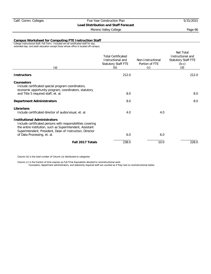#### Moreno Valley College **Page 66**

#### **Campus Worksheet for Computing FTE Instruction Staff**

College Instructional Staff, Fall Term. Included are all certificated staff for day, extended day, and adult education except those whose office is located off-campus.

| (a)                                                                                                                                                                                                                         | <b>Total Certificated</b><br>Instructional and<br>Statutory Staff FTE<br>(b) | Non-Instructional<br>Portion of FTE<br>(c) | Net Total<br>Instructional and<br><b>Statutory Staff FTE</b><br>$(b-c)$<br>(d) |
|-----------------------------------------------------------------------------------------------------------------------------------------------------------------------------------------------------------------------------|------------------------------------------------------------------------------|--------------------------------------------|--------------------------------------------------------------------------------|
| <b>Instructors</b>                                                                                                                                                                                                          | 212.0                                                                        |                                            | 212.0                                                                          |
| <b>Counselors</b><br>Include certificated special program coordinators,<br>economic opportunity program, coordinators, statutory                                                                                            |                                                                              |                                            |                                                                                |
| and Title 5 required staff, et. al.                                                                                                                                                                                         | 8.0                                                                          |                                            | 8.0                                                                            |
| <b>Department Administrators</b>                                                                                                                                                                                            | 8.0                                                                          |                                            | 8.0                                                                            |
| Librarians<br>Include certificated director of audio/visual, et. al.                                                                                                                                                        | 4.0                                                                          | 4.0                                        |                                                                                |
| <b>Institutional Administrators</b><br>Include certificated persons with responsibilities covering<br>the entire institution, such as Superintendent, Assistant<br>Superintendent, President, Dean of Instruction, Director |                                                                              |                                            |                                                                                |
| of Data Processing, et. al.                                                                                                                                                                                                 | 6.0                                                                          | 6.0                                        |                                                                                |
| Fall 2017 Totals                                                                                                                                                                                                            | 238.0                                                                        | 10.0                                       | 228.0                                                                          |

Column (b) is the total number of Column (a) distributed to categories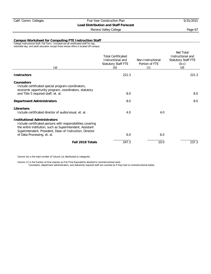#### Moreno Valley College **Page 67**

#### **Campus Worksheet for Computing FTE Instruction Staff**

College Instructional Staff, Fall Term. Included are all certificated staff for day, extended day, and adult education except those whose office is located off-campus.

| (a)                                                                                                                                                                                                                         | <b>Total Certificated</b><br>Instructional and<br>Statutory Staff FTE<br>(b) | Non-Instructional<br>Portion of FTE<br>(c) | Net Total<br>Instructional and<br><b>Statutory Staff FTE</b><br>$(b-c)$<br>(d) |
|-----------------------------------------------------------------------------------------------------------------------------------------------------------------------------------------------------------------------------|------------------------------------------------------------------------------|--------------------------------------------|--------------------------------------------------------------------------------|
| <b>Instructors</b>                                                                                                                                                                                                          | 221.3                                                                        |                                            | 221.3                                                                          |
| <b>Counselors</b><br>Include certificated special program coordinators,<br>economic opportunity program, coordinators, statutory                                                                                            |                                                                              |                                            |                                                                                |
| and Title 5 required staff, et. al.                                                                                                                                                                                         | 8.0                                                                          |                                            | 8.0                                                                            |
| <b>Department Administrators</b>                                                                                                                                                                                            | 8.0                                                                          |                                            | 8.0                                                                            |
| Librarians<br>Include certificated director of audio/visual, et. al.                                                                                                                                                        | 4.0                                                                          | 4.0                                        |                                                                                |
| <b>Institutional Administrators</b><br>Include certificated persons with responsibilities covering<br>the entire institution, such as Superintendent, Assistant<br>Superintendent, President, Dean of Instruction, Director |                                                                              |                                            |                                                                                |
| of Data Processing, et. al.                                                                                                                                                                                                 | 6.0                                                                          | 6.0                                        |                                                                                |
| Fall 2018 Totals                                                                                                                                                                                                            | 247.3                                                                        | 10.0                                       | 237.3                                                                          |
|                                                                                                                                                                                                                             |                                                                              |                                            |                                                                                |

Column (b) is the total number of Column (a) distributed to categories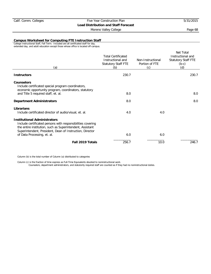#### Moreno Valley College **Page 68**

#### **Campus Worksheet for Computing FTE Instruction Staff**

College Instructional Staff, Fall Term. Included are all certificated staff for day, extended day, and adult education except those whose office is located off-campus.

| (a)                                                                                                                                                                                                                         | <b>Total Certificated</b><br>Instructional and<br>Statutory Staff FTE<br>(b) | Non-Instructional<br>Portion of FTE<br>(c) | Net Total<br>Instructional and<br><b>Statutory Staff FTE</b><br>$(b-c)$<br>(d) |
|-----------------------------------------------------------------------------------------------------------------------------------------------------------------------------------------------------------------------------|------------------------------------------------------------------------------|--------------------------------------------|--------------------------------------------------------------------------------|
| <b>Instructors</b>                                                                                                                                                                                                          | 230.7                                                                        |                                            | 230.7                                                                          |
| <b>Counselors</b><br>Include certificated special program coordinators,<br>economic opportunity program, coordinators, statutory                                                                                            |                                                                              |                                            |                                                                                |
| and Title 5 required staff, et. al.                                                                                                                                                                                         | 8.0                                                                          |                                            | 8.0                                                                            |
| <b>Department Administrators</b>                                                                                                                                                                                            | 8.0                                                                          |                                            | 8.0                                                                            |
| Librarians<br>Include certificated director of audio/visual, et. al.                                                                                                                                                        | 4.0                                                                          | 4.0                                        |                                                                                |
| <b>Institutional Administrators</b><br>Include certificated persons with responsibilities covering<br>the entire institution, such as Superintendent, Assistant<br>Superintendent, President, Dean of Instruction, Director |                                                                              |                                            |                                                                                |
| of Data Processing, et. al.                                                                                                                                                                                                 | 6.0                                                                          | 6.0                                        |                                                                                |
| Fall 2019 Totals                                                                                                                                                                                                            | 256.7                                                                        | 10.0                                       | 246.7                                                                          |

Column (b) is the total number of Column (a) distributed to categories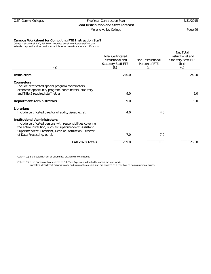#### Moreno Valley College **Page 69**

#### **Campus Worksheet for Computing FTE Instruction Staff**

College Instructional Staff, Fall Term. Included are all certificated staff for day, extended day, and adult education except those whose office is located off-campus.

| (a)                                                                                                                                                                                                                         | <b>Total Certificated</b><br>Instructional and<br>Statutory Staff FTE<br>(b) | Non-Instructional<br>Portion of FTE<br>(c) | Net Total<br>Instructional and<br><b>Statutory Staff FTE</b><br>$(b-c)$<br>(d) |
|-----------------------------------------------------------------------------------------------------------------------------------------------------------------------------------------------------------------------------|------------------------------------------------------------------------------|--------------------------------------------|--------------------------------------------------------------------------------|
| <b>Instructors</b>                                                                                                                                                                                                          | 240.0                                                                        |                                            | 240.0                                                                          |
| <b>Counselors</b><br>Include certificated special program coordinators,<br>economic opportunity program, coordinators, statutory                                                                                            |                                                                              |                                            |                                                                                |
| and Title 5 required staff, et. al.                                                                                                                                                                                         | 9.0                                                                          |                                            | 9.0                                                                            |
| <b>Department Administrators</b>                                                                                                                                                                                            | 9.0                                                                          |                                            | 9.0                                                                            |
| Librarians<br>Include certificated director of audio/visual, et. al.                                                                                                                                                        | 4.0                                                                          | 4.0                                        |                                                                                |
| <b>Institutional Administrators</b><br>Include certificated persons with responsibilities covering<br>the entire institution, such as Superintendent, Assistant<br>Superintendent, President, Dean of Instruction, Director |                                                                              |                                            |                                                                                |
| of Data Processing, et. al.                                                                                                                                                                                                 | 7.0                                                                          | 7.0                                        |                                                                                |
| Fall 2020 Totals                                                                                                                                                                                                            | 269.0                                                                        | 11.0                                       | 258.0                                                                          |

Column (b) is the total number of Column (a) distributed to categories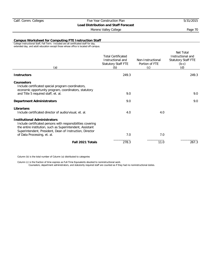#### Moreno Valley College **Page 70**

#### **Campus Worksheet for Computing FTE Instruction Staff**

College Instructional Staff, Fall Term. Included are all certificated staff for day, extended day, and adult education except those whose office is located off-campus.

| (a)                                                                                                                                                                                                                         | <b>Total Certificated</b><br>Instructional and<br>Statutory Staff FTE<br>(b) | Non-Instructional<br>Portion of FTE<br>(c) | Net Total<br>Instructional and<br><b>Statutory Staff FTE</b><br>$(b-c)$<br>(d) |
|-----------------------------------------------------------------------------------------------------------------------------------------------------------------------------------------------------------------------------|------------------------------------------------------------------------------|--------------------------------------------|--------------------------------------------------------------------------------|
| <b>Instructors</b>                                                                                                                                                                                                          | 249.3                                                                        |                                            | 249.3                                                                          |
| <b>Counselors</b><br>Include certificated special program coordinators,<br>economic opportunity program, coordinators, statutory                                                                                            |                                                                              |                                            |                                                                                |
| and Title 5 required staff, et. al.                                                                                                                                                                                         | 9.0                                                                          |                                            | 9.0                                                                            |
| <b>Department Administrators</b>                                                                                                                                                                                            | 9.0                                                                          |                                            | 9.0                                                                            |
| Librarians<br>Include certificated director of audio/visual, et. al.                                                                                                                                                        | 4.0                                                                          | 4.0                                        |                                                                                |
| <b>Institutional Administrators</b><br>Include certificated persons with responsibilities covering<br>the entire institution, such as Superintendent, Assistant<br>Superintendent, President, Dean of Instruction, Director |                                                                              |                                            |                                                                                |
| of Data Processing, et. al.                                                                                                                                                                                                 | 7.0                                                                          | 7.0                                        |                                                                                |
| Fall 2021 Totals                                                                                                                                                                                                            | 278.3                                                                        | 11.0                                       | 267.3                                                                          |

Column (b) is the total number of Column (a) distributed to categories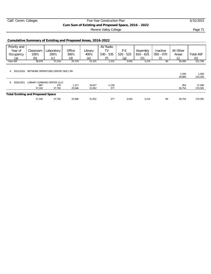## Calif. Comm. Colleges Five Year Construction Plan 5/31/2015 **Cum Sum of Existing and Proposed Space, 2016 - 2022**

Moreno Valley College **Page 71 Page 71** 

## **Cumulative Summary of Existing and Proposed Areas, 2016-2022**

| Priority and                             |                                              |                               |                 |                  | AV Radio        |             |             |             |                 |                   |
|------------------------------------------|----------------------------------------------|-------------------------------|-----------------|------------------|-----------------|-------------|-------------|-------------|-----------------|-------------------|
| Year of                                  | Classroom                                    | Laboratory                    | Office          | Library          | TV              | P.E.        | Assembly    | Inactive    | All Other       |                   |
| Occupancy                                | 100's                                        | 200's                         | 300's           | 400's            | $530 - 535$     | $520 - 525$ | $610 - 625$ | $050 - 070$ | Areas           | <b>Total ASF</b>  |
| (a)                                      | (b)                                          | (c)                           | (d)             | (e)              |                 | (g)         | (h)         | (i)         | Œ               | (k)               |
| <b>Total ASF</b>                         | 38,079                                       | 37,516                        | 24,729          | 15,325           | 1,515           | 3,018       | 3,214       | 60          | 28,300          | 151,756           |
| $\overline{4}$                           | 2015/2016 NETWORK OPERATIONS CENTER (NOC) MV |                               |                 |                  |                 |             |             |             | 1,500<br>29,800 | 1,500<br>153,256  |
| 2020/2021<br>8                           |                                              | LIBRARY LEARNING CENTER (LLC) |                 |                  |                 |             |             |             |                 |                   |
|                                          | $-887$<br>37,192                             | 276<br>37,792                 | 1,217<br>25,946 | 16,627<br>31,952 | $-1,138$<br>377 |             |             |             | 954<br>30.754   | 17,049<br>170,305 |
| <b>Total Existing and Proposed Space</b> |                                              |                               |                 |                  |                 |             |             |             |                 |                   |
|                                          | 37,192                                       | 37,792                        | 25.946          | 31,952           | 377             | 3,018       | 3,214       | 60          | 30.754          | 170,305           |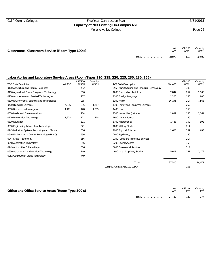## Calif. Comm. Colleges Five Year Construction Plan 5/31/2015 **Capacity of Net Existing On-Campus ASF** Moreno Valley College **Page 72**

| Classrooms, Classroom Service (Room Type 100's) |               | Net    | ASF/100<br>WSCH | Capacity<br>WSCH |
|-------------------------------------------------|---------------|--------|-----------------|------------------|
|                                                 | <b>Totals</b> | 38.079 | 47.3            | 80,505           |

| <b>TOP Code/Description</b>                   | Net ASF | ASF/100<br><b>WSCH</b> | Capacity<br><b>WSCH</b> | TOP Code/Description                         | Net ASF | ASF/100<br><b>WSCH</b> | Capacity<br><b>WSCH</b> |
|-----------------------------------------------|---------|------------------------|-------------------------|----------------------------------------------|---------|------------------------|-------------------------|
| 0100 Agriculture and Natural Resources        |         | 492                    |                         | 0956 Manufacturing and Industrial Technology |         | 385                    |                         |
| 0116 Agricultural Power Equipment Technology  |         | 856                    |                         | 1000 Fine and Applied Arts                   | 2,847   | 257                    | 1,108                   |
| 0200 Architecture and Related Technologies    |         | 257                    |                         | 1100 Foreign Language                        | 1,200   | 150                    | 800                     |
| 0300 Environmental Sciences and Technologies  |         | 235                    |                         | 1200 Health                                  | 16,195  | 214                    | 7,568                   |
| 0400 Biological Sciences                      | 4,036   | 235                    | 1,717                   | 1300 Family and Consumer Sciences            |         | 257                    |                         |
| 0500 Business and Management                  | 1.401   | 128                    | 1.095                   | 1400 Law                                     |         | 150                    |                         |
| 0600 Media and Communications                 |         | 214                    |                         | 1500 Humanities (Letters)                    | 1,892   | 150                    | 1,261                   |
| 0700 Information Technology                   | 1,228   | 171                    | 718                     | 1600 Library Science                         |         | 150                    |                         |
| 0800 Education                                |         | 321                    |                         | 1700 Mathematics                             | 1,488   | 150                    | 992                     |
| 0900 Engineering & Industrial Technologies    |         | 321                    |                         | 1800 Military Studies                        |         | 214                    |                         |
| 0945 Industrial Systems Technology and Mainte |         | 556                    |                         | 1900 Physical Sciences                       | 1,628   | 257                    | 633                     |
| 0946 Environmental Control Technology (HVAC)  |         | 556                    |                         | 2000 Psychology                              |         | 150                    |                         |
| 0947 Diesel Technology                        |         | 856                    |                         | 2100 Public and Protective Services          |         | 214                    |                         |
| 0948 Automotive Technology                    |         | 856                    |                         | 2200 Social Sciences                         |         | 150                    |                         |
| 0949 Automotive Collison Repair               |         | 856                    |                         | 3000 Commercial Services                     |         | 214                    |                         |
| 0950 Aeronautical and Aviation Technology     |         | 749                    |                         | 4900 Interdisciplinary Studies               | 5,601   | 257                    | 2,179                   |
| 0952 Construction Crafts Technology           |         | 749                    |                         |                                              |         |                        |                         |
|                                               |         |                        |                         | Totals                                       | 37,516  |                        | 18,072                  |
|                                               |         |                        |                         | Campus Avg Lab ASF/100 WSCH                  |         | 208                    |                         |

| Office and Office Service Areas (Room Type 300's) |               | Net    | ASF per | Capacity<br>FTE 1 |
|---------------------------------------------------|---------------|--------|---------|-------------------|
|                                                   | <b>Totals</b> | 24.729 | 140     | 177               |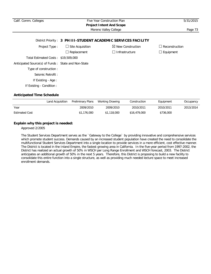| Calif. Comm. Colleges                               |                         | Five Year Construction Plan                                    | 5/31/2015             |
|-----------------------------------------------------|-------------------------|----------------------------------------------------------------|-----------------------|
|                                                     |                         | <b>Project Intent And Scope</b><br>Moreno Valley College       | Page 73               |
|                                                     |                         |                                                                |                       |
|                                                     |                         | District Priority: 3 PH III-STUDENT ACADEMIC SERVICES FACILITY |                       |
| Project Type:                                       | $\Box$ Site Acquisition | $\boxtimes$ New Construction                                   | $\Box$ Reconstruction |
|                                                     | $\Box$ Replacement      | □ Infrastructure                                               | $\Box$ Equipment      |
| Total Estimated Costs: \$19,509,000                 |                         |                                                                |                       |
| Anticipated Source(s) of Funds: State and Non-State |                         |                                                                |                       |
| Type of construction :                              |                         |                                                                |                       |
| Seismic Retrofit:                                   |                         |                                                                |                       |
| If Existing - Age:                                  |                         |                                                                |                       |
| If Existing - Condition :                           |                         |                                                                |                       |

|                       | Land Acquisition | Preliminary Plans | Working Drawing | Construction | Equipment | Occupancy |
|-----------------------|------------------|-------------------|-----------------|--------------|-----------|-----------|
| Year                  |                  | 2009/2010         | 2009/2010       | 2010/2011    | 2010/2011 | 2013/2014 |
| <b>Estimated Cost</b> |                  | \$1,176,000       | \$1,118,000     | \$16,479,000 | \$736,000 |           |

### **Explain why this project is needed:**

Approved 2/2005

The Student Services Department serves as the `Gateway to the College` by providing innovative and comprehensive services which promote student success. Demands caused by an increased student population have created the need to consolidate the multifunctional Student Services Department into a single location to provide services in a more efficient, cost effective manner. The District is located in the Inland Empire, the fastest growing area in California. In the five-year period from 1997-2002, the District has realized an actual growth of 50% in WSCH per Long Range Enrollment and WSCH forecast, 2003. The District anticipates an additional growth of 50% in the next 5 years. Therefore, this District is proposing to build a new facility to consolidate this entire function into a single structure, as well as providing much needed lecture space to meet increased enrollment demands.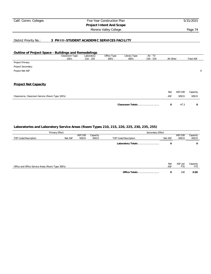## Calif. Comm. Colleges Five Year Construction Plan 5/31/2015 **Project Intent And Scope** Moreno Valley College **Page 74**

### District Priority No.: **3 PH III-STUDENT ACADEMIC SERVICES FACILITY**

#### **Outline of Project Space - Buildings and Remodelings**

|                                                 | Classroom Type<br>100's | Laboratory<br>$210 - 255$ | Office Type<br>300's | Library Type<br>400's | AV - TV<br>$530 - 535$ | All Other |             | <b>Total ASF</b> |             |
|-------------------------------------------------|-------------------------|---------------------------|----------------------|-----------------------|------------------------|-----------|-------------|------------------|-------------|
| Project Primary                                 |                         |                           |                      |                       |                        |           |             |                  |             |
| Project Secondary                               |                         |                           |                      |                       |                        |           |             |                  |             |
| Project Net ASF                                 |                         |                           |                      |                       |                        |           |             |                  | $\mathbf 0$ |
|                                                 |                         |                           |                      |                       |                        |           |             |                  |             |
| <b>Project Net Capacity</b>                     |                         |                           |                      |                       |                        |           |             |                  |             |
|                                                 |                         |                           |                      |                       |                        | Net       | ASF/100     | Capacity         |             |
| Classrooms, Classroom Service (Room Type 100's) |                         |                           |                      |                       |                        | ASF       | <b>WSCH</b> | <b>WSCH</b>      |             |
|                                                 |                         |                           |                      | Classroom Totals      |                        | 0         | 47.3        | 0                |             |

|                                                   | Primary Effect                                                                       |  | Secondary Effect |                        |                         |                       |                 |  |  |
|---------------------------------------------------|--------------------------------------------------------------------------------------|--|------------------|------------------------|-------------------------|-----------------------|-----------------|--|--|
| TOP Code/Description                              | ASF/100<br>Capacity<br><b>WSCH</b><br><b>WSCH</b><br>Net ASF<br>TOP Code/Description |  | Net ASF          | ASF/100<br><b>WSCH</b> | Capacity<br><b>WSCH</b> |                       |                 |  |  |
|                                                   |                                                                                      |  |                  | Laboratory Totals      | 0                       |                       | 0               |  |  |
|                                                   |                                                                                      |  |                  |                        |                         |                       |                 |  |  |
|                                                   |                                                                                      |  |                  |                        |                         |                       |                 |  |  |
| Office and Office Service Areas (Room Type 300's) |                                                                                      |  |                  |                        | Net<br>ASF              | ASF per<br><b>FTE</b> | Capacity<br>FTE |  |  |
|                                                   |                                                                                      |  |                  | Office Totals          | 0                       | 140                   | 0.00            |  |  |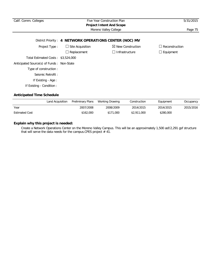| Calif. Comm. Colleges                     |                                                         | Five Year Construction Plan<br><b>Project Intent And Scope</b> | 5/31/2015             |
|-------------------------------------------|---------------------------------------------------------|----------------------------------------------------------------|-----------------------|
|                                           |                                                         | Moreno Valley College                                          | Page 75               |
|                                           | District Priority: 4 NETWORK OPERATIONS CENTER (NOC) MV |                                                                |                       |
| Project Type:                             | $\Box$ Site Acquisition                                 | $\boxtimes$ New Construction                                   | $\Box$ Reconstruction |
|                                           | $\Box$ Replacement                                      | Infrastructure                                                 | $\Box$ Equipment      |
| Total Estimated Costs: \$3,524,000        |                                                         |                                                                |                       |
| Anticipated Source(s) of Funds: Non-State |                                                         |                                                                |                       |
| Type of construction :                    |                                                         |                                                                |                       |
| Seismic Retrofit:                         |                                                         |                                                                |                       |
| If Existing - Age:                        |                                                         |                                                                |                       |
| If Existing - Condition :                 |                                                         |                                                                |                       |
|                                           |                                                         |                                                                |                       |

|                       | Land Acquisition | Preliminary Plans | Working Drawing | Construction | Equipment | Occupancy |
|-----------------------|------------------|-------------------|-----------------|--------------|-----------|-----------|
| Year                  |                  | 2007/2008         | 2008/2009       | 2014/2015    | 2014/2015 | 2015/2016 |
| <b>Estimated Cost</b> |                  | \$162,000         | \$171,000       | \$2,911,000  | \$280,000 |           |

# **Explain why this project is needed:**

Create a Network Operations Center on the Moreno Valley Campus. This will be an approximately 1,500 asf/2,291 gsf structure that will serve the data needs for the campus. CPES project  $#$  41.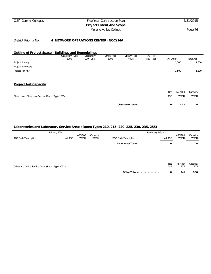## Calif. Comm. Colleges Five Year Construction Plan 5/31/2015 **Project Intent And Scope** Moreno Valley College **Page 76**

### District Priority No.: **4 NETWORK OPERATIONS CENTER (NOC) MV**

#### **Outline of Project Space - Buildings and Remodelings**

|                                                 | Classroom Type<br>100's | Laboratory<br>$210 - 255$ | Office Type<br>300's | Library Type<br>400's | AV - TV<br>$530 - 535$ | All Other |             | <b>Total ASF</b> |
|-------------------------------------------------|-------------------------|---------------------------|----------------------|-----------------------|------------------------|-----------|-------------|------------------|
| Project Primary                                 |                         |                           |                      |                       |                        |           | 1,500       | 1,500            |
| Project Secondary                               |                         |                           |                      |                       |                        |           |             |                  |
| Project Net ASF                                 |                         |                           |                      |                       |                        |           | 1,500       | 1,500            |
| <b>Project Net Capacity</b>                     |                         |                           |                      |                       |                        |           |             |                  |
|                                                 |                         |                           |                      |                       |                        | Net       | ASF/100     | Capacity         |
| Classrooms, Classroom Service (Room Type 100's) |                         |                           |                      |                       |                        | ASF       | <b>WSCH</b> | <b>WSCH</b>      |
|                                                 |                         |                           |                      | Classroom Totals      |                        | 0         | 47.3        | 0                |

|                                                   | Primary Effect                                                                       | Secondary Effect |                        |                 |     |      |  |
|---------------------------------------------------|--------------------------------------------------------------------------------------|------------------|------------------------|-----------------|-----|------|--|
| TOP Code/Description                              | ASF/100<br>Capacity<br><b>WSCH</b><br><b>WSCH</b><br>Net ASF<br>TOP Code/Description | Net ASF          | ASF/100<br><b>WSCH</b> |                 |     |      |  |
|                                                   |                                                                                      |                  | Laboratory Totals      | 0               |     | 0    |  |
|                                                   |                                                                                      |                  |                        |                 |     |      |  |
|                                                   |                                                                                      |                  |                        |                 |     |      |  |
| Office and Office Service Areas (Room Type 300's) | Net<br>ASF                                                                           |                  | ASF per<br><b>FTE</b>  | Capacity<br>FTE |     |      |  |
|                                                   |                                                                                      |                  | Office Totals          | 0               | 140 | 0.00 |  |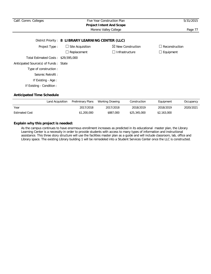| Calif. Comm. Colleges                              | Five Year Construction Plan | 5/31/2015                       |                       |  |  |  |
|----------------------------------------------------|-----------------------------|---------------------------------|-----------------------|--|--|--|
|                                                    |                             | <b>Project Intent And Scope</b> |                       |  |  |  |
|                                                    |                             | Moreno Valley College           | Page 77               |  |  |  |
| District Priority: 8 LIBRARY LEARNING CENTER (LLC) |                             |                                 |                       |  |  |  |
| Project Type:                                      | $\Box$ Site Acquisition     | $\boxtimes$ New Construction    | $\Box$ Reconstruction |  |  |  |
|                                                    | $\Box$ Replacement          | Infrastructure                  | $\Box$ Equipment      |  |  |  |
| Total Estimated Costs: \$29,595,000                |                             |                                 |                       |  |  |  |
| Anticipated Source(s) of Funds: State              |                             |                                 |                       |  |  |  |
| Type of construction:                              |                             |                                 |                       |  |  |  |
| Seismic Retrofit:                                  |                             |                                 |                       |  |  |  |
| If Existing - Age:                                 |                             |                                 |                       |  |  |  |
| If Existing - Condition:                           |                             |                                 |                       |  |  |  |

|                       | Land Acquisition | Preliminary Plans | Working Drawing | Construction | Equipment   | Occupancy |
|-----------------------|------------------|-------------------|-----------------|--------------|-------------|-----------|
| Year                  |                  | 2017/2018         | 2017/2018       | 2018/2019    | 2018/2019   | 2020/2021 |
| <b>Estimated Cost</b> |                  | \$1,200,000       | \$887,000       | \$25,345,000 | \$2,163,000 |           |

## **Explain why this project is needed:**

As the campus continues to have enormous enrollment increases as predicted in its educational master plan, the Library Learning Center is a necessity in order to provide students with access to many types of information and instructional assistance. This three story structure will use the facilities master plan as a guide and will include classroom, lab, office and Library space. The existing Library building 1 will be remodeled into a Student Services Center once the LLC is constructed.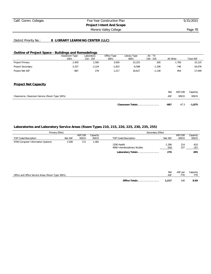# Calif. Comm. Colleges Five Year Construction Plan 5/31/2015 **Project Intent And Scope**

Moreno Valley College **Page 78** 

## District Priority No.: **8 LIBRARY LEARNING CENTER (LLC)**

## **Outline of Project Space - Buildings and Remodelings**

|                   | Classroom Type | Laboratory  | Office Type | Library Type | $AV - TV$   |           |                  |
|-------------------|----------------|-------------|-------------|--------------|-------------|-----------|------------------|
|                   | 100's          | $210 - 255$ | 300's       | 400's        | $530 - 535$ | All Other | <b>Total ASF</b> |
| Project Primary   | 2,450          | 2,500       | 3,050       | 23,225       | 200         | ,700      | 33,125           |
| Project Secondary | $-3,337$       | $-2,224$    | $-1.833$    | $-6.598$     | ,338        | $-746$    | $-16.076$        |
| Project Net ASF   | $-887$         | 276         | .217        | 16.627       | .138        | 954       | 17.049           |

#### **Project Net Capacity**

|                                                 | Classroom Totals | -887 | 47.3        | -1.875   |
|-------------------------------------------------|------------------|------|-------------|----------|
| Classrooms, Classroom Service (Room Type 100's) |                  | ASF  | <b>WSCH</b> | WSCH     |
|                                                 |                  | Net  | ASF/100     | Capacity |

| Primary Effect                    |         |             |             | Secondary Effect               |          |             |             |
|-----------------------------------|---------|-------------|-------------|--------------------------------|----------|-------------|-------------|
|                                   |         | ASF/100     | Capacity    |                                |          | ASF/100     | Capacity    |
| TOP Code/Description              | Net ASF | <b>WSCH</b> | <b>WSCH</b> | TOP Code/Description           | Net ASF  | <b>WSCH</b> | <b>WSCH</b> |
| 0700 Computer Information Systems | 2,500   | 17'         | ,462        |                                |          |             |             |
|                                   |         |             |             | 1200 Health                    | $-1.306$ | 214         | $-610$      |
|                                   |         |             |             | 4900 Interdisciplinary Studies | $-918$   | 257         | $-357$      |
|                                   |         |             |             | Laboratory Totals              | 276      |             | 495         |

|                                                   |               | Net   | ASF per | Capacity |
|---------------------------------------------------|---------------|-------|---------|----------|
| Office and Office Service Areas (Room Type 300's) |               |       |         |          |
|                                                   |               |       |         |          |
|                                                   | Office Totals | 1.217 | 140     | 8.69     |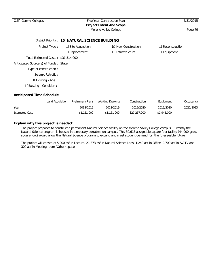| Calif. Comm. Colleges                 | Five Year Construction Plan<br><b>Project Intent And Scope</b> | 5/31/2015                    |                                            |
|---------------------------------------|----------------------------------------------------------------|------------------------------|--------------------------------------------|
|                                       | Moreno Valley College                                          | Page 79                      |                                            |
|                                       | District Priority: 15 NATURAL SCIENCE BUILDING                 |                              |                                            |
| Project Type:                         | $\Box$ Site Acquisition                                        | $\boxtimes$ New Construction | Reconstruction<br>$\overline{\phantom{a}}$ |
|                                       | $\Box$ Replacement                                             | $\Box$ Infrastructure        | $\Box$ Equipment                           |
| Total Estimated Costs: \$31,514,000   |                                                                |                              |                                            |
| Anticipated Source(s) of Funds: State |                                                                |                              |                                            |
| Type of construction:                 |                                                                |                              |                                            |
| Seismic Retrofit:                     |                                                                |                              |                                            |
| If Existing - Age:                    |                                                                |                              |                                            |
| If Existing - Condition :             |                                                                |                              |                                            |

|                       | Land Acquisition | Preliminary Plans | Working Drawing | Construction | Equipment   | Occupancy |
|-----------------------|------------------|-------------------|-----------------|--------------|-------------|-----------|
| Year                  |                  | 2018/2019         | 2018/2019       | 2019/2020    | 2019/2020   | 2022/2023 |
| <b>Estimated Cost</b> |                  | \$1,151,000       | \$1,161,000     | \$27,257,000 | \$1,945,000 |           |

## **Explain why this project is needed:**

The project proposes to construct a permanent Natural Science facility on the Moreno Valley College campus. Currently the Natural Science program is housed in temporary portables on campus. This 30,613 assignable square foot facility (44,000 gross square foot) would allow the Natural Science program to expand and meet student demand for the foreseeable future.

The project will construct 5,000 asf in Lecture, 21,373 asf in Natural Science Labs, 1,240 asf in Office, 2,700 asf in AV/TV and 300 asf in Meeting room (Other) space.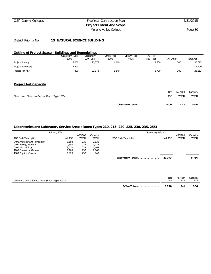# Calif. Comm. Colleges Five Year Construction Plan 5/31/2015 **Project Intent And Scope**

Moreno Valley College **Page 80** 

## District Priority No.: **15 NATURAL SCIENCE BUILDING**

#### **Outline of Project Space - Buildings and Remodelings**

|                                                 | Classroom Type<br>100's | Laboratory<br>$210 - 255$ | Office Type<br>300's | Library Type<br>400's | AV - TV<br>$530 - 535$ | All Other |             | <b>Total ASF</b> |
|-------------------------------------------------|-------------------------|---------------------------|----------------------|-----------------------|------------------------|-----------|-------------|------------------|
| Project Primary                                 | 5,000                   | 21,373                    | 1,240                |                       | 2,700                  |           | 300         | 30,613           |
| Project Secondary                               | $-5,400$                |                           |                      |                       |                        |           |             | $-5,400$         |
| Project Net ASF                                 | $-400$                  | 21,373                    | 1,240                |                       | 2,700                  |           | 300         | 25,213           |
| <b>Project Net Capacity</b>                     |                         |                           |                      |                       |                        |           |             |                  |
|                                                 |                         |                           |                      |                       |                        | Net       | ASF/100     | Capacity         |
| Classrooms, Classroom Service (Room Type 100's) |                         |                           |                      |                       |                        | ASF       | <b>WSCH</b> | <b>WSCH</b>      |
|                                                 |                         |                           |                      | Classroom Totals      |                        | $-400$    | 47.3        | $-846$           |

|                                                                       | Primary Effect          |                        |                         | Secondary Effect     |         |                        |                         |
|-----------------------------------------------------------------------|-------------------------|------------------------|-------------------------|----------------------|---------|------------------------|-------------------------|
| TOP Code/Description                                                  | Net ASF                 | ASF/100<br><b>WSCH</b> | Capacity<br><b>WSCH</b> | TOP Code/Description | Net ASF | ASF/100<br><b>WSCH</b> | Capacity<br><b>WSCH</b> |
| 0400 Anatomy and Physiology<br>0400 Biology, General                  | 6.184<br>2,640          | 235<br>235             | 2,631<br>1,123          |                      |         |                        |                         |
| 0400 Microbiology<br>1900 Chemistry, General<br>1900 Physics, General | 3,520<br>7.109<br>1.920 | 235<br>257<br>257      | 1,498<br>2.766<br>747   |                      |         |                        |                         |
|                                                                       |                         |                        |                         | Laboratory Totals    | 21,373  |                        | 8,766                   |
|                                                                       |                         |                        |                         |                      |         |                        |                         |

| Office and Office Service Areas (Room Type 300's) |               | Net   | ASF per | Capacity |
|---------------------------------------------------|---------------|-------|---------|----------|
|                                                   | Office Totals | 1.240 | 140     | 8.86     |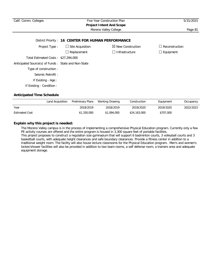| Calif. Comm. Colleges                               | Five Year Construction Plan<br><b>Project Intent And Scope</b> | 5/31/2015                    |                  |
|-----------------------------------------------------|----------------------------------------------------------------|------------------------------|------------------|
|                                                     | Moreno Valley College                                          | Page 81                      |                  |
|                                                     | District Priority: 16 CENTER FOR HUMAN PERFORMANCE             |                              |                  |
| Project Type:                                       | $\Box$ Site Acquisition                                        | $\boxtimes$ New Construction | Reconstruction   |
|                                                     | $\Box$ Replacement                                             | □ Infrastructure             | $\Box$ Equipment |
| Total Estimated Costs: \$27,294,000                 |                                                                |                              |                  |
| Anticipated Source(s) of Funds: State and Non-State |                                                                |                              |                  |
| Type of construction:                               |                                                                |                              |                  |
| Seismic Retrofit:                                   |                                                                |                              |                  |
| If Existing - Age :                                 |                                                                |                              |                  |
| If Existing - Condition :                           |                                                                |                              |                  |

|                       | Land Acquisition | Preliminary Plans | Working Drawing | Construction | Equipment | Occupancy |
|-----------------------|------------------|-------------------|-----------------|--------------|-----------|-----------|
| Year                  |                  | 2018/2019         | 2018/2019       | 2019/2020    | 2019/2020 | 2022/2023 |
| <b>Estimated Cost</b> |                  | \$1,330,000       | \$1,094,000     | \$24,163,000 | \$707,000 |           |

## **Explain why this project is needed:**

The Moreno Valley campus is in the process of implementing a comprehensive Physical Education program. Currently only a few PE activity courses are offered and the entire program is housed in 3,300 square feet of portable facilities. This project proposes to construct a regulation size gymnasium that will support 6 badminton courts, 3 volleyball courts and 3 basketball courts, with adequate height clearances and safe boundary clearances. Provide a fitness center in addition to a traditional weight room. The facility will also house lecture classrooms for the Physical Education program. Men's and women's locker/shower facilities will also be provided in addition to two team rooms, a self defense room, a trainers area and adequate equipment storage.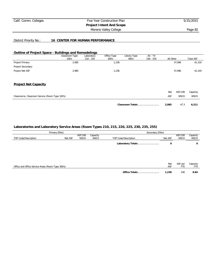# Calif. Comm. Colleges Five Year Construction Plan 5/31/2015 **Project Intent And Scope**

Moreno Valley College **Page 82** 

### District Priority No.: **16 CENTER FOR HUMAN PERFORMANCE**

#### **Outline of Project Space - Buildings and Remodelings**

|                                                 | Classroom Type<br>100's | Laboratory<br>$210 - 255$ | Office Type<br>300's | Library Type<br>400's | AV - TV<br>$530 - 535$ | All Other  |             | <b>Total ASF</b> |
|-------------------------------------------------|-------------------------|---------------------------|----------------------|-----------------------|------------------------|------------|-------------|------------------|
|                                                 |                         |                           |                      |                       |                        |            |             |                  |
| Project Primary                                 | 2,985                   |                           | 1,238                |                       |                        |            | 37,096      | 41,319           |
| Project Secondary                               |                         |                           |                      |                       |                        |            |             |                  |
| Project Net ASF                                 | 2,985                   |                           | 1,238                |                       |                        |            | 37,096      | 41,319           |
| <b>Project Net Capacity</b>                     |                         |                           |                      |                       |                        |            |             |                  |
|                                                 |                         |                           |                      |                       |                        | <b>Net</b> | ASF/100     | Capacity         |
| Classrooms, Classroom Service (Room Type 100's) |                         |                           |                      |                       |                        | ASF        | <b>WSCH</b> | <b>WSCH</b>      |
|                                                 |                         |                           |                      | Classroom Totals      |                        | 2,985      | 47.3        | 6,311            |

|                      | Primary Effect                                    |                        |                         | Secondary Effect     |                   |                        |                         |  |  |
|----------------------|---------------------------------------------------|------------------------|-------------------------|----------------------|-------------------|------------------------|-------------------------|--|--|
| TOP Code/Description | Net ASF                                           | ASF/100<br><b>WSCH</b> | Capacity<br><b>WSCH</b> | TOP Code/Description | Net ASF           | ASF/100<br><b>WSCH</b> | Capacity<br><b>WSCH</b> |  |  |
|                      |                                                   |                        |                         | Laboratory Totals    | 0                 |                        | 0                       |  |  |
|                      |                                                   |                        |                         |                      |                   |                        |                         |  |  |
|                      |                                                   |                        |                         |                      |                   |                        |                         |  |  |
|                      | Office and Office Service Areas (Room Type 300's) |                        |                         |                      | <b>Net</b><br>ASF | ASF per<br>FTE         | Capacity<br>FTE         |  |  |
|                      |                                                   |                        |                         | Office Totals        | 1,238             | 140                    | 8.84                    |  |  |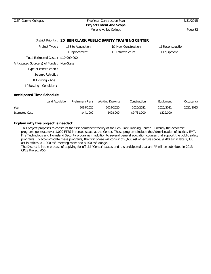| Calif. Comm. Colleges                     | Five Year Construction Plan | 5/31/2015                                                     |                       |
|-------------------------------------------|-----------------------------|---------------------------------------------------------------|-----------------------|
|                                           |                             | <b>Project Intent And Scope</b>                               |                       |
|                                           |                             | Moreno Valley College                                         | Page 83               |
|                                           |                             | District Priority: 20 BEN CLARK PUBLIC SAFETY TRAINING CENTER |                       |
| Project Type:                             | $\Box$ Site Acquisition     | $\boxtimes$ New Construction                                  | $\Box$ Reconstruction |
|                                           | $\Box$ Replacement          | $\Box$ Infrastructure                                         | $\Box$ Equipment      |
| Total Estimated Costs: \$10,999,000       |                             |                                                               |                       |
| Anticipated Source(s) of Funds: Non-State |                             |                                                               |                       |
| Type of construction:                     |                             |                                                               |                       |
| Seismic Retrofit:                         |                             |                                                               |                       |
| If Existing - Age:                        |                             |                                                               |                       |
| If Existing - Condition:                  |                             |                                                               |                       |
|                                           |                             |                                                               |                       |

|                       | Land Acquisition | Preliminary Plans | Working Drawing | Construction | Equipment | Occupancy |
|-----------------------|------------------|-------------------|-----------------|--------------|-----------|-----------|
| Year                  |                  | 2019/2020         | 2019/2020       | 2020/2021    | 2020/2021 | 2022/2023 |
| <b>Estimated Cost</b> |                  | \$441,000         | \$498,000       | \$9,731,000  | \$329,000 |           |

## **Explain why this project is needed:**

This project proposes to construct the first permanent facility at the Ben Clark Training Center. Currently the academic programs generate over 1,000 FTES in rented space at the Center. These programs include the Administration of Justice, EMT, Fire Technology and Homeland Security programs in addition to several general education courses that support the public safety programs. To accommodate these programs, the first phase will consist of 6,600 asf of lecture space, 9,700 asf in labs 2,300 asf in offices, a 1,000 asf meeting room and a 400 asf lounge.

The District is in the process of applying for official "Center" status and it is anticipated that an IPP will be submitted in 2013. CPES Project #56.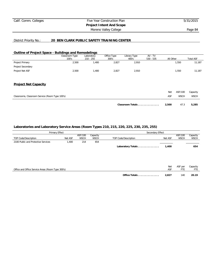## Calif. Comm. Colleges Five Year Construction Plan 5/31/2015 **Project Intent And Scope** Moreno Valley College **Page 84**

#### District Priority No.: **20 BEN CLARK PUBLIC SAFETY TRAINING CENTER**

#### **Outline of Project Space - Buildings and Remodelings**

|                                                 | Classroom Type<br>100's | Laboratory<br>$210 - 255$ | Office Type<br>300's | Library Type<br>400's | AV - TV<br>$530 - 535$ | All Other |             | <b>Total ASF</b> |
|-------------------------------------------------|-------------------------|---------------------------|----------------------|-----------------------|------------------------|-----------|-------------|------------------|
| Project Primary                                 | 2,500                   | 1,400                     | 2,827                | 2,910                 |                        |           | 1,550       | 11,187           |
| Project Secondary                               |                         |                           |                      |                       |                        |           |             |                  |
| Project Net ASF                                 | 2,500                   | 1,400                     | 2,827                | 2,910                 |                        |           | 1,550       | 11,187           |
| <b>Project Net Capacity</b>                     |                         |                           |                      |                       |                        |           |             |                  |
|                                                 |                         |                           |                      |                       |                        | Net       | ASF/100     | Capacity         |
| Classrooms, Classroom Service (Room Type 100's) |                         |                           |                      |                       |                        | ASF       | <b>WSCH</b> | <b>WSCH</b>      |
|                                                 |                         |                           |                      | Classroom Totals      |                        | 2,500     | 47.3        | 5,285            |

| Primary Effect                                    |         |                        |                         | Secondary Effect     |         |                        |                         |  |  |
|---------------------------------------------------|---------|------------------------|-------------------------|----------------------|---------|------------------------|-------------------------|--|--|
| TOP Code/Description                              | Net ASF | ASF/100<br><b>WSCH</b> | Capacity<br><b>WSCH</b> | TOP Code/Description | Net ASF | ASF/100<br><b>WSCH</b> | Capacity<br><b>WSCH</b> |  |  |
| 2100 Public and Protective Services               | 1,400   | 214                    | 654                     |                      |         |                        |                         |  |  |
|                                                   |         |                        |                         | Laboratory Totals    | 1,400   |                        | 654                     |  |  |
|                                                   |         |                        |                         |                      |         |                        |                         |  |  |
|                                                   |         |                        |                         |                      | Net     | ASF per                | Capacity                |  |  |
| Office and Office Service Areas (Room Type 300's) |         |                        |                         |                      | ASF     | <b>FTE</b>             | FTE                     |  |  |
|                                                   |         |                        |                         | Office Totals        | 2,827   | 140                    | 20.19                   |  |  |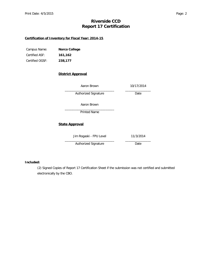# **Riverside CCD Report 17 Certification**

## **Certification of Inventory for Fiscal Year: 2014-15**

| Campus Name:    | Norco College |
|-----------------|---------------|
| Certified ASF:  | 161.162       |
| Certified OGSF: | 238,177       |

## **District Approval**

| 10/17/2014 |
|------------|
| Date       |
|            |
|            |
|            |
| 11/3/2014  |
| Date       |
|            |

#### **Included:**

(2) Signed Copies of Report 17 Certification Sheet if the submission was not certified and submitted electronically by the CBO.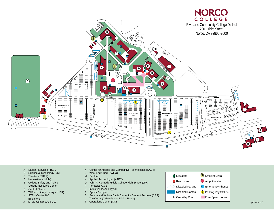

- A Student Services (SSV)
- B Science & Technology (ST)
- C Theater (THTR)
- D Humanities (HUM)
- E College Safety and Police College Resource Center
- F Central Plants
- G Wilfred J. Airey Library (LIBR)
- H STEM Center 100
- **Bookstore**
- J STEM Center 200 & 300
- K Center for Applied and Competitive Technologies (CACT)
- L West End Quad (WEQ)
- M Facilities
- N Applied Technology (ATEC)
- O John F. Kennedy Middle College High School (JFK)
- P Portables A & B
- Q Industrial Technology (IT)
- R Sports Complex
- S Brenda and William Davis Center for Student Success (CSS) The Corral (Cafeteria and Dining Room)
- T Operations Center (OC)

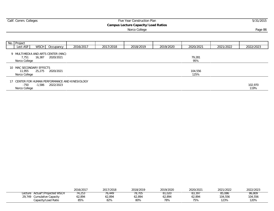| Calif. Comm. Colleges                                     |           |           | Five Year Construction Plan                |           |           |           | 5/31/2015 |
|-----------------------------------------------------------|-----------|-----------|--------------------------------------------|-----------|-----------|-----------|-----------|
|                                                           |           |           | <b>Campus Lecture Capacity/Load Ratios</b> |           |           |           |           |
|                                                           |           |           | Norco College                              |           |           |           | Page 86   |
|                                                           |           |           |                                            |           |           |           |           |
|                                                           |           |           |                                            |           |           |           |           |
| No. Project                                               |           |           |                                            |           |           |           |           |
| Lect ASF<br><b>WSCH</b><br>Occupancy                      | 2016/2017 | 2017/2018 | 2018/2019                                  | 2019/2020 | 2020/2021 | 2021/2022 | 2022/2023 |
| 9 MULTIMEDIA AND ARTS CENTER (MAC)                        |           |           |                                            |           |           |           |           |
| 16,387<br>2020/2021<br>7.751                              |           |           |                                            |           | 79,281    |           |           |
| Norco College                                             |           |           |                                            |           | 95%       |           |           |
|                                                           |           |           |                                            |           |           |           |           |
| 10 MAC SECONDARY EFFECTS<br>11,955<br>25,275<br>2020/2021 |           |           |                                            |           | 104,556   |           |           |
| Norco College                                             |           |           |                                            |           | 125%      |           |           |
|                                                           |           |           |                                            |           |           |           |           |
| 17 CENTER FOR HUMAN PERFORMANCE AND KINESIOLOGY           |           |           |                                            |           |           |           |           |
| -750<br>-1,586 2022/2023                                  |           |           |                                            |           |           |           | 102,970   |
| Norco College                                             |           |           |                                            |           |           |           | 119%      |

|                                   | 2016/2017 | 2017/2018 | 2018/2019 | 2019/2020 | 2020/2021 | 2021/2022 | 2022/2023 |
|-----------------------------------|-----------|-----------|-----------|-----------|-----------|-----------|-----------|
| Actual*/Projected WSCH<br>Lecture | 74.253    | 0.449     | 78.705    | 81.020    | 83,397    | 85,086    | 86,809    |
| 29.749<br>Cumulative Capacity     | 62,894    | 62,894    | 62,894    | 62,894    | 62,894    | 104,556   | 104,556   |
| Capacity/Load Ratio               | 85%       | 82%       | 80%       | 78%       | 75%       | 123%      | 120%      |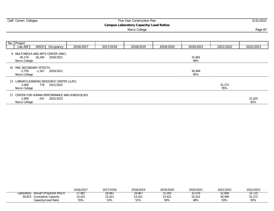| Calif. Comm. Colleges                                 |                                                                   |           |           | Five Year Construction Plan                             |           |               |               | 5/31/2015     |
|-------------------------------------------------------|-------------------------------------------------------------------|-----------|-----------|---------------------------------------------------------|-----------|---------------|---------------|---------------|
|                                                       |                                                                   |           |           | Campus Laboratory Capacity/Load Ratios<br>Norco College |           |               |               | Page 87       |
| No. Project<br>Lab $ASF$                              | <b>WSCH</b><br>Occupancy                                          | 2016/2017 | 2017/2018 | 2018/2019                                               | 2019/2020 | 2020/2021     | 2021/2022     | 2022/2023     |
| 40,174<br>Norco College                               | 9 MULTIMEDIA AND ARTS CENTER (MAC)<br>16,240<br>2020/2021         |           |           |                                                         |           | 31,661<br>99% |               |               |
| 10 MAC SECONDARY EFFECTS<br>$-2,750$<br>Norco College | $-1,167$ 2020/2021                                                |           |           |                                                         |           | 30,494<br>95% |               |               |
| 2,000<br>Norco College                                | 13 LIBRARY/LEARNING RESOURCE CENTER (LLRC)<br>2021/2022<br>778    |           |           |                                                         |           |               | 31,272<br>95% |               |
| 17<br>$-1,909$<br>Norco College                       | CENTER FOR HUMAN PERFORMANCE AND KINESIOLOGY<br>-247<br>2022/2023 |           |           |                                                         |           |               |               | 31,025<br>92% |

|           |                            | 2016/2017 | 2017/2018 | 2018/2019 | 2019/2020 | 2020/2021 | 2021/2022 | 2022/2023 |
|-----------|----------------------------|-----------|-----------|-----------|-----------|-----------|-----------|-----------|
| aboratory | Actual*/Projected WSCH     | 77,987    | 28,961    | 29.967    | १1,005    | 32.076    | 32,890    |           |
|           | 39,923 Cumulative Capacity | 15,421    | 15,421    | 15,421    | 15,421    | 15,421    | 30.494    | 31,272    |
|           | Capacity/Load Ratio        | 55%       | 53%       | 51%       | 50%       | 48%       | 93%       | 93%       |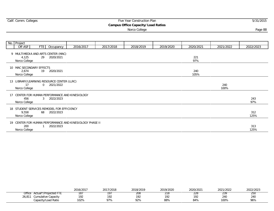|                                                    |              |                                                           |                                                          |           | <b>Campus Office Capacity/Load Ratios</b> |           |             |             |             |
|----------------------------------------------------|--------------|-----------------------------------------------------------|----------------------------------------------------------|-----------|-------------------------------------------|-----------|-------------|-------------|-------------|
|                                                    |              |                                                           |                                                          |           | Norco College                             |           |             |             | Page 88     |
|                                                    |              |                                                           |                                                          |           |                                           |           |             |             |             |
| No. Project                                        |              |                                                           |                                                          |           |                                           |           |             |             |             |
| Off ASF                                            | FTE          | Occupancy                                                 | 2016/2017                                                | 2017/2018 | 2018/2019                                 | 2019/2020 | 2020/2021   | 2021/2022   | 2022/2023   |
| 4,125<br>Norco College                             | 29           | 9 MULTIMEDIA AND ARTS CENTER (MAC)<br>2020/2021           |                                                          |           |                                           |           | 221<br>97%  |             |             |
| 10 MAC SECONDARY EFFECTS<br>2,674<br>Norco College |              | 19 2020/2021                                              |                                                          |           |                                           |           | 240<br>105% |             |             |
| 17<br>Norco College                                |              | 13 LIBRARY/LEARNING RESOURCE CENTER (LLRC)<br>0 2021/2022 |                                                          |           |                                           |           |             | 240<br>100% |             |
| 456<br>Norco College                               |              | 3 2022/2023                                               | 17 CENTER FOR HUMAN PERFORMANCE AND KINESIOLOGY          |           |                                           |           |             |             | 243<br>97%  |
| 9.558<br>Norco College                             | 68           | 18 STUDENT SERVICES REMODEL FOR EFFICIENCY<br>2022/2023   |                                                          |           |                                           |           |             |             | 312<br>125% |
| 200<br>Norco College                               | $\mathbf{1}$ | 2022/2023                                                 | 19 CENTER FOR HUMAN PERFORMANCE AND KINESIOLOGY PHASE II |           |                                           |           |             |             | 313<br>125% |

Calif. Comm. Colleges **Five Year Construction Plan** 5/31/2015

|                                   | 2016/2017  | 2017/2018 | 2018/2019 | 2019/2020 | 2020/2021 | 2021/2022 | 2022/2023 |
|-----------------------------------|------------|-----------|-----------|-----------|-----------|-----------|-----------|
| Office<br>Actual*/Projected<br>H. | īΩ<br>ر ۱٥ |           | ZUŏ       | 2 I O     | 220       | 237       | とつし       |
| 26,81<br>Cumulative Capacity      | 192        | 102       | 192       | 192       | 192       | 240       | 240       |
| Capacity/Load Ratio               | 102%       | 97%       | 92%       | 88%       | 84%       | 100%      | 96%       |

 $\sim$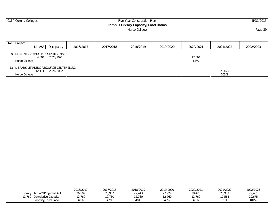|               | Calif. Comm. Colleges |                                            |           | Five Year Construction Plan |           |           | 5/31/2015 |           |           |
|---------------|-----------------------|--------------------------------------------|-----------|-----------------------------|-----------|-----------|-----------|-----------|-----------|
|               |                       |                                            |           |                             |           |           |           |           |           |
|               |                       |                                            |           |                             |           | Page 89   |           |           |           |
|               |                       |                                            |           |                             |           |           |           |           |           |
|               |                       |                                            |           |                             |           |           |           |           |           |
| No. Project   |                       |                                            |           |                             |           |           |           |           |           |
|               |                       | Lib ASF Occupancy                          | 2016/2017 | 2017/2018                   | 2018/2019 | 2019/2020 | 2020/2021 | 2021/2022 | 2022/2023 |
|               |                       | 9 MULTIMEDIA AND ARTS CENTER (MAC)         |           |                             |           |           |           |           |           |
|               | 4,804                 | 2020/2021                                  |           |                             |           |           | 17,564    |           |           |
| Norco College |                       |                                            |           |                             |           |           | 62%       |           |           |
|               |                       |                                            |           |                             |           |           |           |           |           |
|               |                       | 13 LIBRARY/LEARNING RESOURCE CENTER (LLRC) |           |                             |           |           |           |           |           |
|               | 12.111                | 2021/2022                                  |           |                             |           |           |           | 29,675    |           |
| Norco College |                       |                                            |           |                             |           |           |           | 103%      |           |
|               |                       |                                            |           |                             |           |           |           |           |           |

|                                       | 2016/2017 | 2017/2018 | 2018/2019 | 2019/2020 | 2020/2021 | 2021/2022 | 2022/2023 |
|---------------------------------------|-----------|-----------|-----------|-----------|-----------|-----------|-----------|
| iected ASF<br>Actual*/Proi<br>∟ibrary | 26,502    | 26.967    | 443,      | 27,929    | 28,420    | 28.933    | 29.451    |
| 760<br><b>Cumulative Capacity</b>     | 2,760     | .2,760    | 12,760    | 12,760    | 2,760     | 17,564    | 29,675    |
| Capacity/Load Ratio                   | 48%       | 17%       | 46%       | 46%       | 45%       | 61%       | 101%      |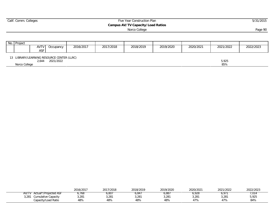| Calif. Comm. Colleges |                                                                  |           |                                                    | Five Year Construction Plan | 5/31/2015 |           |              |           |  |
|-----------------------|------------------------------------------------------------------|-----------|----------------------------------------------------|-----------------------------|-----------|-----------|--------------|-----------|--|
|                       |                                                                  |           | Campus AV/TV Capacity/Load Ratios<br>Norco College |                             |           |           |              |           |  |
|                       |                                                                  |           |                                                    |                             |           |           |              |           |  |
| No. Project           | AVTV<br>Occupancy<br>ASF                                         | 2016/2017 | 2017/2018                                          | 2018/2019                   | 2019/2020 | 2020/2021 | 2021/2022    | 2022/2023 |  |
| Norco College         | 13 LIBRARY/LEARNING RESOURCE CENTER (LLRC)<br>2021/2022<br>2,644 |           |                                                    |                             |           |           | 5,925<br>85% |           |  |

|                                                | 2016/2017 | 2017<br>/2018<br>20 I <i>I</i> | 2018/2019 | 2019/2020 | 2020/2021 | 2021/2022                               | 2022/2023 |
|------------------------------------------------|-----------|--------------------------------|-----------|-----------|-----------|-----------------------------------------|-----------|
| Actual*/Projected ASF<br>$AV/T^{\prime\prime}$ | ,768      | o,ou                           | 6,847     | 6,887     | 6,928     | $\overline{\phantom{a}}$<br>ີ<br>U, 71. | 7,014     |
| 3,281<br>Cumulative Capacity                   | 3,281     | 3,281                          | 3,281     | 3,281     | 3,281     | 3,281                                   | 5,925     |
| Capacity/Load Ratio                            | 48%       | 48%                            | 48%       | 48%       | 170/      | 17%                                     | 84%       |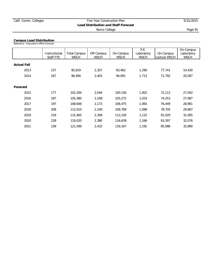#### **Campus Load Distribution**

Reference: Chancellor's Office Forecast

|                    | Instructional<br>Staff FTE | <b>Total Campus</b><br><b>WSCH</b> | Off-Campus<br><b>WSCH</b> | On-Campus<br><b>WSCH</b> | P.E.<br>Laboratory<br><b>WSCH</b> | On-Campus<br>Lecture WSCH | On-Campus<br>Laboratory<br><b>WSCH</b> |
|--------------------|----------------------------|------------------------------------|---------------------------|--------------------------|-----------------------------------|---------------------------|----------------------------------------|
| <b>Actual Fall</b> |                            |                                    |                           |                          |                                   |                           |                                        |
| 2013               | 157                        | 95,819                             | 2,357                     | 93,462                   | 1,290                             | 77,741                    | 14,430                                 |
| 2014               | 167                        | 96,494                             | 2,403                     | 94,091                   | 1,712                             | 71,792                    | 20,587                                 |
|                    |                            |                                    |                           |                          |                                   |                           |                                        |
| Forecast           |                            |                                    |                           |                          |                                   |                           |                                        |
| 2015               | 177                        | 102,200                            | 2,044                     | 100,156                  | 1,002                             | 72,112                    | 27,042                                 |
| 2016               | 187                        | 105,380                            | 2,108                     | 103,272                  | 1,033                             | 74,253                    | 27,987                                 |
| 2017               | 197                        | 108,648                            | 2,173                     | 106,475                  | 1,065                             | 76,449                    | 28,961                                 |
| 2018               | 208                        | 112,010                            | 2,240                     | 109,769                  | 1,098                             | 78,705                    | 29,967                                 |
| 2019               | 218                        | 115,465                            | 2,309                     | 113,156                  | 1,132                             | 81,020                    | 31,005                                 |
| 2020               | 228                        | 119,020                            | 2,380                     | 116,639                  | 1,166                             | 83,397                    | 32,076                                 |
| 2021               | 239                        | 121,599                            | 2,432                     | 119,167                  | 1,192                             | 85,086                    | 32,890                                 |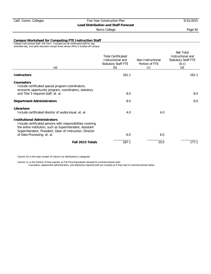## Norco College **Page 92**

**Campus Worksheet for Computing FTE Instruction Staff**

College Instructional Staff, Fall Term. Included are all certificated staff for day, extended day, and adult education except those whose office is located off-campus.

| (a)                                                                                                                                                                                                                         | <b>Total Certificated</b><br>Instructional and<br>Statutory Staff FTE<br>(b) | Non-Instructional<br>Portion of FTE<br>(c) | Net Total<br>Instructional and<br><b>Statutory Staff FTE</b><br>$(b-c)$<br>(d) |
|-----------------------------------------------------------------------------------------------------------------------------------------------------------------------------------------------------------------------------|------------------------------------------------------------------------------|--------------------------------------------|--------------------------------------------------------------------------------|
| <b>Instructors</b>                                                                                                                                                                                                          | 161.1                                                                        |                                            | 161.1                                                                          |
| <b>Counselors</b><br>Include certificated special program coordinators,<br>economic opportunity program, coordinators, statutory                                                                                            |                                                                              |                                            |                                                                                |
| and Title 5 required staff, et. al.                                                                                                                                                                                         | 8.0                                                                          |                                            | 8.0                                                                            |
| <b>Department Administrators</b>                                                                                                                                                                                            | 8.0                                                                          |                                            | 8.0                                                                            |
| Librarians<br>Include certificated director of audio/visual, et. al.                                                                                                                                                        | 4.0                                                                          | 4.0                                        |                                                                                |
| <b>Institutional Administrators</b><br>Include certificated persons with responsibilities covering<br>the entire institution, such as Superintendent, Assistant<br>Superintendent, President, Dean of Instruction, Director |                                                                              |                                            |                                                                                |
| of Data Processing, et. al.                                                                                                                                                                                                 | 6.0                                                                          | 6.0                                        |                                                                                |
| Fall 2015 Totals                                                                                                                                                                                                            | 187.1                                                                        | 10.0                                       | 177.1                                                                          |
|                                                                                                                                                                                                                             |                                                                              |                                            |                                                                                |

Column (b) is the total number of Column (a) distributed to categories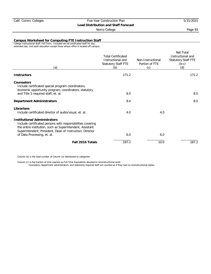### Norco College **Page 93**

**Campus Worksheet for Computing FTE Instruction Staff**

College Instructional Staff, Fall Term. Included are all certificated staff for day, extended day, and adult education except those whose office is located off-campus.

| <b>Total Certificated</b><br>Instructional and<br>Statutory Staff FTE<br>(b) | Non-Instructional<br>Portion of FTE<br>(c) | Net Total<br>Instructional and<br><b>Statutory Staff FTE</b><br>$(b-c)$<br>(d) |
|------------------------------------------------------------------------------|--------------------------------------------|--------------------------------------------------------------------------------|
| 171.2                                                                        |                                            | 171.2                                                                          |
|                                                                              |                                            |                                                                                |
| 8.0                                                                          |                                            | 8.0                                                                            |
| 8.0                                                                          |                                            | 8.0                                                                            |
| 4.0                                                                          | 4.0                                        |                                                                                |
|                                                                              |                                            |                                                                                |
|                                                                              |                                            |                                                                                |
| 197.2                                                                        | 10.0                                       | 187.2                                                                          |
|                                                                              | 6.0                                        | 6.0                                                                            |

Column (b) is the total number of Column (a) distributed to categories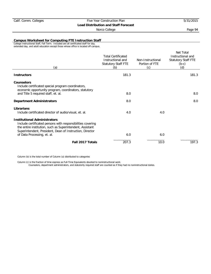## Norco College **Page 94**

**Campus Worksheet for Computing FTE Instruction Staff**

College Instructional Staff, Fall Term. Included are all certificated staff for day, extended day, and adult education except those whose office is located off-campus.

| (a)                                                                                                                                                                                                                                                        | <b>Total Certificated</b><br>Instructional and<br>Statutory Staff FTE<br>(b) | Non-Instructional<br>Portion of FTE<br>(c) | Net Total<br>Instructional and<br><b>Statutory Staff FTE</b><br>$(b-c)$<br>(d) |
|------------------------------------------------------------------------------------------------------------------------------------------------------------------------------------------------------------------------------------------------------------|------------------------------------------------------------------------------|--------------------------------------------|--------------------------------------------------------------------------------|
| <b>Instructors</b>                                                                                                                                                                                                                                         | 181.3                                                                        |                                            | 181.3                                                                          |
| <b>Counselors</b><br>Include certificated special program coordinators,<br>economic opportunity program, coordinators, statutory                                                                                                                           |                                                                              |                                            |                                                                                |
| and Title 5 required staff, et. al.                                                                                                                                                                                                                        | 8.0                                                                          |                                            | 8.0                                                                            |
| <b>Department Administrators</b>                                                                                                                                                                                                                           | 8.0                                                                          |                                            | 8.0                                                                            |
| Librarians<br>Include certificated director of audio/visual, et. al.                                                                                                                                                                                       | 4.0                                                                          | 4.0                                        |                                                                                |
| <b>Institutional Administrators</b><br>Include certificated persons with responsibilities covering<br>the entire institution, such as Superintendent, Assistant<br>Superintendent, President, Dean of Instruction, Director<br>of Data Processing, et. al. | 6.0                                                                          | 6.0                                        |                                                                                |
|                                                                                                                                                                                                                                                            |                                                                              |                                            |                                                                                |
| Fall 2017 Totals                                                                                                                                                                                                                                           | 207.3                                                                        | 10.0                                       | 197.3                                                                          |

Column (b) is the total number of Column (a) distributed to categories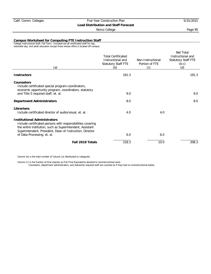## Norco College **Page 95**

#### **Campus Worksheet for Computing FTE Instruction Staff**

College Instructional Staff, Fall Term. Included are all certificated staff for day, extended day, and adult education except those whose office is located off-campus.

| (a)                                                                                                                                                                                                                         | <b>Total Certificated</b><br>Instructional and<br>Statutory Staff FTE<br>(b) | Non-Instructional<br>Portion of FTE<br>(c) | Net Total<br>Instructional and<br><b>Statutory Staff FTE</b><br>$(b-c)$<br>(d) |
|-----------------------------------------------------------------------------------------------------------------------------------------------------------------------------------------------------------------------------|------------------------------------------------------------------------------|--------------------------------------------|--------------------------------------------------------------------------------|
| <b>Instructors</b>                                                                                                                                                                                                          | 191.3                                                                        |                                            | 191.3                                                                          |
| <b>Counselors</b><br>Include certificated special program coordinators,<br>economic opportunity program, coordinators, statutory                                                                                            |                                                                              |                                            |                                                                                |
| and Title 5 required staff, et. al.                                                                                                                                                                                         | 9.0                                                                          |                                            | 9.0                                                                            |
| <b>Department Administrators</b>                                                                                                                                                                                            | 8.0                                                                          |                                            | 8.0                                                                            |
| Librarians<br>Include certificated director of audio/visual, et. al.                                                                                                                                                        | 4.0                                                                          | 4.0                                        |                                                                                |
| <b>Institutional Administrators</b><br>Include certificated persons with responsibilities covering<br>the entire institution, such as Superintendent, Assistant<br>Superintendent, President, Dean of Instruction, Director |                                                                              |                                            |                                                                                |
| of Data Processing, et. al.                                                                                                                                                                                                 | 6.0                                                                          | 6.0                                        |                                                                                |
| Fall 2018 Totals                                                                                                                                                                                                            | 218.3                                                                        | 10.0                                       | 208.3                                                                          |

Column (b) is the total number of Column (a) distributed to categories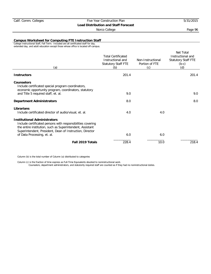## Norco College **Page 96**

**Campus Worksheet for Computing FTE Instruction Staff**

College Instructional Staff, Fall Term. Included are all certificated staff for day, extended day, and adult education except those whose office is located off-campus.

| (a)                                                                                                                                                                                                                         | <b>Total Certificated</b><br>Instructional and<br>Statutory Staff FTE<br>(b) | Non-Instructional<br>Portion of FTE<br>(c) | Net Total<br>Instructional and<br>Statutory Staff FTE<br>$(b-c)$<br>(d) |
|-----------------------------------------------------------------------------------------------------------------------------------------------------------------------------------------------------------------------------|------------------------------------------------------------------------------|--------------------------------------------|-------------------------------------------------------------------------|
| <b>Instructors</b>                                                                                                                                                                                                          | 201.4                                                                        |                                            | 201.4                                                                   |
| Counselors<br>Include certificated special program coordinators,<br>economic opportunity program, coordinators, statutory                                                                                                   |                                                                              |                                            |                                                                         |
| and Title 5 required staff, et. al.                                                                                                                                                                                         | 9.0                                                                          |                                            | 9.0                                                                     |
| <b>Department Administrators</b>                                                                                                                                                                                            | 8.0                                                                          |                                            | 8.0                                                                     |
| Librarians<br>Include certificated director of audio/visual, et. al.                                                                                                                                                        | 4.0                                                                          | 4.0                                        |                                                                         |
| <b>Institutional Administrators</b><br>Include certificated persons with responsibilities covering<br>the entire institution, such as Superintendent, Assistant<br>Superintendent, President, Dean of Instruction, Director |                                                                              |                                            |                                                                         |
| of Data Processing, et. al.                                                                                                                                                                                                 | 6.0                                                                          | 6.0                                        |                                                                         |
| Fall 2019 Totals                                                                                                                                                                                                            | 228.4                                                                        | 10.0                                       | 218.4                                                                   |

Column (b) is the total number of Column (a) distributed to categories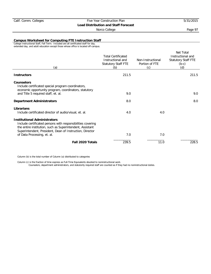### Norco College **Page 97**

**Campus Worksheet for Computing FTE Instruction Staff**

College Instructional Staff, Fall Term. Included are all certificated staff for day, extended day, and adult education except those whose office is located off-campus.

| (a)                                                                                                                                                                                                                         | <b>Total Certificated</b><br>Instructional and<br>Statutory Staff FTE<br>(b) | Non-Instructional<br>Portion of FTE<br>(c) | Net Total<br>Instructional and<br><b>Statutory Staff FTE</b><br>$(b-c)$<br>(d) |
|-----------------------------------------------------------------------------------------------------------------------------------------------------------------------------------------------------------------------------|------------------------------------------------------------------------------|--------------------------------------------|--------------------------------------------------------------------------------|
| <b>Instructors</b>                                                                                                                                                                                                          | 211.5                                                                        |                                            | 211.5                                                                          |
| <b>Counselors</b><br>Include certificated special program coordinators,<br>economic opportunity program, coordinators, statutory                                                                                            |                                                                              |                                            |                                                                                |
| and Title 5 required staff, et. al.                                                                                                                                                                                         | 9.0                                                                          |                                            | 9.0                                                                            |
| <b>Department Administrators</b>                                                                                                                                                                                            | 8.0                                                                          |                                            | 8.0                                                                            |
| Librarians<br>Include certificated director of audio/visual, et. al.                                                                                                                                                        | 4.0                                                                          | 4.0                                        |                                                                                |
| <b>Institutional Administrators</b><br>Include certificated persons with responsibilities covering<br>the entire institution, such as Superintendent, Assistant<br>Superintendent, President, Dean of Instruction, Director |                                                                              |                                            |                                                                                |
| of Data Processing, et. al.                                                                                                                                                                                                 | 7.0                                                                          | 7.0                                        |                                                                                |
| Fall 2020 Totals                                                                                                                                                                                                            | 239.5                                                                        | 11.0                                       | 228.5                                                                          |

Column (b) is the total number of Column (a) distributed to categories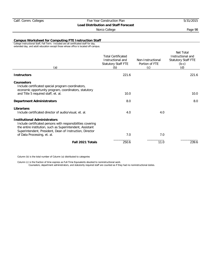### Norco College **Page 98**

**Campus Worksheet for Computing FTE Instruction Staff**

College Instructional Staff, Fall Term. Included are all certificated staff for day, extended day, and adult education except those whose office is located off-campus.

| (a)                                                                                                                                                                                                                                                        | <b>Total Certificated</b><br>Instructional and<br>Statutory Staff FTE<br>(b) | Non-Instructional<br>Portion of FTE<br>(c) | Net Total<br>Instructional and<br><b>Statutory Staff FTE</b><br>$(b-c)$<br>(d) |
|------------------------------------------------------------------------------------------------------------------------------------------------------------------------------------------------------------------------------------------------------------|------------------------------------------------------------------------------|--------------------------------------------|--------------------------------------------------------------------------------|
| <b>Instructors</b>                                                                                                                                                                                                                                         | 221.6                                                                        |                                            | 221.6                                                                          |
| Counselors<br>Include certificated special program coordinators,<br>economic opportunity program, coordinators, statutory                                                                                                                                  |                                                                              |                                            |                                                                                |
| and Title 5 required staff, et. al.                                                                                                                                                                                                                        | 10.0                                                                         |                                            | 10.0                                                                           |
| <b>Department Administrators</b>                                                                                                                                                                                                                           | 8.0                                                                          |                                            | 8.0                                                                            |
| Librarians<br>Include certificated director of audio/visual, et. al.                                                                                                                                                                                       | 4.0                                                                          | 4.0                                        |                                                                                |
| <b>Institutional Administrators</b><br>Include certificated persons with responsibilities covering<br>the entire institution, such as Superintendent, Assistant<br>Superintendent, President, Dean of Instruction, Director<br>of Data Processing, et. al. | 7.0                                                                          | 7.0                                        |                                                                                |
| Fall 2021 Totals                                                                                                                                                                                                                                           | 250.6                                                                        | 11.0                                       | 239.6                                                                          |
|                                                                                                                                                                                                                                                            |                                                                              |                                            |                                                                                |

Column (b) is the total number of Column (a) distributed to categories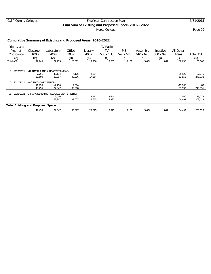|  |  | Calif. Comm. Colleges |
|--|--|-----------------------|
|--|--|-----------------------|

## Five Year Construction Plan 5/31/2015 **Cum Sum of Existing and Proposed Space, 2016 - 2022**

Norco College **Page 99** 

### **Cumulative Summary of Existing and Proposed Areas, 2016-2022**

| Priority and                             |                       |                                         |        |         | AV Radio    |             |             |             |           |                  |
|------------------------------------------|-----------------------|-----------------------------------------|--------|---------|-------------|-------------|-------------|-------------|-----------|------------------|
| Year of                                  | Classroom             | Laboratory                              | Office | Library | TV          | P.E.        | Assembly    | Inactive    | All Other |                  |
| Occupancy                                | 100's                 | 200's                                   | 300's  | 400's   | $530 - 535$ | $520 - 525$ | $610 - 625$ | $050 - 070$ | Areas     | <b>Total ASF</b> |
| (a)                                      | (b)                   | (c)                                     | (d)    | (e)     | (f)         | (g)         | (h)         |             | (i)       | (k)              |
| <b>Total ASF</b>                         | 29,749                | 39,923                                  | 26,811 | 12,760  | 3,281       | 6,151       | 3,604       | 847         | 38,036    | 161,162          |
|                                          |                       |                                         |        |         |             |             |             |             |           |                  |
| 9<br>2020/2021                           |                       | MULTIMEDIA AND ARTS CENTER (MAC)        |        |         |             |             |             |             |           |                  |
|                                          | 7,751                 | 40,174                                  | 4,125  | 4,804   |             |             |             |             | 25,922    | 82,776           |
|                                          | 37,500                | 80,097                                  | 30,936 | 17,564  |             |             |             |             | 63,958    | 243,938          |
| 2020/2021<br>10                          | MAC SECONDARY EFFECTS |                                         |        |         |             |             |             |             |           |                  |
|                                          | 11,955                | $-2,750$                                | 2,674  |         |             |             |             |             | $-11,966$ | $-87$            |
|                                          | 49,455                | 77,347                                  | 33,610 |         |             |             |             |             | 51,992    | 243,851          |
| 2021/2022<br>13                          |                       | LIBRARY/LEARNING RESOURCE CENTER (LLRC) |        |         |             |             |             |             |           |                  |
|                                          |                       | 2.000                                   | 17     | 12,111  | 2,644       |             |             |             | 2,500     | 19,272           |
|                                          |                       | 79,347                                  | 33,627 | 29,675  | 5,925       |             |             |             | 54,492    | 263,123          |
| <b>Total Existing and Proposed Space</b> |                       |                                         |        |         |             |             |             |             |           |                  |
|                                          | 49,455                | 79,347                                  | 33,627 | 29,675  | 5,925       | 6,151       | 3,604       | 847         | 54,492    | 263,123          |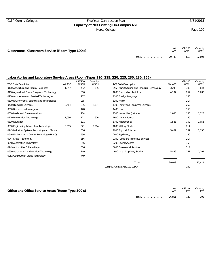## Calif. Comm. Colleges Five Year Construction Plan 5/31/2015 **Capacity of Net Existing On-Campus ASF** Norco College **Page 100**

| Classrooms, Classroom Service (Room Type 100's) |               | Net    | ASF/100<br><b>WSCH</b> | Capacity<br>WSCH |
|-------------------------------------------------|---------------|--------|------------------------|------------------|
|                                                 | <b>Totals</b> | 29.749 | 47.3                   | 62.894           |

| <b>TOP Code/Description</b>                   | Net ASF | ASF/100<br><b>WSCH</b> | Capacity<br><b>WSCH</b> | <b>TOP Code/Description</b>                  | Net ASF | ASF/100<br><b>WSCH</b> | Capacity<br><b>WSCH</b> |
|-----------------------------------------------|---------|------------------------|-------------------------|----------------------------------------------|---------|------------------------|-------------------------|
| 0100 Agriculture and Natural Resources        | 1.647   | 492                    | 335                     | 0956 Manufacturing and Industrial Technology | 3,248   | 385                    | 844                     |
| 0116 Agricultural Power Equipment Technology  |         | 856                    |                         | 1000 Fine and Applied Arts                   | 4,197   | 257                    | 1,633                   |
| 0200 Architecture and Related Technologies    |         | 257                    |                         | 1100 Foreign Language                        |         | 150                    |                         |
| 0300 Environmental Sciences and Technologies  |         | 235                    |                         | 1200 Health                                  |         | 214                    |                         |
| 0400 Biological Sciences                      | 5,484   | 235                    | 2,334                   | 1300 Family and Consumer Sciences            |         | 257                    |                         |
| 0500 Business and Management                  |         | 128                    |                         | 1400 Law                                     |         | 150                    |                         |
| 0600 Media and Communications                 |         | 214                    |                         | 1500 Humanities (Letters)                    | 1,835   | 150                    | 1,223                   |
| 0700 Information Technology                   | 1,036   | 171                    | 606                     | 1600 Library Science                         |         | 150                    |                         |
| 0800 Education                                |         | 321                    |                         | 1700 Mathematics                             | 1,583   | 150                    | 1,055                   |
| 0900 Engineering & Industrial Technologies    | 9,515   | 321                    | 2,964                   | 1800 Military Studies                        |         | 214                    |                         |
| 0945 Industrial Systems Technology and Mainte |         | 556                    |                         | 1900 Physical Sciences                       | 5,489   | 257                    | 2,136                   |
| 0946 Environmental Control Technology (HVAC)  |         | 556                    |                         | 2000 Psychology                              |         | 150                    |                         |
| 0947 Diesel Technology                        |         | 856                    |                         | 2100 Public and Protective Services          |         | 214                    |                         |
| 0948 Automotive Technology                    |         | 856                    |                         | 2200 Social Sciences                         |         | 150                    |                         |
| 0949 Automotive Collison Repair               |         | 856                    |                         | 3000 Commercial Services                     |         | 214                    |                         |
| 0950 Aeronautical and Aviation Technology     |         | 749                    |                         | 4900 Interdisciplinary Studies               | 5,889   | 257                    | 2,291                   |
| 0952 Construction Crafts Technology           |         | 749                    |                         |                                              |         |                        |                         |
|                                               |         |                        |                         | Totals                                       | 39,923  |                        | 15,421                  |
|                                               |         |                        |                         | Campus Avg Lab ASF/100 WSCH                  |         | 259                    |                         |

|                                                   |        | Net    | ASF per | Capacity |
|---------------------------------------------------|--------|--------|---------|----------|
| Office and Office Service Areas (Room Type 300's) |        |        |         | FTF.     |
|                                                   |        |        |         |          |
|                                                   | Totals | 26.811 | 140     | 192      |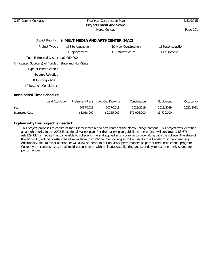| Calif. Comm. Colleges                                 | Five Year Construction Plan |                              |                  |  |  |  |  |  |  |  |
|-------------------------------------------------------|-----------------------------|------------------------------|------------------|--|--|--|--|--|--|--|
| <b>Project Intent And Scope</b>                       |                             |                              |                  |  |  |  |  |  |  |  |
|                                                       |                             | Norco College                | Page 101         |  |  |  |  |  |  |  |
| District Priority: 9 MULTIMEDIA AND ARTS CENTER (MAC) |                             |                              |                  |  |  |  |  |  |  |  |
| Project Type:                                         | $\Box$ Site Acquisition     | $\boxtimes$ New Construction | Reconstruction   |  |  |  |  |  |  |  |
|                                                       | $\Box$ Replacement          | $\Box$ Infrastructure        | $\Box$ Equipment |  |  |  |  |  |  |  |
| Total Estimated Costs: \$81,069,000                   |                             |                              |                  |  |  |  |  |  |  |  |
| Anticipated Source(s) of Funds: State and Non-State   |                             |                              |                  |  |  |  |  |  |  |  |
| Type of construction:                                 |                             |                              |                  |  |  |  |  |  |  |  |
| Seismic Retrofit:                                     |                             |                              |                  |  |  |  |  |  |  |  |
| If Existing - Age:                                    |                             |                              |                  |  |  |  |  |  |  |  |
| If Existing - Condition:                              |                             |                              |                  |  |  |  |  |  |  |  |
|                                                       |                             |                              |                  |  |  |  |  |  |  |  |

|                       | Land Acquisition | Preliminary Plans | Working Drawing | Construction | Equipment   | Occupancy |
|-----------------------|------------------|-------------------|-----------------|--------------|-------------|-----------|
| Year                  |                  | 2017/2018         | 2017/2018       | 2018/2019    | 2018/2019   | 2020/2021 |
| <b>Estimated Cost</b> |                  | \$3,058,000       | \$2,365,000     | \$71,926,000 | \$3,720,000 |           |

## **Explain why this project is needed:**

This project proposes to construct the first multimedia and arts center at the Norco College campus. This project was identified as a high priority in the 2008 Educational Master plan. Per the master plan guidelines, the project will construct a 83,676 asf/129,133 gsf facility that will enable to college`s fine and applied arts programs to grow along with the college. The state of the art facility will be constructed allow multiple instructional methodologies to be used for the benefit of student learning. Additionally, the 400 seat auditorium will allow students to put on visual performances as part of their instructional program. Currently the campus has a small multi purpose room with an inadequate lighting and sound system as their only source for performances.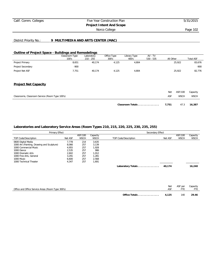# Calif. Comm. Colleges Five Year Construction Plan 5/31/2015 **Project Intent And Scope**

Norco College **Page 102** 

#### District Priority No.: **9 MULTIMEDIA AND ARTS CENTER (MAC)**

#### **Outline of Project Space - Buildings and Remodelings**

|                                                 | Classroom Type<br>100's | Laboratory<br>$210 - 255$ | Office Type<br>300's | Library Type<br>400's | $AV - TV$<br>$530 - 535$ | All Other |             | <b>Total ASF</b> |
|-------------------------------------------------|-------------------------|---------------------------|----------------------|-----------------------|--------------------------|-----------|-------------|------------------|
| Project Primary                                 | 8,651                   | 40,174                    | 4,125                | 4,804                 |                          |           | 25,922      | 83,676           |
| Project Secondary                               | $-900$                  |                           |                      |                       |                          |           |             | $-900$           |
| Project Net ASF                                 | 7,751                   | 40,174                    | 4,125                | 4,804                 |                          |           | 25,922      | 82,776           |
| <b>Project Net Capacity</b>                     |                         |                           |                      |                       |                          |           |             |                  |
|                                                 |                         |                           |                      |                       |                          | Net       | ASF/100     | Capacity         |
| Classrooms, Classroom Service (Room Type 100's) |                         |                           |                      |                       |                          | ASF       | <b>WSCH</b> | <b>WSCH</b>      |

## **Classroom Totals . . . . . . . . . . . . . . . 7,751** 47.3 **16,387**

| Primary Effect                             |         |             |             | Secondary Effect     |         |             |             |
|--------------------------------------------|---------|-------------|-------------|----------------------|---------|-------------|-------------|
|                                            |         | ASF/100     | Capacity    |                      |         | ASF/100     | Capacity    |
| TOP Code/Description                       | Net ASF | <b>WSCH</b> | <b>WSCH</b> | TOP Code/Description | Net ASF | <b>WSCH</b> | <b>WSCH</b> |
| 0600 Digital Media                         | 7.778   | 214         | 3,635       |                      |         |             |             |
| 1000 Art (Painting, Drawing and Sculpture) | 8,066   | 257         | 3.139       |                      |         |             |             |
| 1000 Commercial Music                      | 4,955   | 257         | 1,928       |                      |         |             |             |
| 1000 Dance                                 | 2.535   | 257         | 986         |                      |         |             |             |
| 1000 Dramatic Arts                         | 2.602   | 257         | 1.012       |                      |         |             |             |
| 1000 Fine Arts, General                    | 3.291   | 257         | 1,281       |                      |         |             |             |
| 1000 Music                                 | 6.600   | 257         | 2,568       |                      |         |             |             |
| 1000 Technical Theater                     | 4.347   | 257         | 1,691       |                      |         |             |             |
|                                            |         |             |             | Laboratory Totals    | 40,174  |             | 16,240      |

|                                                   | <b>Net</b> | ASF per | Capacity |
|---------------------------------------------------|------------|---------|----------|
| Office and Office Service Areas (Room Type 300's) | <b>ASF</b> |         |          |
|                                                   |            |         |          |
| Office Totals                                     | 4.125      | 140     | 29.46    |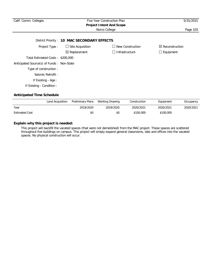| Calif. Comm. Colleges                     | Five Year Construction Plan<br><b>Project Intent And Scope</b> | 5/31/2015               |                            |
|-------------------------------------------|----------------------------------------------------------------|-------------------------|----------------------------|
|                                           |                                                                | Norco College           | Page 103                   |
|                                           | District Priority: 10 MAC SECONDARY EFFECTS                    |                         |                            |
| Project Type:                             | $\Box$ Site Acquisition                                        | $\Box$ New Construction | $\boxtimes$ Reconstruction |
|                                           | $\boxtimes$ Replacement                                        | $\Box$ Infrastructure   | $\Box$ Equipment           |
| Total Estimated Costs: \$200,000          |                                                                |                         |                            |
| Anticipated Source(s) of Funds: Non-State |                                                                |                         |                            |
| Type of construction:                     |                                                                |                         |                            |
| Seismic Retrofit:                         |                                                                |                         |                            |
| If Existing - Age:                        |                                                                |                         |                            |
| If Existing - Condition:                  |                                                                |                         |                            |

|                       | Land Acquisition | Preliminary Plans | Working Drawing | Construction | Equipment | Occupancy |
|-----------------------|------------------|-------------------|-----------------|--------------|-----------|-----------|
| Year                  |                  | 2019/2020         | 2019/2020       | 2020/2021    | 2020/2021 | 2020/2021 |
| <b>Estimated Cost</b> |                  | \$0               | \$0             | \$100,000    | \$100,000 |           |

## **Explain why this project is needed:**

This project will backfill the vacated spaces (that were not demolished) from the MAC project. These spaces are scattered throughout five buildings on campus. This project will simply expand general classrooms, labs and offices into the vacated spaces. No physical construction will occur.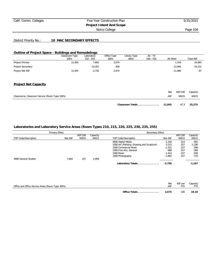## Calif. Comm. Colleges Five Year Construction Plan 5/31/2015 **Project Intent And Scope**

Norco College **Page 104** 

#### District Priority No.: **10 MAC SECONDARY EFFECTS**

#### **Outline of Project Space - Buildings and Remodelings**

|                             | Classroom Type<br>100's | Laboratory<br>$210 - 255$ | Office Type<br>300's | Library Type<br>400's | $AV - TV$<br>$530 - 535$ | All Other | <b>Total ASF</b> |
|-----------------------------|-------------------------|---------------------------|----------------------|-----------------------|--------------------------|-----------|------------------|
| Project Primary             | 11,955                  | 7,602                     | 3,074                |                       |                          | 1,434     | 24,065           |
| Project Secondary           |                         | $-10,352$                 | $-400$               |                       |                          | $-13,400$ | $-24,152$        |
| Project Net ASF             | 11,955                  | $-2,750$                  | 2,674                |                       |                          | $-11,966$ | $-87$            |
|                             |                         |                           |                      |                       |                          |           |                  |
|                             |                         |                           |                      |                       |                          |           |                  |
| <b>Project Net Capacity</b> |                         |                           |                      |                       |                          |           |                  |

|                                                 | Classroom Totals 11,955 |     | 47.3        | 25,275      |
|-------------------------------------------------|-------------------------|-----|-------------|-------------|
| Classrooms, Classroom Service (Room Type 100's) |                         | ASF | <b>WSCH</b> | <b>WSCH</b> |
|                                                 |                         | Net | ASF/100     | Capacity    |

| Primary Effect       |         |             | Secondary Effect |                                            |          |             |             |
|----------------------|---------|-------------|------------------|--------------------------------------------|----------|-------------|-------------|
|                      |         | ASF/100     | Capacity         |                                            |          | ASF/100     | Capacity    |
| TOP Code/Description | Net ASF | <b>WSCH</b> | <b>WSCH</b>      | TOP Code/Description                       | Net ASF  | <b>WSCH</b> | <b>WSCH</b> |
|                      |         |             |                  | 0600 Digital Media                         | $-1.244$ | 214         | $-581$      |
|                      |         |             |                  | 1000 Art (Painting, Drawing and Sculpture) | $-3,315$ | 257         | $-1,290$    |
|                      |         |             |                  | 1000 Commercial Music                      | $-1,531$ | 257         | -596        |
|                      |         |             |                  | 1000 Fine Arts, General                    | $-986$   | 257         | $-384$      |
|                      |         |             |                  | 1000 Music                                 | $-1.414$ | 257         | $-550$      |
|                      |         |             |                  | 1000 Photography                           | $-1,862$ | 257         | $-725$      |
| 4900 General Studies | 7.602   | 257         | 2.958            |                                            |          |             |             |
|                      |         |             |                  | Laboratory Totals                          | $-2.750$ |             | $-1,167$    |

|                                                   | <b>Net</b>             | ASF per | Capacity |
|---------------------------------------------------|------------------------|---------|----------|
| Office and Office Service Areas (Room Type 300's) | ASF                    |         | FTF      |
|                                                   |                        |         |          |
|                                                   | 2.674<br>Office Totals | 140     | 19.10    |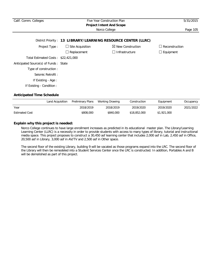| Calif. Comm. Colleges                 | Five Year Construction Plan | 5/31/2015                                                     |                  |
|---------------------------------------|-----------------------------|---------------------------------------------------------------|------------------|
|                                       |                             |                                                               |                  |
|                                       |                             | Norco College                                                 | Page 105         |
|                                       |                             | District Priority: 13 LIBRARY/LEARNING RESOURCE CENTER (LLRC) |                  |
|                                       |                             |                                                               |                  |
| Project Type:                         | $\Box$ Site Acquisition     | $\boxtimes$ New Construction                                  | Reconstruction   |
|                                       | Replacement                 | Infrastructure<br>$\Box$                                      | $\Box$ Equipment |
| Total Estimated Costs: \$22,421,000   |                             |                                                               |                  |
| Anticipated Source(s) of Funds: State |                             |                                                               |                  |
| Type of construction :                |                             |                                                               |                  |
| Seismic Retrofit:                     |                             |                                                               |                  |
| If Existing - Age:                    |                             |                                                               |                  |
| If Existing - Condition :             |                             |                                                               |                  |
|                                       |                             |                                                               |                  |

|                       | Land Acquisition | Preliminary Plans | Working Drawing | Construction | Equipment   | Occupancy |
|-----------------------|------------------|-------------------|-----------------|--------------|-------------|-----------|
| Year                  |                  | 2018/2019         | 2018/2019       | 2019/2020    | 2019/2020   | 2021/2022 |
| <b>Estimated Cost</b> |                  | \$808,000         | \$840,000       | \$18,852,000 | \$1,921,000 |           |

### **Explain why this project is needed:**

Norco College continues to have large enrollment increases as predicted in its educational master plan. The Library/Learning Learning Center (LLRC) is a necessity in order to provide students with access to many types of library, tutorial and instructional media space. This project proposes to construct a 30,450 asf learning center that includes 2,000 asf in Lab, 2,450 asf in Office, 20,500 asf in Library, 3,000 asf in AV/TV and 2,500 asf in Other space.

The second floor of the existing Library, building 9 will be vacated as those programs expand into the LRC. The second floor of the Library will then be remodeled into a Student Services Center once the LRC is constructed. In addition, Portables A and B will be demolished as part of this project.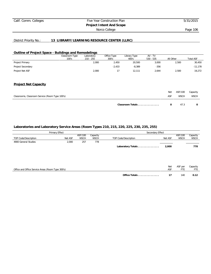# Calif. Comm. Colleges Five Year Construction Plan 5/31/2015 **Project Intent And Scope** Norco College **Page 106**

### District Priority No.: **13 LIBRARY/LEARNING RESOURCE CENTER (LLRC)**

### **Outline of Project Space - Buildings and Remodelings**

|                                                 | Classroom Type<br>100's | Laboratory<br>$210 - 255$ | Office Type<br>300's | Library Type<br>400's | $AV - TV$<br>$530 - 535$ | All Other             | <b>Total ASF</b> |
|-------------------------------------------------|-------------------------|---------------------------|----------------------|-----------------------|--------------------------|-----------------------|------------------|
| Project Primary                                 |                         | 2,000                     | 2,450                | 20,500                | 3,000                    | 2,500                 | 30,450           |
| Project Secondary                               |                         |                           | $-2,433$             | $-8,389$              | $-356$                   |                       | $-11,178$        |
| Project Net ASF                                 |                         | 2,000                     | 17                   | 12,111                | 2,644                    | 2,500                 | 19,272           |
| <b>Project Net Capacity</b>                     |                         |                           |                      |                       |                          |                       |                  |
|                                                 |                         |                           |                      |                       |                          |                       |                  |
|                                                 |                         |                           |                      |                       |                          | ASF/100<br><b>Net</b> | Capacity         |
| Classrooms, Classroom Service (Room Type 100's) |                         |                           |                      |                       |                          | ASF<br><b>WSCH</b>    | <b>WSCH</b>      |

| Classroom Totals |  |  |
|------------------|--|--|

## **Laboratories and Laboratory Service Areas (Room Types 210, 215, 220, 225, 230, 235, 255)**

|                                                   | Primary Effect |                        |                         | Secondary Effect     |            |                        |                         |
|---------------------------------------------------|----------------|------------------------|-------------------------|----------------------|------------|------------------------|-------------------------|
| TOP Code/Description                              | Net ASF        | ASF/100<br><b>WSCH</b> | Capacity<br><b>WSCH</b> | TOP Code/Description | Net ASF    | ASF/100<br><b>WSCH</b> | Capacity<br><b>WSCH</b> |
| 4900 General Studies                              | 2,000          | 257                    | 778                     |                      |            |                        |                         |
|                                                   |                |                        |                         | Laboratory Totals    | 2,000      |                        | 778                     |
|                                                   |                |                        |                         |                      |            |                        |                         |
|                                                   |                |                        |                         |                      |            |                        |                         |
| Office and Office Service Areas (Room Type 300's) |                |                        |                         |                      | Net<br>ASF | ASF per<br><b>FTE</b>  | Capacity<br>FTE         |
|                                                   |                |                        |                         |                      |            |                        |                         |
|                                                   |                |                        |                         | Office Totals        | 17         | 140                    | 0.12                    |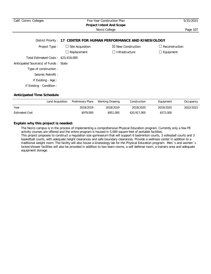| Calif. Comm. Colleges                 | 5/31/2015                                        |                                                                    |                       |
|---------------------------------------|--------------------------------------------------|--------------------------------------------------------------------|-----------------------|
|                                       | <b>Project Intent And Scope</b><br>Norco College | Page 107                                                           |                       |
|                                       |                                                  | District Priority: 17 CENTER FOR HUMAN PERFORMANCE AND KINESIOLOGY |                       |
| Project Type:                         | $\Box$ Site Acquisition                          | $\boxtimes$ New Construction                                       | $\Box$ Reconstruction |
|                                       | Replacement                                      | Infrastructure                                                     | $\Box$ Equipment      |
| Total Estimated Costs: \$23,419,000   |                                                  |                                                                    |                       |
| Anticipated Source(s) of Funds: State |                                                  |                                                                    |                       |
| Type of construction:                 |                                                  |                                                                    |                       |
| Seismic Retrofit:                     |                                                  |                                                                    |                       |
| If Existing - Age :                   |                                                  |                                                                    |                       |
| If Existing - Condition:              |                                                  |                                                                    |                       |

## **Anticipated Time Schedule**

|                       | Land Acquisition | Preliminary Plans | Working Drawing | Construction | Equipment | Occupancy |
|-----------------------|------------------|-------------------|-----------------|--------------|-----------|-----------|
| Year                  |                  | 2018/2019         | 2018/2019       | 2019/2020    | 2019/2020 | 2022/2023 |
| <b>Estimated Cost</b> |                  | \$979,000         | \$951,000       | \$20,917,000 | \$572,000 |           |

# **Explain why this project is needed:**

The Norco campus is in the process of implementing a comprehensive Physical Education program. Currently only a few PE activity courses are offered and the entire program is housed in 5,000 square feet of portable facilities. This project proposes to construct a regulation size gymnasium that will support 6 badminton courts, 3 volleyball courts and 3 basketball courts, with adequate height clearances and safe boundary clearances. Provide a wellness center in addition to a traditional weight room. The facility will also house a kinesiology lab for the Physical Education program. Men`s and women`s locker/shower facilities will also be provided in addition to two team rooms, a self defense room, a trainers area and adequate equipment storage.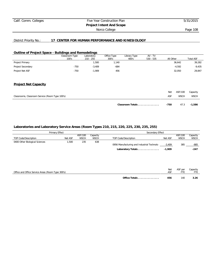# Calif. Comm. Colleges Five Year Construction Plan 5/31/2015 **Project Intent And Scope** Norco College **Page 108**

# District Priority No.: **17 CENTER FOR HUMAN PERFORMANCE AND KINESIOLOGY**

## **Outline of Project Space - Buildings and Remodelings**

|                                                 | Classroom Type<br>100's | Laboratory<br>$210 - 255$ | Office Type<br>300's | Library Type<br>400's | $AV - TV$<br>$530 - 535$ | All Other |             | <b>Total ASF</b> |
|-------------------------------------------------|-------------------------|---------------------------|----------------------|-----------------------|--------------------------|-----------|-------------|------------------|
| Project Primary                                 |                         | 1,500                     | 1,140                |                       |                          |           | 36,642      | 39,282           |
| Project Secondary                               | $-750$                  | $-3,409$                  | $-684$               |                       |                          |           | $-4,592$    | $-9,435$         |
| Project Net ASF                                 | $-750$                  | $-1,909$                  | 456                  |                       |                          |           | 32,050      | 29,847           |
| <b>Project Net Capacity</b>                     |                         |                           |                      |                       |                          |           |             |                  |
|                                                 |                         |                           |                      |                       |                          | Net       | ASF/100     | Capacity         |
| Classrooms, Classroom Service (Room Type 100's) |                         |                           |                      |                       |                          | ASF       | <b>WSCH</b> | <b>WSCH</b>      |
|                                                 |                         |                           |                      | Classroom Totals      |                          | $-750$    | 47.3        | $-1,586$         |

# **Laboratories and Laboratory Service Areas (Room Types 210, 215, 220, 225, 230, 235, 255)**

|                                | Primary Effect |                        |                         | Secondary Effect                           |          |                        |                         |  |
|--------------------------------|----------------|------------------------|-------------------------|--------------------------------------------|----------|------------------------|-------------------------|--|
| TOP Code/Description           | Net ASF        | ASF/100<br><b>WSCH</b> | Capacity<br><b>WSCH</b> | TOP Code/Description                       | Net ASF  | ASF/100<br><b>WSCH</b> | Capacity<br><b>WSCH</b> |  |
|                                |                |                        |                         |                                            |          |                        |                         |  |
| 0400 Other Biological Sciences | 1,500          | 235                    | 638                     | 0956 Manufacturing and Industrial Technolo | $-3,409$ | 385                    | -885                    |  |
|                                |                |                        |                         | Laboratory Totals                          | $-1,909$ |                        | $-247$                  |  |
|                                |                |                        |                         |                                            |          |                        |                         |  |
|                                |                |                        |                         |                                            |          |                        |                         |  |
|                                |                |                        |                         |                                            |          |                        |                         |  |
|                                |                |                        |                         |                                            |          |                        |                         |  |

| Office and Office Service Areas (Room Type 300's) |               | Net<br>ASF | ASF per | Capacity |
|---------------------------------------------------|---------------|------------|---------|----------|
|                                                   | Office Totals | 456        | 140     |          |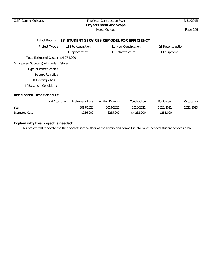| Calif. Comm. Colleges                 | Five Year Construction Plan<br><b>Project Intent And Scope</b> |                                                               |                            |  |  |
|---------------------------------------|----------------------------------------------------------------|---------------------------------------------------------------|----------------------------|--|--|
|                                       | Norco College                                                  | Page 109                                                      |                            |  |  |
|                                       |                                                                | District Priority: 18 STUDENT SERVICES REMODEL FOR EFFICIENCY |                            |  |  |
| Project Type:                         | $\Box$ Site Acquisition                                        | $\Box$ New Construction                                       | $\boxtimes$ Reconstruction |  |  |
|                                       | $\Box$ Replacement                                             | Infrastructure                                                | $\Box$ Equipment           |  |  |
| Total Estimated Costs: \$4,974,000    |                                                                |                                                               |                            |  |  |
| Anticipated Source(s) of Funds: State |                                                                |                                                               |                            |  |  |
| Type of construction :                |                                                                |                                                               |                            |  |  |
| Seismic Retrofit:                     |                                                                |                                                               |                            |  |  |
| If Existing - Age:                    |                                                                |                                                               |                            |  |  |
| If Existing - Condition:              |                                                                |                                                               |                            |  |  |
| <b>Anticipated Time Schedule</b>      |                                                                |                                                               |                            |  |  |

|                       | Land Acquisition | Preliminary Plans | Working Drawing | Construction | Equipment | Occupancy |
|-----------------------|------------------|-------------------|-----------------|--------------|-----------|-----------|
| Year                  |                  | 2019/2020         | 2019/2020       | 2020/2021    | 2020/2021 | 2022/2023 |
| <b>Estimated Cost</b> |                  | \$236,000         | \$255,000       | \$4,232,000  | \$251,000 |           |

# **Explain why this project is needed:**

This project will renovate the then vacant second floor of the library and convert it into much needed student services area.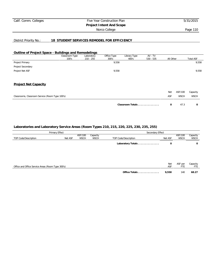# Calif. Comm. Colleges Five Year Construction Plan 5/31/2015 **Project Intent And Scope** Norco College **Page 110**

# District Priority No.: **18 STUDENT SERVICES REMODEL FOR EFFICIENCY**

### **Outline of Project Space - Buildings and Remodelings**

|                                                 | Classroom Type<br>100's | Laboratory<br>$210 - 255$ | Office Type<br>300's | Library Type<br>400's | AV - TV<br>$530 - 535$ | All Other |             | <b>Total ASF</b> |
|-------------------------------------------------|-------------------------|---------------------------|----------------------|-----------------------|------------------------|-----------|-------------|------------------|
| Project Primary                                 |                         |                           | 9,558                |                       |                        |           |             | 9,558            |
| Project Secondary                               |                         |                           |                      |                       |                        |           |             |                  |
| Project Net ASF                                 |                         |                           | 9,558                |                       |                        |           |             | 9,558            |
| <b>Project Net Capacity</b>                     |                         |                           |                      |                       |                        |           |             |                  |
|                                                 |                         |                           |                      |                       |                        | Net       | ASF/100     | Capacity         |
| Classrooms, Classroom Service (Room Type 100's) |                         |                           |                      |                       |                        | ASF       | <b>WSCH</b> | <b>WSCH</b>      |
|                                                 |                         |                           |                      | Classroom Totals      |                        | 0         | 47.3        | 0                |

# **Laboratories and Laboratory Service Areas (Room Types 210, 215, 220, 225, 230, 235, 255)**

|                                                   | Primary Effect |                        |                         | Secondary Effect     |            |                        |                         |
|---------------------------------------------------|----------------|------------------------|-------------------------|----------------------|------------|------------------------|-------------------------|
| TOP Code/Description                              | Net ASF        | ASF/100<br><b>WSCH</b> | Capacity<br><b>WSCH</b> | TOP Code/Description | Net ASF    | ASF/100<br><b>WSCH</b> | Capacity<br><b>WSCH</b> |
|                                                   |                |                        |                         | Laboratory Totals    | 0          |                        | 0                       |
|                                                   |                |                        |                         |                      |            |                        |                         |
|                                                   |                |                        |                         |                      |            |                        |                         |
| Office and Office Service Areas (Room Type 300's) |                |                        |                         |                      | Net<br>ASF | ASF per<br><b>FTE</b>  | Capacity<br>FTE         |
|                                                   |                |                        |                         | Office Totals        | 9,558      | 140                    | 68.27                   |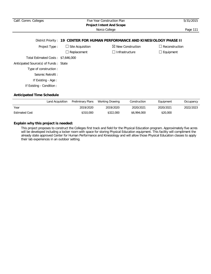| Calif. Comm. Colleges                                                       | Five Year Construction Plan<br><b>Project Intent And Scope</b> | 5/31/2015                    |                       |  |  |  |  |  |  |  |  |
|-----------------------------------------------------------------------------|----------------------------------------------------------------|------------------------------|-----------------------|--|--|--|--|--|--|--|--|
| Norco College                                                               |                                                                |                              |                       |  |  |  |  |  |  |  |  |
| District Priority: 19 CENTER FOR HUMAN PERFORMANCE AND KINESIOLOGY PHASE II |                                                                |                              |                       |  |  |  |  |  |  |  |  |
| Project Type:                                                               | $\Box$ Site Acquisition                                        | $\boxtimes$ New Construction | $\Box$ Reconstruction |  |  |  |  |  |  |  |  |
|                                                                             | $\Box$ Replacement                                             | $\Box$ Infrastructure        | $\Box$ Equipment      |  |  |  |  |  |  |  |  |
| Total Estimated Costs: \$7,646,000                                          |                                                                |                              |                       |  |  |  |  |  |  |  |  |
| Anticipated Source(s) of Funds: State                                       |                                                                |                              |                       |  |  |  |  |  |  |  |  |
| Type of construction:                                                       |                                                                |                              |                       |  |  |  |  |  |  |  |  |
| Seismic Retrofit:                                                           |                                                                |                              |                       |  |  |  |  |  |  |  |  |
| If Existing - Age:                                                          |                                                                |                              |                       |  |  |  |  |  |  |  |  |
| If Existing - Condition :                                                   |                                                                |                              |                       |  |  |  |  |  |  |  |  |

# **Anticipated Time Schedule**

|                       | Land Acquisition Preliminary Plans | Working Drawing | Construction | Equipment | Occupancy |
|-----------------------|------------------------------------|-----------------|--------------|-----------|-----------|
| Year                  | 2019/2020                          | 2019/2020       | 2020/2021    | 2020/2021 | 2022/2023 |
| <b>Estimated Cost</b> | \$310,000                          | \$322,000       | \$6,994,000  | \$20,000  |           |

# **Explain why this project is needed:**

This project proposes to construct the Colleges first track and field for the Physical Education program. Approximately five acres will be developed including a locker room with space for storing Physical Education equipment. This facility will compliment the already state approved Center for Human Performance and Kinesiology and will allow those Physical Education classes to apply their lab experiences in an outdoor setting.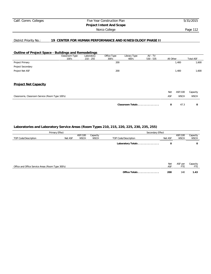# Calif. Comm. Colleges Five Year Construction Plan 5/31/2015 **Project Intent And Scope** Norco College **Page 112**

# District Priority No.: **19 CENTER FOR HUMAN PERFORMANCE AND KINESIOLOGY PHASE II**

### **Outline of Project Space - Buildings and Remodelings**

|                                                 | Classroom Type | Laboratory  | Office Type | Library Type     | AV - TV     |           |             |                  |
|-------------------------------------------------|----------------|-------------|-------------|------------------|-------------|-----------|-------------|------------------|
|                                                 | 100's          | $210 - 255$ | 300's       | 400's            | $530 - 535$ | All Other |             | <b>Total ASF</b> |
| Project Primary                                 |                |             | 200         |                  |             |           | 1,400       | 1,600            |
| Project Secondary                               |                |             |             |                  |             |           |             |                  |
| Project Net ASF                                 |                |             | 200         |                  |             |           | 1,400       | 1,600            |
| <b>Project Net Capacity</b>                     |                |             |             |                  |             |           |             |                  |
|                                                 |                |             |             |                  |             |           |             |                  |
|                                                 |                |             |             |                  |             | Net       | ASF/100     | Capacity         |
| Classrooms, Classroom Service (Room Type 100's) |                |             |             |                  |             | ASF       | <b>WSCH</b> | <b>WSCH</b>      |
|                                                 |                |             |             |                  |             |           |             |                  |
|                                                 |                |             |             | Classroom Totals |             | 0         | 47.3        | 0                |

# **Laboratories and Laboratory Service Areas (Room Types 210, 215, 220, 225, 230, 235, 255)**

|                                                   | Primary Effect |                        |                         | Secondary Effect     |            |                        |                         |  |  |
|---------------------------------------------------|----------------|------------------------|-------------------------|----------------------|------------|------------------------|-------------------------|--|--|
| TOP Code/Description                              | Net ASF        | ASF/100<br><b>WSCH</b> | Capacity<br><b>WSCH</b> | TOP Code/Description | Net ASF    | ASF/100<br><b>WSCH</b> | Capacity<br><b>WSCH</b> |  |  |
|                                                   |                |                        |                         | Laboratory Totals    | 0          |                        | 0                       |  |  |
|                                                   |                |                        |                         |                      |            |                        |                         |  |  |
|                                                   |                |                        |                         |                      |            |                        |                         |  |  |
| Office and Office Service Areas (Room Type 300's) |                |                        |                         |                      | Net<br>ASF | ASF per<br>FTE         | Capacity<br>FTE         |  |  |
|                                                   |                |                        |                         | Office Totals        | 200        | 140                    | 1.43                    |  |  |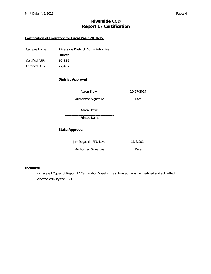# **Riverside CCD Report 17 Certification**

# **Certification of Inventory for Fiscal Year: 2014-15**

| Campus Name:    | Riverside District Administrative |
|-----------------|-----------------------------------|
|                 | Office <sup>*</sup>               |
| Certified ASF:  | 50,839                            |
| Certified OGSF: | 77.487                            |

# **District Approval**

| Aaron Brown             | 10/17/2014 |
|-------------------------|------------|
| Authorized Signature    | Date       |
| Aaron Brown             |            |
| <b>Printed Name</b>     |            |
| <b>State Approval</b>   |            |
| Jim Rogaski - FPU Level | 11/3/2014  |
| Authorized Signature    | Date       |

### **Included:**

(2) Signed Copies of Report 17 Certification Sheet if the submission was not certified and submitted electronically by the CBO.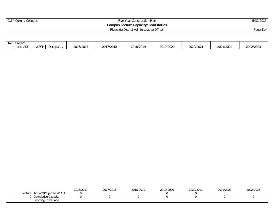# Calif. Comm. Colleges **Five Year Construction Plan** 5/31/2015

**Campus Lecture Capacity/Load Ratios**

| Riverside District Administrative Office* | Page 114 |
|-------------------------------------------|----------|
|                                           |          |

| No. | Project                |                                                                  |           |           |                    |           |           |           |                   |           |
|-----|------------------------|------------------------------------------------------------------|-----------|-----------|--------------------|-----------|-----------|-----------|-------------------|-----------|
|     | Lect ASF<br>$\sqrt{2}$ | $\sim$ $\sim$ $\sim$ $\sim$ $\sim$ $\sim$<br>$M_{\rm A}$<br>៴୰៴៲ | Occupancy | 2016/2017 | 2017/2018<br>2011/ | 2018/2019 | 2019/2020 | 2020/2021 | าการ<br>2021/2022 | 2022/2023 |

|                                            | 2016/2017 | 0017<br>2017/2018 | 2018/2019 | 2019/2020 | 2022<br>2020/2021 | 2021/2022 | 2022/2023 |
|--------------------------------------------|-----------|-------------------|-----------|-----------|-------------------|-----------|-----------|
| Actual*/Projected WSCH<br>∟ecture          |           |                   |           |           |                   |           |           |
| Cumulative Capacity<br>Capacity/Load Ratio |           |                   |           |           |                   |           |           |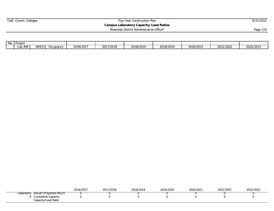# Calif. Comm. Colleges **Five Year Construction Plan** 5/31/2015

**Campus Laboratory Capacity/Load Ratios**

Riverside District Administrative Office\* Page 115

| No. | <b>I</b> Project<br>ו טופטו |                      |          |           |                                 |           |           |           |           |           |
|-----|-----------------------------|----------------------|----------|-----------|---------------------------------|-----------|-----------|-----------|-----------|-----------|
|     | $ -$<br>.ab AS              | $M$ C $\cap$<br>ハハワト | ccupancy | 2016/2017 | 7/2018<br>$\sqrt{21}$<br>20 I I | 2018/2019 | 2019/2020 | 2020/2021 | 2021/2022 | 2022/2023 |

|                                            | 2016/2017 | 2017/2018 | 2018/2019 | 2019/2020 | 2020/2021 | 2021/2022 | 2022/2023 |
|--------------------------------------------|-----------|-----------|-----------|-----------|-----------|-----------|-----------|
| Actual*/Projected WSCH<br>Laboratory       |           |           |           |           |           |           |           |
| Cumulative Capacity<br>Capacity/Load Ratio |           |           |           |           |           |           |           |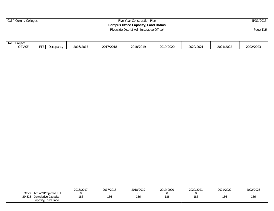# Calif. Comm. Colleges **Five Year Construction Plan** 5/31/2015 **Campus Office Capacity/Load Ratios**

Riverside District Administrative Office\* Page 116

| No. | I Projec<br>$\blacksquare$ $\blacksquare$ $\blacksquare$ $\blacksquare$ |         |                       |           |                               |           |        |           |                            |                           |
|-----|-------------------------------------------------------------------------|---------|-----------------------|-----------|-------------------------------|-----------|--------|-----------|----------------------------|---------------------------|
|     | Off ASF<br>v                                                            | $- - -$ | Jccupanc <sup>,</sup> | 716/2017∠ | $201710010$<br>720 I 8<br>∠U⊥ | 2018/2019 | ∿202∨^ | 2020/2021 | 0001<br>10000<br>2021/2022 | $2022120222$<br>2022/2023 |

|                                 | 2016/2017 | 2017/2018 | 2018/2019 | 2019/2020 | 2020/2021 | 0.001<br>/2022 | 2022/2023 |
|---------------------------------|-----------|-----------|-----------|-----------|-----------|----------------|-----------|
| Office<br>Actual*/Projected FTE |           |           |           |           |           |                |           |
| Cumulative Capacity<br>29,813   | 186       | 186       | 186       | 186       | 186       | 186            | 186       |
| Capacity/Load Ratio             |           |           |           |           |           |                |           |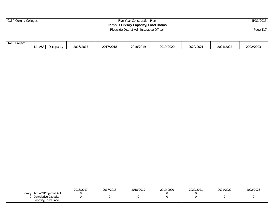# Calif. Comm. Colleges **Five Year Construction Plan** 5/31/2015

**Campus Library Capacity/Load Ratios** Riverside District Administrative Office\* Page 117

| No.<br>Project |                        |           |           |                                 |           |           |           |           |           |
|----------------|------------------------|-----------|-----------|---------------------------------|-----------|-----------|-----------|-----------|-----------|
|                | $\sim$ $-$<br>LID<br>ື | Occupancy | 2016/2017 | 12010<br>001<br>ZU F<br>720 I õ | 2018/2019 | 2019/2020 | 2020/2021 | 2021/2022 | 2022/2023 |

|                                            | 2016/2017 | 2017/2018 | 2018/2019 | 2019/2020 | 2020/2021 | 2021/2022 | 2022/2023 |
|--------------------------------------------|-----------|-----------|-----------|-----------|-----------|-----------|-----------|
| Actual*/Projected ASF<br>Library           |           |           |           |           |           |           |           |
| Cumulative Capacity<br>Capacity/Load Ratio |           |           |           |           |           |           |           |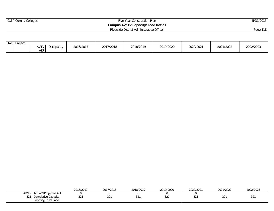# Calif. Comm. Colleges **Five Year Construction Plan** 5/31/2015 **Campus AV/TV Capacity/Load Ratios**

Riverside District Administrative Office\* Page 118

| No. | Project |                                                               |                                  |           |                |           |           |           |                                   |           |
|-----|---------|---------------------------------------------------------------|----------------------------------|-----------|----------------|-----------|-----------|-----------|-----------------------------------|-----------|
|     |         | $\sqrt{2}$<br>$\mathbf{v}$<br><b>171</b><br><b>ACL</b><br>ישו | $'$ IDODO $'$<br><b>UUUUUUUV</b> | 2016/2017 | 7/2018<br>2017 | 2018/2019 | 2019/2020 | 2020/2021 | 12022<br>0001<br><b>2021/2022</b> | 2022/2023 |

|       |                                                   | 2016/2017    | 2017/2018 | 2018/2019 | 2019/2020 | 2020/2021 | 2021/2022    | 2022/2023       |
|-------|---------------------------------------------------|--------------|-----------|-----------|-----------|-----------|--------------|-----------------|
| AV/TV | Actual*/Projected ASF                             |              |           |           |           |           |              |                 |
| 321   | <b>Cumulative Capacity</b><br>Capacity/Load Ratio | $\cap$<br>ےد | 001<br>ےر | nn-<br>ےت |           | ےت        | $\cap$<br>ےت | 32 <sup>2</sup> |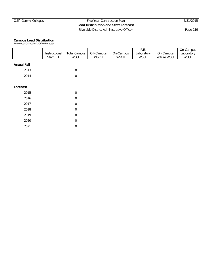# Calif. Comm. Colleges Five Year Construction Plan 5/31/2015 **Load Distribution and Staff Forecast** Riverside District Administrative Office\* Page 119

#### **Campus Load Distribution**

Reference: Chancellor's Office Forecast

|                    | Instructional | <b>Total Campus</b> | Off-Campus  | On-Campus   | P.E.<br>Laboratory | On-Campus    | On-Campus<br>Laboratory |
|--------------------|---------------|---------------------|-------------|-------------|--------------------|--------------|-------------------------|
|                    | Staff FTE     | <b>WSCH</b>         | <b>WSCH</b> | <b>WSCH</b> | <b>WSCH</b>        | Lecture WSCH | <b>WSCH</b>             |
| <b>Actual Fall</b> |               |                     |             |             |                    |              |                         |
| 2013               |               | 0                   |             |             |                    |              |                         |
| 2014               |               | 0                   |             |             |                    |              |                         |
| Forecast           |               |                     |             |             |                    |              |                         |
| 2015               |               | $\overline{0}$      |             |             |                    |              |                         |
| 2016               |               | 0                   |             |             |                    |              |                         |
| 2017               |               | 0                   |             |             |                    |              |                         |
| 2018               |               | 0                   |             |             |                    |              |                         |
| 2019               |               | $\boldsymbol{0}$    |             |             |                    |              |                         |
| 2020               |               | $\overline{0}$      |             |             |                    |              |                         |
| 2021               |               | 0                   |             |             |                    |              |                         |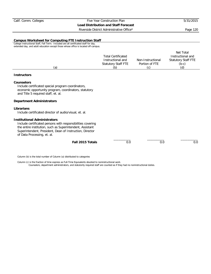Riverside District Administrative Office\* Page 120

#### **Campus Worksheet for Computing FTE Instruction Staff**

College Instructional Staff, Fall Term. Included are all certificated staff for day, extended day, and adult education except those whose office is located off-campus.

|     |                           |                   | Net Total                  |
|-----|---------------------------|-------------------|----------------------------|
|     | <b>Total Certificated</b> |                   | Instructional and          |
|     | Instructional and         | Non-Instructional | <b>Statutory Staff FTE</b> |
|     | Statutory Staff FTE       | Portion of FTE    | (b-c)                      |
| (a) | (b`                       | $\sim$            | (d)                        |

#### **Instructors**

#### **Counselors**

Include certificated special program coordinators, economic opportunity program, coordinators, statutory and Title 5 required staff, et. al.

#### **Department Administrators**

#### **Librarians**

Include certificated director of audio/visual, et. al.

#### **Institutional Administrators**

Include certificated persons with responsibilities covering the entire institution, such as Superintendent, Assistant Superintendent, President, Dean of Instruction, Director of Data Processing, et. al.

| Fall 2015 Totals |
|------------------|
|                  |

\_\_\_\_\_\_\_\_\_\_ \_\_\_\_\_\_\_\_\_\_ \_\_\_\_\_\_\_\_\_\_

Column (b) is the total number of Column (a) distributed to categories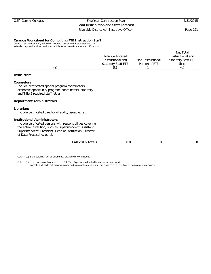Riverside District Administrative Office\* Page 121

#### **Campus Worksheet for Computing FTE Instruction Staff**

College Instructional Staff, Fall Term. Included are all certificated staff for day, extended day, and adult education except those whose office is located off-campus.

|     |                           |                   | Net Total                  |
|-----|---------------------------|-------------------|----------------------------|
|     | <b>Total Certificated</b> |                   | Instructional and          |
|     | Instructional and         | Non-Instructional | <b>Statutory Staff FTE</b> |
|     | Statutory Staff FTE       | Portion of FTE    | (b-c)                      |
| (a) | (b)                       | $\cap$            | (d)                        |

#### **Instructors**

#### **Counselors**

Include certificated special program coordinators, economic opportunity program, coordinators, statutory and Title 5 required staff, et. al.

#### **Department Administrators**

#### **Librarians**

Include certificated director of audio/visual, et. al.

#### **Institutional Administrators**

Include certificated persons with responsibilities covering the entire institution, such as Superintendent, Assistant Superintendent, President, Dean of Instruction, Director of Data Processing, et. al.

| Fall 2016 Totals |
|------------------|
|                  |

\_\_\_\_\_\_\_\_\_\_ \_\_\_\_\_\_\_\_\_\_ \_\_\_\_\_\_\_\_\_\_

Column (b) is the total number of Column (a) distributed to categories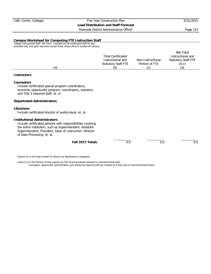Riverside District Administrative Office\* Page 122

#### **Campus Worksheet for Computing FTE Instruction Staff**

College Instructional Staff, Fall Term. Included are all certificated staff for day, extended day, and adult education except those whose office is located off-campus.

|     |                           |                   | Net Total                  |
|-----|---------------------------|-------------------|----------------------------|
|     | <b>Total Certificated</b> |                   | Instructional and          |
|     | Instructional and         | Non-Instructional | <b>Statutory Staff FTE</b> |
|     | Statutory Staff FTE       | Portion of FTE    | (b-c)                      |
| (a) | (b`                       | $\sim$            | (d)                        |

#### **Instructors**

#### **Counselors**

Include certificated special program coordinators, economic opportunity program, coordinators, statutory and Title 5 required staff, et. al.

#### **Department Administrators**

#### **Librarians**

Include certificated director of audio/visual, et. al.

#### **Institutional Administrators**

Include certificated persons with responsibilities covering the entire institution, such as Superintendent, Assistant Superintendent, President, Dean of Instruction, Director of Data Processing, et. al.

| Fall 2017 Totals |  |  |
|------------------|--|--|
|                  |  |  |

\_\_\_\_\_\_\_\_\_\_ \_\_\_\_\_\_\_\_\_\_ \_\_\_\_\_\_\_\_\_\_

Column (b) is the total number of Column (a) distributed to categories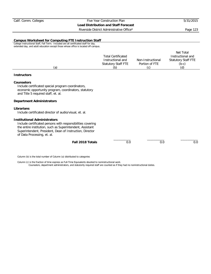Riverside District Administrative Office\* Page 123

#### **Campus Worksheet for Computing FTE Instruction Staff**

College Instructional Staff, Fall Term. Included are all certificated staff for day, extended day, and adult education except those whose office is located off-campus.

|     |                           |                   | Net Total                  |
|-----|---------------------------|-------------------|----------------------------|
|     | <b>Total Certificated</b> |                   | Instructional and          |
|     | Instructional and         | Non-Instructional | <b>Statutory Staff FTE</b> |
|     | Statutory Staff FTE       | Portion of FTE    | (b-c)                      |
| (a) | (b`                       | $\sim$            | (d)                        |

#### **Instructors**

#### **Counselors**

Include certificated special program coordinators, economic opportunity program, coordinators, statutory and Title 5 required staff, et. al.

#### **Department Administrators**

#### **Librarians**

Include certificated director of audio/visual, et. al.

#### **Institutional Administrators**

Include certificated persons with responsibilities covering the entire institution, such as Superintendent, Assistant Superintendent, President, Dean of Instruction, Director of Data Processing, et. al.

| Fall 2018 Totals |  |  |  |
|------------------|--|--|--|
|------------------|--|--|--|

\_\_\_\_\_\_\_\_\_\_ \_\_\_\_\_\_\_\_\_\_ \_\_\_\_\_\_\_\_\_\_

Column (b) is the total number of Column (a) distributed to categories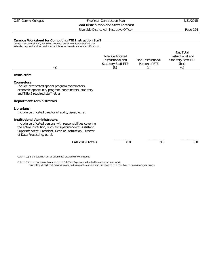Riverside District Administrative Office\* Page 124

#### **Campus Worksheet for Computing FTE Instruction Staff**

College Instructional Staff, Fall Term. Included are all certificated staff for day, extended day, and adult education except those whose office is located off-campus.

|     |                           |                   | Net Total                  |
|-----|---------------------------|-------------------|----------------------------|
|     | <b>Total Certificated</b> |                   | Instructional and          |
|     | Instructional and         | Non-Instructional | <b>Statutory Staff FTE</b> |
|     | Statutory Staff FTE       | Portion of FTE    | $(b-c)$                    |
| (a) | (b)                       | ۰C)               | (d)                        |

#### **Instructors**

#### **Counselors**

Include certificated special program coordinators, economic opportunity program, coordinators, statutory and Title 5 required staff, et. al.

#### **Department Administrators**

#### **Librarians**

Include certificated director of audio/visual, et. al.

#### **Institutional Administrators**

Include certificated persons with responsibilities covering the entire institution, such as Superintendent, Assistant Superintendent, President, Dean of Instruction, Director of Data Processing, et. al.

| Fall 2019 Totals |  |  |
|------------------|--|--|
|                  |  |  |

\_\_\_\_\_\_\_\_\_\_ \_\_\_\_\_\_\_\_\_\_ \_\_\_\_\_\_\_\_\_\_

Column (b) is the total number of Column (a) distributed to categories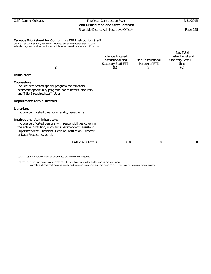Riverside District Administrative Office\* Page 125

#### **Campus Worksheet for Computing FTE Instruction Staff**

College Instructional Staff, Fall Term. Included are all certificated staff for day, extended day, and adult education except those whose office is located off-campus.

|     |                           |                   | Net Total                  |
|-----|---------------------------|-------------------|----------------------------|
|     | <b>Total Certificated</b> |                   | Instructional and          |
|     | Instructional and         | Non-Instructional | <b>Statutory Staff FTE</b> |
|     | Statutory Staff FTE       | Portion of FTE    | $(b-c)$                    |
| (a) | (b)                       | ۰C)               | (d)                        |

#### **Instructors**

#### **Counselors**

Include certificated special program coordinators, economic opportunity program, coordinators, statutory and Title 5 required staff, et. al.

#### **Department Administrators**

#### **Librarians**

Include certificated director of audio/visual, et. al.

#### **Institutional Administrators**

Include certificated persons with responsibilities covering the entire institution, such as Superintendent, Assistant Superintendent, President, Dean of Instruction, Director of Data Processing, et. al.

| Fall 2020 Totals |  |  |  |
|------------------|--|--|--|
|------------------|--|--|--|

\_\_\_\_\_\_\_\_\_\_ \_\_\_\_\_\_\_\_\_\_ \_\_\_\_\_\_\_\_\_\_

Column (b) is the total number of Column (a) distributed to categories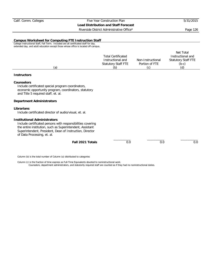Riverside District Administrative Office\* Page 126

#### **Campus Worksheet for Computing FTE Instruction Staff**

College Instructional Staff, Fall Term. Included are all certificated staff for day, extended day, and adult education except those whose office is located off-campus.

|     |                           |                   | Net Total                  |
|-----|---------------------------|-------------------|----------------------------|
|     | <b>Total Certificated</b> |                   | Instructional and          |
|     | Instructional and         | Non-Instructional | <b>Statutory Staff FTE</b> |
|     | Statutory Staff FTE       | Portion of FTE    | $(b-c)$                    |
| (a) | (b)                       | ۰C)               | (d)                        |

#### **Instructors**

#### **Counselors**

Include certificated special program coordinators, economic opportunity program, coordinators, statutory and Title 5 required staff, et. al.

#### **Department Administrators**

#### **Librarians**

Include certificated director of audio/visual, et. al.

#### **Institutional Administrators**

Include certificated persons with responsibilities covering the entire institution, such as Superintendent, Assistant Superintendent, President, Dean of Instruction, Director of Data Processing, et. al.

| Fall 2021 Totals |  |  |  |
|------------------|--|--|--|
|------------------|--|--|--|

\_\_\_\_\_\_\_\_\_\_ \_\_\_\_\_\_\_\_\_\_ \_\_\_\_\_\_\_\_\_\_

Column (b) is the total number of Column (a) distributed to categories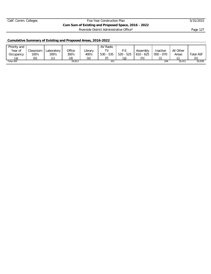# Calif. Comm. Colleges Five Year Construction Plan 5/31/2015 **Cum Sum of Existing and Proposed Space, 2016 - 2022** Riverside District Administrative Office\* Page 127

# **Cumulative Summary of Existing and Proposed Areas, 2016-2022**

| Priority and     |               |                            |        |         | AV Radio  |             |             |           |           |                  |
|------------------|---------------|----------------------------|--------|---------|-----------|-------------|-------------|-----------|-----------|------------------|
| Year of          | Classroom     | Laboratory                 | Office | Library | $T_{V}$   | P.E.        | Assembly    | Inactive  | All Other |                  |
| Occupancy        | 100's         | 200's                      | 300's  | 400's   | 530 - 535 | $520 - 525$ | $610 - 625$ | 050 - 070 | Areas     | <b>Total ASF</b> |
| (a`              | $\mathcal{B}$ | $\left(\mathcal{L}\right)$ | (d)    | م/      | (f        | g.          | (h)         |           |           | (k               |
| <b>Total ASF</b> |               |                            | 29,813 |         | 321       |             |             | 294       | 20,411    | 50,839           |